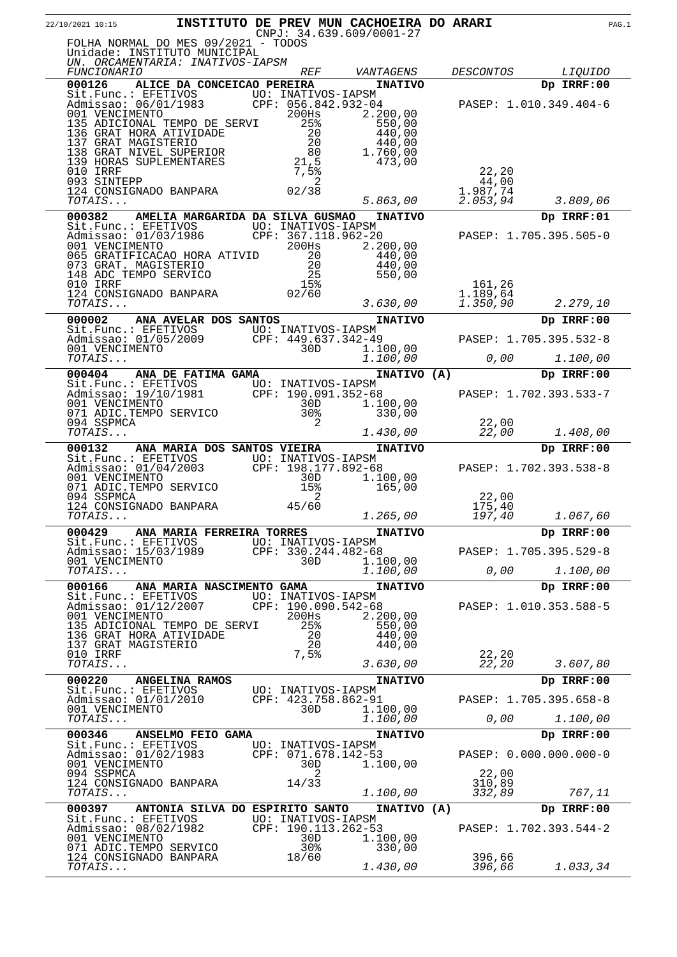| 22/10/2021 10:15                                                                                                                                                                                                                                                                              |                                  |                                    |                | INSTITUTO DE PREV MUN CACHOEIRA DO ARARI<br>$CNPJ: 34.639.609/0001-27$ |                                                                                 |                                      | PAG.1 |
|-----------------------------------------------------------------------------------------------------------------------------------------------------------------------------------------------------------------------------------------------------------------------------------------------|----------------------------------|------------------------------------|----------------|------------------------------------------------------------------------|---------------------------------------------------------------------------------|--------------------------------------|-------|
| FOLHA NORMAL DO MES 09/2021 - TODOS<br>Unidade: INSTITUTO MUNICIPAL<br>UN. ORCAMENTARIA: INATIVOS-IAPSM                                                                                                                                                                                       |                                  |                                    |                |                                                                        |                                                                                 |                                      |       |
| <i>FUNCIONARIO</i>                                                                                                                                                                                                                                                                            |                                  | <i>REF</i>                         |                | VANTAGENS                                                              | <i>DESCONTOS</i>                                                                | <i>LIQUIDO</i>                       |       |
| 000126<br>Sit.Func.: EFETIVOS<br>Admissao: 06/01/1983 CPF: 056.842.932-04<br>001 VENCIMENTO 200Hs 2.200,00                                                                                                                                                                                    | ALICE DA CONCEICAO PEREIRA       |                                    |                | <b>INATIVO</b>                                                         |                                                                                 | Dp IRRF:00<br>PASEP: 1.010.349.404-6 |       |
| 001 VENCIMENTO DE SERVI 200HS 2.2000<br>135 ADICIONAL TEMPO DE SERVI 258 550,00<br>136 GRAT HORA ATIVIDADE 20 440,00<br>137 GRAT MAGISTERIO 20 440,00<br>138 GRAT NIVEL SUPERIOR 80 1.760,00<br>139 HORAS SUPLEMENTARES 21,5 473,00<br>013<br>093 SINTEPP<br>124 CONSIGNADO BANPARA<br>TOTALS |                                  | 02/38                              | 2              |                                                                        | 22,20<br>44,00<br>1.987,74                                                      |                                      |       |
| TOTAIS                                                                                                                                                                                                                                                                                        |                                  |                                    |                | 5.863,00                                                               | 2.053, 94                                                                       | 3.809,06                             |       |
| 000382                                                                                                                                                                                                                                                                                        | AMELIA MARGARIDA DA SILVA GUSMAO |                                    |                | <b>INATIVO</b>                                                         |                                                                                 | Dp IRRF:01                           |       |
| Sit.Func.: EFETIVOS UO: INATIVOS-IAPSM<br>Admissao: 01/03/1986 CPF: 367.118.962-20<br>001 VENCIMENTO 200Hs 2.2<br>065 GRATIFICACAO HORA ATIVID<br>073 GRAT. MAGISTERIO 20<br>148 ADC TEMPO SERVICO 25<br>010 TRRF 15%                                                                         |                                  |                                    |                | 2.200,00<br>440,00<br>440,00<br>550,00                                 |                                                                                 | PASEP: 1.705.395.505-0               |       |
| UIU IRRF<br>124 CONSIGNADO BANPARA (1986)<br>TOTALS<br>TOTAIS                                                                                                                                                                                                                                 |                                  |                                    |                | 3.630,00                                                               | 161,26<br>1.189,64<br>1.350,90                                                  | 2.279,10                             |       |
| 000002 ANA AVELAR DOS SANTOS                                                                                                                                                                                                                                                                  |                                  |                                    |                | <b>INATIVO</b>                                                         |                                                                                 | Dp IRRF:00                           |       |
| Sit.Func.: EFETIVOS<br>Admissao: 01/05/2009<br>001 VENCIMENTO<br>707AIS<br>2009<br>707AIS<br>2009<br>2009<br>2010 1.100,00                                                                                                                                                                    |                                  |                                    |                |                                                                        |                                                                                 | PASEP: 1.705.395.532-8               |       |
|                                                                                                                                                                                                                                                                                               |                                  |                                    |                | 1.100,00                                                               |                                                                                 | $0,00$ $1.100,00$                    |       |
| 000404 ANA DE FATIMA GAMA<br>Sit.Func.: EFETIVOS<br>Admissao: 19/10/1981 CPF: 190.091.352-68<br>001 VENCIMENTO 30D 1.10<br>071 ADIC.TEMPO SERVICO 30% 33                                                                                                                                      |                                  |                                    |                | INATIVO (A)<br>1.100,00                                                |                                                                                 | Dp IRRF:00<br>PASEP: 1.702.393.533-7 |       |
| 094 SSPMCA<br>TOTAIS                                                                                                                                                                                                                                                                          |                                  |                                    | $\overline{2}$ | 330,00<br>1.430,00                                                     | 22,00<br>22,00                                                                  | 1.408,00                             |       |
| 000132                                                                                                                                                                                                                                                                                        | ANA MARIA DOS SANTOS VIEIRA      |                                    |                | <b>INATIVO</b>                                                         |                                                                                 | Dp IRRF:00                           |       |
| Sit.Func.: EFETIVOS<br>Admissao: 01/04/2003<br>001 VENCIMENTO<br>071 ADIC.TEMPO SERVICO<br>071 ADIC.TEMPO SERVICO<br>071 ADIC.TEMPO SERVICO<br>072 ADIC.TEMPO SERVICO<br>15%<br>165,00                                                                                                        |                                  |                                    |                |                                                                        |                                                                                 | PASEP: 1.702.393.538-8               |       |
| 094 SSPMCA<br>124 CONSIGNADO BANPARA 45/60<br>TOTAIS                                                                                                                                                                                                                                          |                                  |                                    | 2              | 1.265,00                                                               | 22,00<br>175,40<br>197,40                                                       | 1.067,60                             |       |
| 000429                                                                                                                                                                                                                                                                                        | ANA MARIA FERREIRA TORRES        |                                    |                | <b>INATIVO</b>                                                         |                                                                                 | Dp IRRF:00                           |       |
| Sit.Func.: EFETIVOS<br>Admissao: 15/03/1989<br>001 VENCIMENTO                                                                                                                                                                                                                                 |                                  | 30D                                |                | UO: INATIVOS-IAPSM<br>CPF: 330.244.482-68<br>1.100,00                  |                                                                                 | PASEP: 1.705.395.529-8               |       |
| TOTAIS                                                                                                                                                                                                                                                                                        |                                  |                                    |                | 1.100,00                                                               | $\ensuremath{\mathcal{O}}$ , $\ensuremath{\mathcal{O}}\ensuremath{\mathcal{O}}$ | 1.100,00                             |       |
| 000166<br>Sit.Func.: EFETIVOS<br>Admissao: 01/12/2007<br>001 VENCIMENTO<br>135 ADICIONAL TEMPO DE SERVI                                                                                                                                                                                       | ANA MARIA NASCIMENTO GAMA        | UO: INATIVOS-IAPSM<br>200Hs<br>25% |                | <b>INATIVO</b><br>CPF: 190.090.542-68<br>2.200,00<br>550,00            |                                                                                 | Dp IRRF:00<br>PASEP: 1.010.353.588-5 |       |
| 136 GRAT HORA ATIVIDADE<br>137 GRAT MAGISTERIO<br>010 IRRF<br>TOTAIS                                                                                                                                                                                                                          |                                  | 7,5%                               | 20<br>20       | 440,00<br>440,00<br>3.630,00                                           | 22,20<br>22,20                                                                  | 3.607,80                             |       |
| 000220<br>Sit.Func.: EFETIVOS                                                                                                                                                                                                                                                                 | <b>ANGELINA RAMOS</b>            | UO: INATIVOS-IAPSM                 |                | <b>INATIVO</b>                                                         |                                                                                 | Dp IRRF:00                           |       |
| Admissao: 01/01/2010<br>001 VENCIMENTO                                                                                                                                                                                                                                                        |                                  | 30D                                |                | CPF: 423.758.862-91<br>1.100,00                                        |                                                                                 | PASEP: 1.705.395.658-8               |       |
| TOTAIS                                                                                                                                                                                                                                                                                        |                                  |                                    |                | 1.100,00                                                               | 0,00                                                                            | 1.100,00                             |       |
| 000346<br>Sit.Func.: EFETIVOS<br>Admissao: 01/02/1983                                                                                                                                                                                                                                         | ANSELMO FEIO GAMA                | UO: INATIVOS-IAPSM                 |                | <b>INATIVO</b><br>CPF: 071.678.142-53                                  |                                                                                 | Dp IRRF:00<br>PASEP: 0.000.000.000-0 |       |
| 001 VENCIMENTO<br>094 SSPMCA<br>124 CONSIGNADO BANPARA<br>TOTAIS                                                                                                                                                                                                                              |                                  | 30D<br>14/33                       | 2              | 1.100,00<br>1.100,00                                                   | 22,00<br>310,89<br>332,89                                                       | 767,11                               |       |
| 000397                                                                                                                                                                                                                                                                                        |                                  |                                    |                |                                                                        |                                                                                 |                                      |       |
| Sit.Func.: EFETIVOS<br>Admissao: 08/02/1982<br>001 VENCIMENTO                                                                                                                                                                                                                                 | ANTONIA SILVA DO ESPIRITO SANTO  | 30D                                |                | INATIVO (A)<br>UO: INATIVOS-IAPSM<br>CPF: 190.113.262-53<br>1.100,00   |                                                                                 | Dp IRRF:00<br>PASEP: 1.702.393.544-2 |       |
| 071 ADIC.TEMPO SERVICO<br>124 CONSIGNADO BANPARA<br>TOTAIS                                                                                                                                                                                                                                    |                                  | 30%<br>18/60                       |                | 330,00<br>1.430,00                                                     | 396,66<br>396,66                                                                | 1.033,34                             |       |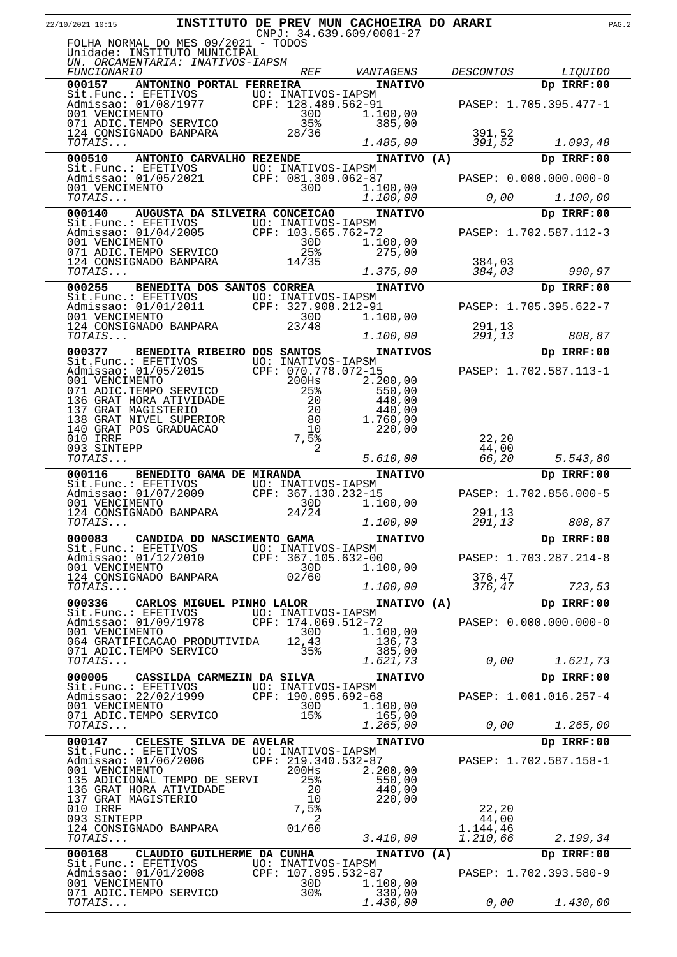|                          |                                                                                                                                             | INSTITUTO DE PREV MUN CACHOEIRA DO ARARI  | $CNPJ: 34.639.609/0001-27$ |                      | PAG.2                  |  |
|--------------------------|---------------------------------------------------------------------------------------------------------------------------------------------|-------------------------------------------|----------------------------|----------------------|------------------------|--|
|                          | FOLHA NORMAL DO MES 09/2021 - TODOS<br>Unidade: INSTITUTO MUNICIPAL                                                                         |                                           |                            |                      |                        |  |
|                          | UN. ORCAMENTARIA: INATIVOS-IAPSM                                                                                                            |                                           |                            |                      |                        |  |
| <i>FUNCIONARIO</i>       |                                                                                                                                             | <i>REF</i>                                | VANTAGENS                  | <b>DESCONTOS</b>     | <i>LIQUIDO</i>         |  |
| 000157                   | ANTONINO PORTAL FERREIRA                                                                                                                    |                                           | <b>INATIVO</b>             |                      | Dp IRRF:00             |  |
|                          | Sit.Func.: EFETIVOS<br>Admissao: 01/08/1977<br>001 VENCIMENTO<br>071 ADIC.TEMPO SERVICO                                                     | UO: INATIVOS-IAPSM<br>CPF: 128.489.562-91 |                            |                      | PASEP: 1.705.395.477-1 |  |
|                          |                                                                                                                                             | 30D                                       | 1.100,00                   |                      |                        |  |
|                          | 124 CONSIGNADO BANPARA                                                                                                                      | 35%<br>28/36                              | 385,00                     | 391,52               |                        |  |
| TOTAIS                   |                                                                                                                                             |                                           | 1.485,00                   | 391,52               | 1.093,48               |  |
| 000510                   | ANTONIO CARVALHO REZENDE                                                                                                                    |                                           | INATIVO (A)                |                      | Dp IRRF:00             |  |
|                          | Sit.Func.: EFETIVOS<br>Admissao: 01/05/2021 CPF: 081.309.062-87<br>001 VENCIMENTO 30D 1.10                                                  |                                           |                            |                      |                        |  |
|                          |                                                                                                                                             |                                           | 1.100,00                   |                      | PASEP: 0.000.000.000-0 |  |
| TOTAIS                   |                                                                                                                                             |                                           | 1.100,00                   | 0,00                 | 1.100,00               |  |
| 000140                   | AUGUSTA DA SILVEIRA CONCEICAO                                                                                                               |                                           | <b>INATIVO</b>             |                      | Dp IRRF:00             |  |
|                          | Sit.Func.: EFETIVOS UO: INATIVOS-IAPSM<br>Admissao: 01/04/2005 CPF: 103.565.762-72<br>001 VENCIMENTO 30D 1.1                                |                                           |                            |                      |                        |  |
| 001 VENCIMENTO           |                                                                                                                                             | 30D                                       | 1.100,00                   |                      | PASEP: 1.702.587.112-3 |  |
|                          | 071 ADIC.TEMPO SERVICO                                                                                                                      | 25%                                       | 275,00                     |                      |                        |  |
|                          | 124 CONSIGNADO BANPARA                                                                                                                      | 14/35                                     |                            | 384,03               |                        |  |
| TOTAIS                   |                                                                                                                                             |                                           | 1.375,00                   | 384,03               | 990,97                 |  |
| 000255                   | <b>BENEDITA DOS SANTOS CORREA</b><br>Sit. Func.: EFETIVOS UO: INATIVOS-IAPSM                                                                |                                           | <b>INATIVO</b>             |                      | Dp IRRF:00             |  |
|                          | Admissao: 01/01/2011 CPF: 327.908.212-91                                                                                                    |                                           |                            |                      | PASEP: 1.705.395.622-7 |  |
| 001 VENCIMENTO           | 001 VENCIMENTO<br>124 CONSIGNADO BANPARA                                                                                                    | 30D                                       | 1.100,00                   |                      |                        |  |
| TOTAIS                   |                                                                                                                                             | 23/48                                     | 1.100,00                   | 291,13<br>291,13     | 808,87                 |  |
| 000377                   | BENEDITA RIBEIRO DOS SANTOS                                                                                                                 |                                           |                            |                      | Dp IRRF:00             |  |
|                          |                                                                                                                                             |                                           | <b>INATIVOS</b>            |                      |                        |  |
|                          | Sit.Func.: EFETIVOS         UO: INATIVOS-IAPSM<br>Admissao: 01/05/2015       CPF: 070.778.072-15<br>SIL.runc<br>Admissao: 01/05/2015        | CPF: 070.778.072-15                       |                            |                      | PASEP: 1.702.587.113-1 |  |
| 001 VENCIMENTO           | 071 ADIC.TEMPO SERVICO                                                                                                                      | 200Hs<br>25%                              | 2.200,00<br>550,00         |                      |                        |  |
|                          | 136 GRAT HORA ATIVIDADE                                                                                                                     |                                           | 440,00                     |                      |                        |  |
|                          | 137 GRAT MAGISTERIO<br>138 GRAT NIVEL SUPERIOR                                                                                              | $\frac{20}{20}$<br>- 80                   | 440,00<br>1.760,00         |                      |                        |  |
|                          | 140 GRAT POS GRADUACAO                                                                                                                      | 10                                        | 220,00                     |                      |                        |  |
| 010 IRRF<br>093 SINTEPP  |                                                                                                                                             | 7,5%<br>2                                 |                            | 22,20                |                        |  |
| TOTAIS                   |                                                                                                                                             |                                           | 5.610,00                   | 44,00<br>66,20       | 5.543,80               |  |
| 000116                   | BENEDITO GAMA DE MIRANDA                                                                                                                    |                                           | <b>INATIVO</b>             |                      | Dp IRRF:00             |  |
|                          | Sit.Func.: EFETIVOS<br>Admissao: 01/07/2009<br>Admissao: 01/07/2009                                                                         | UO: INATIVOS-IAPSM                        |                            |                      |                        |  |
| 001 VENCIMENTO           |                                                                                                                                             | CPF: 367.130.232-15<br>30D                | 1.100,00                   |                      | PASEP: 1.702.856.000-5 |  |
|                          | 124 CONSIGNADO BANPARA                                                                                                                      | 24/24                                     |                            | 291,13               |                        |  |
| TOTAIS                   |                                                                                                                                             |                                           | 1.100,00                   | 291,13               | 808,87                 |  |
|                          | 000083 CANDIDA DO NASCIMENTO GAMA                                                                                                           |                                           | <b>INATIVO</b>             |                      | Dp IRRF:00             |  |
|                          | Sit.Func.: EFETIVOS UO: INATIVOS-IAPSM<br>Admissao: 01/12/2010 CPF: 367.105.632-00                                                          |                                           |                            |                      | PASEP: 1.703.287.214-8 |  |
|                          |                                                                                                                                             |                                           | 1.100,00                   |                      |                        |  |
|                          |                                                                                                                                             |                                           |                            |                      |                        |  |
|                          | 001 VENCIMENTO<br>124 CONSIGNADO BANPARA 02/60                                                                                              |                                           |                            | 376,47               |                        |  |
|                          |                                                                                                                                             |                                           | 1.100,00                   | 376,47               | 723,53                 |  |
|                          | 000336 CARLOS MIGUEL PINHO LALOR                                                                                                            |                                           | INATIVO (A)                |                      | Dp IRRF:00             |  |
|                          |                                                                                                                                             |                                           |                            |                      | PASEP: 0.000.000.000-0 |  |
| TOTAIS<br>001 VENCIMENTO | Sit.Func.: EFETIVOS UO: INATIVOS-IAPSM<br>Admissao: 01/09/1978 CPF: 174.069.512-72<br>001 VENCIMENTO 30D 1.10                               | 30D                                       | 1.100,00                   |                      |                        |  |
|                          | 064 GRATIFICACAO PRODUTIVIDA                                                                                                                | 12,43<br>35%                              | 136,73                     |                      |                        |  |
|                          | 071 ADIC.TEMPO SERVICO<br>TOTAIS                                                                                                            |                                           | 385,00<br>1.621,73         | 0,00                 | 1.621,73               |  |
|                          | 000005 CASSILDA CARMEZIN DA SILVA                                                                                                           |                                           | <b>INATIVO</b>             |                      | Dp IRRF:00             |  |
|                          |                                                                                                                                             |                                           |                            |                      |                        |  |
|                          |                                                                                                                                             |                                           |                            |                      | PASEP: 1.001.016.257-4 |  |
|                          | 071 ADIC.TEMPO SERVICO                                                                                                                      | 15%                                       | 1.100,00<br>165,00         |                      |                        |  |
| TOTAIS                   |                                                                                                                                             |                                           | 1.265,00                   | 0,00                 | 1.265,00               |  |
|                          | 000147 CELESTE SILVA DE AVELAR                                                                                                              |                                           | <b>INATIVO</b>             |                      | Dp IRRF:00             |  |
|                          |                                                                                                                                             |                                           |                            |                      | PASEP: 1.702.587.158-1 |  |
| 001 VENCIMENTO           | Sit.Func.: EFETIVOS UO: INATIVOS-IAPSM<br>Admissao: 01/06/2006 CPF: 219.340.532-87<br>001 VENCIMENTO 200Hs 2.200                            | $200$ Hs                                  | 2.200,00                   |                      |                        |  |
|                          | 135 ADICIONAL TEMPO DE SERVI                                                                                                                | 25%                                       | 550,00                     |                      |                        |  |
| 137 GRAT MAGISTERIO      | 136 GRAT HORA ATIVIDADE                                                                                                                     | 20<br>10                                  | 440,00<br>220,00           |                      |                        |  |
| 010 IRRF                 |                                                                                                                                             |                                           |                            | 22,20                |                        |  |
| 093 SINTEPP              |                                                                                                                                             | $7,5\frac{8}{3}$<br>2                     |                            | 44,00                |                        |  |
| $TOTALS$                 | $124$ CONSIGNADO BANPARA $01/60$                                                                                                            |                                           | 3.410,00                   | 1.144,46<br>1.210,66 | 2.199,34               |  |
|                          |                                                                                                                                             |                                           |                            |                      | Dp IRRF:00             |  |
|                          | 000168 CLAUDIO GUILHERME DA CUNHA                                                                                                           |                                           | INATIVO (A)                |                      |                        |  |
|                          |                                                                                                                                             |                                           |                            |                      | PASEP: 1.702.393.580-9 |  |
| TOTAIS                   | Sit.Func.: EFETIVOS UO: INATIVOS-IAPSM<br>Admissao: 01/01/2008 CPF: 107.895.532-87<br>001 VENCIMENTO 30D 1.100,00<br>071 ADIC.TEMPO SERVICO | 30%                                       | 330,00<br>1.430,00         |                      | $0,00$ $1.430,00$      |  |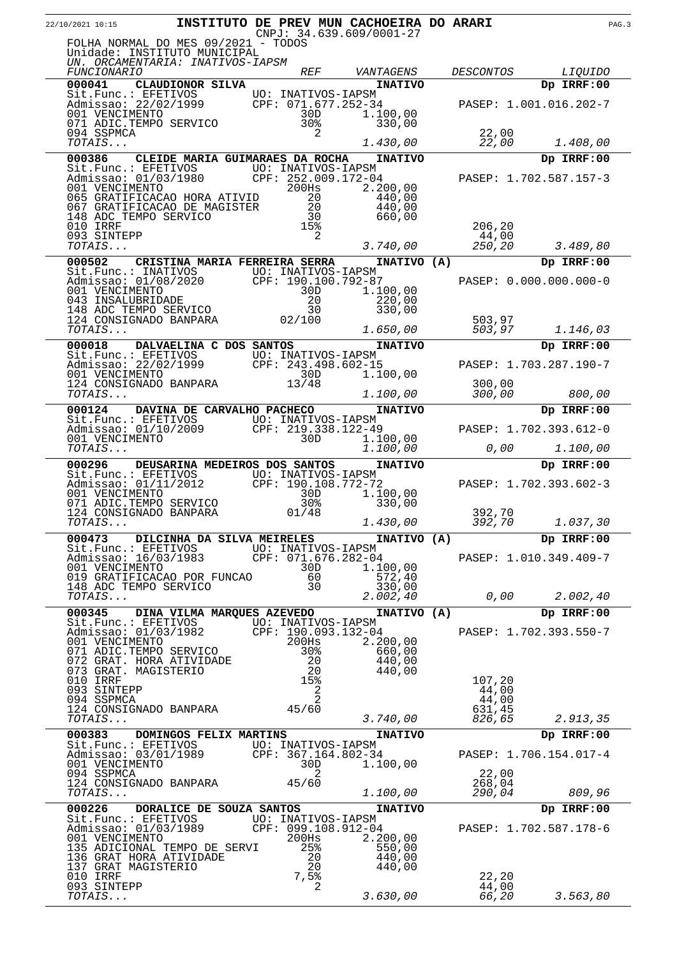| 22/10/2021 10:15                                                                                                 |                                 |                     |                          | <b>INSTITUTO DE PREV MUN CACHOEIRA DO ARARI</b><br>$CNPJ: 34.639.609/0001-27$ |                  |                        | PAG.3 |
|------------------------------------------------------------------------------------------------------------------|---------------------------------|---------------------|--------------------------|-------------------------------------------------------------------------------|------------------|------------------------|-------|
| FOLHA NORMAL DO MES 09/2021 - TODOS<br>Unidade: INSTITUTO MUNICIPAL<br>UN. ORCAMENTARIA: INATIVOS-IAPSM          |                                 |                     |                          |                                                                               |                  |                        |       |
| <i>FUNCIONARIO</i>                                                                                               |                                 |                     | <i>REF</i>               | VANTAGENS                                                                     | <b>DESCONTOS</b> | <i>LIQUIDO</i>         |       |
| 000041                                                                                                           | CLAUDIONOR SILVA                |                     |                          | <b>INATIVO</b>                                                                |                  | Dp IRRF:00             |       |
| Sit.Func.: EFETIVOS UO: INATIVOS-IAPSM<br>Admissao: 22/02/1999 CPF: 071.677.252-34<br>001 VENCIMENTO 30D 1.10    |                                 |                     |                          | 1.100,00                                                                      |                  | PASEP: 1.001.016.202-7 |       |
| 071 ADIC.TEMPO SERVICO<br>094 SSPMCA<br>TOTAIS                                                                   |                                 |                     | 30%<br>2                 | 330,00<br>1.430,00                                                            | 22,00<br>22,00   | 1.408,00               |       |
| 000386                                                                                                           | CLEIDE MARIA GUIMARAES DA ROCHA |                     |                          | <b>INATIVO</b>                                                                |                  | Dp IRRF:00             |       |
| Sit.Func.: EFETIVOS UO: INATIVOS-IAPSM                                                                           |                                 |                     |                          |                                                                               |                  |                        |       |
| SIL: unit : 01/03/1980<br>011 VENCIMENTO 200Hs 2.20                                                              |                                 |                     |                          | 2,200,00                                                                      |                  | PASEP: 1.702.587.157-3 |       |
| 065 GRATIFICACAO HORA ATIVID<br>067 GRATIFICACAO DE MAGISTER                                                     |                                 |                     | 20<br>20                 | 440,00<br>440,00                                                              |                  |                        |       |
| 148 ADC TEMPO SERVICO                                                                                            |                                 |                     | 30                       | 660,00                                                                        |                  |                        |       |
| 010 IRRF<br>093 SINTEPP                                                                                          |                                 |                     | 15%<br>2                 |                                                                               | 206,20<br>44,00  |                        |       |
| TOTAIS                                                                                                           |                                 |                     |                          | 3.740,00                                                                      | 250,20           | 3.489,80               |       |
| 000502                                                                                                           | CRISTINA MARIA FERREIRA SERRA   |                     |                          | INATIVO (A)                                                                   |                  | Dp IRRF:00             |       |
| Sit.Func.: INATIVOS<br>Admissao: 01/08/2020 CPF: 190.100.792-87<br>Admissao: 01/08/2020                          |                                 |                     |                          |                                                                               |                  | PASEP: 0.000.000.000-0 |       |
| 001 VENCIMENTO                                                                                                   |                                 |                     | 30D                      | 1.100,00<br>220,00                                                            |                  |                        |       |
| 001 VENCINENTION<br>148 ADC TEMPO SERVICO 30<br>124 CONSIGNADO BANPARA 02/100                                    |                                 |                     |                          | 330,00                                                                        |                  |                        |       |
| TOTAIS                                                                                                           |                                 |                     |                          | 1.650,00                                                                      | 503,97<br>503,97 | 1.146,03               |       |
| 000018                                                                                                           | DALVAELINA C DOS SANTOS         |                     |                          | <b>INATIVO</b>                                                                |                  | Dp IRRF:00             |       |
| Sit.Func.: EFETIVOS UO: INATIVOS-IAPSM<br>Admissao: 22/02/1999 CPF: 243.498.602-15<br>001 VENCIMENTO 30D 1.10    |                                 |                     |                          |                                                                               |                  | PASEP: 1.703.287.190-7 |       |
| 001 VENCIMENTO                                                                                                   |                                 |                     | 30D                      | 1.100,00                                                                      |                  |                        |       |
| 124 CONSIGNADO BANPARA<br>TOTAIS                                                                                 |                                 |                     | 13/48                    | 1.100,00                                                                      | 300,00<br>300,00 | 800,00                 |       |
| 000124                                                                                                           | DAVINA DE CARVALHO PACHECO      |                     |                          | <b>INATIVO</b>                                                                |                  | Dp IRRF:00             |       |
| Sit.Func.: EFETIVOS UO: INATIVOS-IAPSM<br>Admissao: 01/10/2009                                                   |                                 | CPF: 219.338.122-49 |                          |                                                                               |                  | PASEP: 1.702.393.612-0 |       |
| 001 VENCIMENTO                                                                                                   |                                 |                     | 30D.                     | 1.100,00                                                                      |                  |                        |       |
| <i>TOTAIS</i>                                                                                                    |                                 |                     |                          | 1.100,00                                                                      | 0,00             | 1.100,00               |       |
| 000296<br>Sit.Func.: EFETIVOS                                                                                    | DEUSARINA MEDEIROS DOS SANTOS   | UO: INATIVOS-IAPSM  |                          | <b>INATIVO</b>                                                                |                  | Dp IRRF:00             |       |
| Admissao: 01/11/2012<br>001 VENCIMENTO                                                                           |                                 | CPF: 190.108.772-72 | 30D                      | 1.100,00                                                                      |                  | PASEP: 1.702.393.602-3 |       |
| 071 ADIC.TEMPO SERVICO<br>124 CONSIGNADO BANPARA                                                                 |                                 |                     | 30 <sub>8</sub><br>01/48 | 330,00                                                                        | 392,70           |                        |       |
| TOTAIS                                                                                                           |                                 |                     |                          | 1.430,00                                                                      | 392,70           | 1.037,30               |       |
| 000473 DILCINHA DA SILVA MEIRELES                                                                                |                                 |                     |                          | INATIVO (A)                                                                   |                  | Dp IRRF:00             |       |
| Sit.Func.: EFETIVOS UO: INATIVOS-IAPSM<br>Admissao: 16/03/1983 CPF: 071.676.282-04                               |                                 |                     |                          |                                                                               |                  | PASEP: 1.010.349.409-7 |       |
| 001 VENCIMENTO<br>019 GRATIFICACAO POR FUNCAO                                                                    |                                 |                     | 30D                      | 1.100,00<br>572,40                                                            |                  |                        |       |
| 148 ADC TEMPO SERVICO<br>TOTALS                                                                                  |                                 |                     | 60<br>30                 | 330,00                                                                        |                  |                        |       |
| TOTAIS                                                                                                           |                                 |                     |                          | 2.002,40                                                                      | 0,00             | 2.002,40               |       |
| 000345 DINA VILMA MARQUES AZEVEDO<br>Sit.Func.: EFETIVOS UO: INATIVOS-IAPSM                                      |                                 |                     |                          | INATIVO (A)                                                                   |                  | Dp IRRF:00             |       |
| Admissao: 01/03/1982<br>001 VENCIMENTO 200Hs 2.20                                                                |                                 |                     |                          | 2.200,00                                                                      |                  | PASEP: 1.702.393.550-7 |       |
| 071 ADIC.TEMPO SERVICO                                                                                           |                                 |                     |                          | 660,00                                                                        |                  |                        |       |
| 072 GRAT. HORA ATIVIDADE<br>073 GRAT. MAGISTERIO                                                                 |                                 |                     | $30*$<br>20<br>20<br>20  | 440,00<br>440,00                                                              |                  |                        |       |
| 010 IRRF                                                                                                         |                                 |                     | 15%                      |                                                                               | 107,20           |                        |       |
| 093 SINTEPP<br>094 SSPMCA                                                                                        |                                 |                     | $\overline{a}$<br>2      |                                                                               | 44,00<br>44,00   |                        |       |
| 124 CONSIGNADO BANPARA 45/60<br>TOTAIS                                                                           |                                 |                     |                          | 3.740,00                                                                      | 631,45<br>826,65 | 2.913,35               |       |
| 000383 DOMINGOS FELIX MARTINS                                                                                    |                                 |                     |                          | <b>INATIVO</b>                                                                |                  | Dp IRRF:00             |       |
| Sit.Func.: EFETIVOS UO: INATIVOS-IAPSM                                                                           |                                 |                     |                          |                                                                               |                  |                        |       |
| Admissao: 03/01/1989 CPF: 367.164.802-34<br>001 VENCIMENTO                                                       |                                 |                     | 30D                      | 1.100,00                                                                      |                  | PASEP: 1.706.154.017-4 |       |
| 094 SSPMCA<br>124 CONSIGNADO BANPARA                                                                             |                                 |                     | 2<br>45/60               |                                                                               | 22,00<br>268,04  |                        |       |
| TOTAIS                                                                                                           |                                 |                     |                          | 1.100,00                                                                      | 290,04           | 809,96                 |       |
| 000226 DORALICE DE SOUZA SANTOS                                                                                  |                                 |                     |                          | <b>INATIVO</b>                                                                |                  | Dp IRRF:00             |       |
| Sit.Func.: EFETIVOS UO: INATIVOS-IAPSM<br>Admissao: 01/03/1989 CPF: 099.108.912-04<br>001 VENCIMENTO 200Hs 2.200 |                                 |                     |                          |                                                                               |                  | PASEP: 1.702.587.178-6 |       |
| 001 VENCIMENTO<br>135 ADICIONAL TEMPO DE SERVI                                                                   |                                 |                     | 200Hs<br>25%             | 2.200,00<br>550,00                                                            |                  |                        |       |
| 136 GRAT HORA ATIVIDADE                                                                                          |                                 |                     | $\frac{20}{2}$           | 440,00                                                                        |                  |                        |       |
| 137 GRAT MAGISTERIO<br>010 IRRF                                                                                  |                                 |                     | 20<br>7,5%               | 440,00                                                                        | 22,20            |                        |       |
| 093 SINTEPP<br>TOTAIS                                                                                            |                                 |                     | 2                        | 3.630,00                                                                      | 44,00<br>66,20   | 3.563,80               |       |
|                                                                                                                  |                                 |                     |                          |                                                                               |                  |                        |       |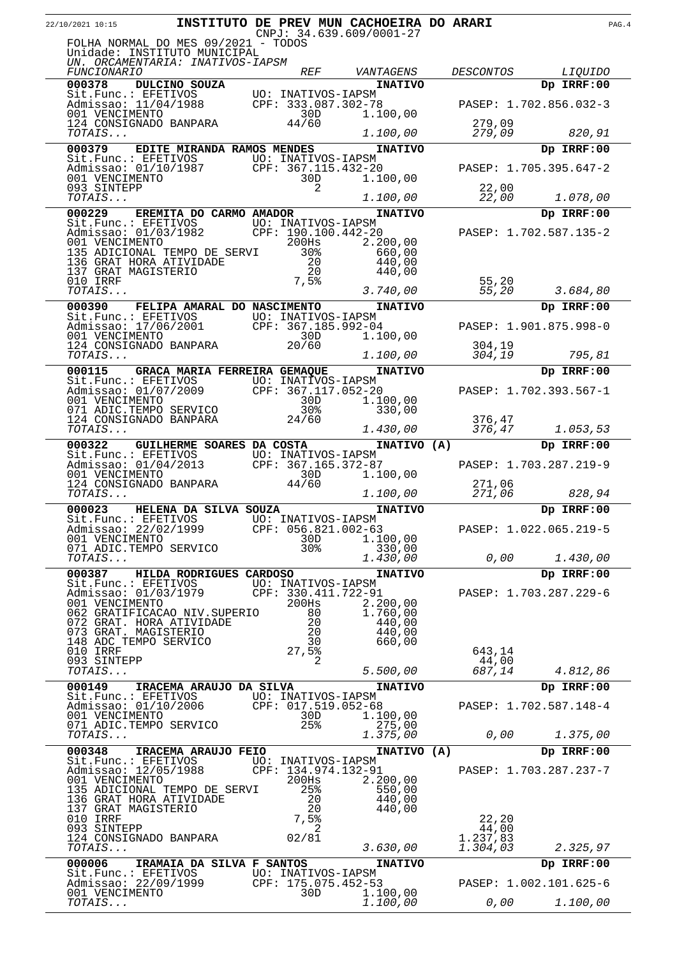| 22/10/2021 10:15                                                                                               |                                   |                                           | INSTITUTO DE PREV MUN CACHOEIRA DO ARARI<br>$CNPJ: 34.639.609/0001-27$ |                  |                        | PAG. 4 |
|----------------------------------------------------------------------------------------------------------------|-----------------------------------|-------------------------------------------|------------------------------------------------------------------------|------------------|------------------------|--------|
| FOLHA NORMAL DO MES 09/2021 - TODOS<br>Unidade: INSTITUTO MUNICIPAL                                            |                                   |                                           |                                                                        |                  |                        |        |
| UN. ORCAMENTARIA: INATIVOS-IAPSM                                                                               |                                   |                                           |                                                                        |                  |                        |        |
| <i>FUNCIONARIO</i>                                                                                             |                                   | <i>REF</i>                                | VANTAGENS                                                              | <i>DESCONTOS</i> | <i>LIQUIDO</i>         |        |
| 000378<br>DULCINO SOUZA                                                                                        |                                   |                                           | <b>INATIVO</b>                                                         |                  | Dp IRRF:00             |        |
| Sit.Func.: EFETIVOS<br>Admissao: 11/04/1988 CPF: 333.087.302-78<br>001 VENCIMENTO 30D 1.10                     |                                   |                                           |                                                                        |                  | PASEP: 1.702.856.032-3 |        |
| 124 CONSIGNADO BANPARA                                                                                         |                                   | 44/60                                     | 1,100,00                                                               | 279,09           |                        |        |
| TOTAIS                                                                                                         |                                   |                                           | 1.100,00                                                               | 279,09           | 820,91                 |        |
| 000379                                                                                                         | <b>EDITE MIRANDA RAMOS MENDES</b> |                                           | <b>INATIVO</b>                                                         |                  | Dp IRRF:00             |        |
| Sit.Func.: EFETIVOS UO: INATIVOS-IAPSM<br>Admissao: 01/10/1987 CPF: 367.115.432-20                             |                                   |                                           |                                                                        |                  | PASEP: 1.705.395.647-2 |        |
| 001 VENCIMENTO<br>093 SINTEPP                                                                                  |                                   | 30D<br>2                                  | 1.100,00                                                               | 22,00            |                        |        |
| TOTAIS                                                                                                         |                                   |                                           | 1.100,00                                                               | 22,00            | 1.078,00               |        |
| 000229                                                                                                         | EREMITA DO CARMO AMADOR           |                                           | <b>INATIVO</b>                                                         |                  | Dp IRRF:00             |        |
| Sit.Func.: EFETIVOS UO: INATIVOS-IAPSM<br>Admissao: 01/03/1982 CPF: 190.100.442-20<br>001 VENCIMENTO 200Hs 2.2 |                                   | CPF: 190.100.442-20                       |                                                                        |                  | PASEP: 1.702.587.135-2 |        |
| 001 VENCIMENTO                                                                                                 |                                   | 200Hs                                     | 2.200,00                                                               |                  |                        |        |
| 135 ADICIONAL TEMPO DE SERVI                                                                                   |                                   | 30 <sup>8</sup><br>20                     | 660,00<br>440,00                                                       |                  |                        |        |
| 136 GRAT HORA ATIVIDADE<br>137 GRAT MAGISTERIO<br>010 IRRF                                                     |                                   | 20<br>$7,5$ $\,$                          | 440,00                                                                 | 55,20            |                        |        |
| TOTAIS                                                                                                         |                                   |                                           | 3.740,00                                                               | 55,20            | 3.684,80               |        |
| 000390                                                                                                         | FELIPA AMARAL DO NASCIMENTO       |                                           | <b>INATIVO</b>                                                         |                  | Dp IRRF:00             |        |
| Sit.Func.: EFETIVOS UO: INATIVOS-IAPSM<br>Admission: 17/06/2001 CPF: 367.185.992-04                            |                                   |                                           |                                                                        |                  | PASEP: 1.901.875.998-0 |        |
| 001 VENCIMENTO                                                                                                 |                                   | 30D                                       | 1,100,00                                                               |                  |                        |        |
| 124 CONSIGNADO BANPARA<br>TOTAIS                                                                               |                                   | 20/60                                     | 1.100,00                                                               | 304,19<br>304,19 | 795,81                 |        |
| 000115 GRACA MARIA FERREIRA GEMAQUE                                                                            |                                   |                                           | <b>INATIVO</b>                                                         |                  | Dp IRRF:00             |        |
| Sit.Func.: EFETIVOS UO: INATIVOS-IAPSM<br>Admissao: 01/07/2009 CPF: 367.117.052-20<br>001 VENCIMENTO 30D 1.10  |                                   |                                           |                                                                        |                  | PASEP: 1.702.393.567-1 |        |
|                                                                                                                |                                   |                                           | 1.100,00                                                               |                  |                        |        |
| 071 ADIC.TEMPO SERVICO<br>124 CONSIGNADO BANPARA                                                               |                                   | 30 <sub>8</sub><br>24/60                  | 330,00                                                                 | 376,47           |                        |        |
| TOTAIS                                                                                                         |                                   |                                           | 1.430,00                                                               | 376,47           | 1.053,53               |        |
| 000322                                                                                                         | <b>GUILHERME SOARES DA COSTA</b>  |                                           | INATIVO (A)                                                            |                  | Dp IRRF:00             |        |
| Sit.Func.: EFETIVOS<br>Admissao: 01/04/2013<br>001 VENCIMENTO                                                  |                                   | UO: INATIVOS-IAPSM<br>CPF: 367.165.372-87 |                                                                        |                  | PASEP: 1.703.287.219-9 |        |
| 001 VENCIMENTO<br>124 CONSIGNADO BANPARA                                                                       |                                   | 30D<br>44/60                              | 1.100,00                                                               | 271,06           |                        |        |
| TOTAIS                                                                                                         |                                   |                                           | 1.100,00                                                               | 271,06           | 828,94                 |        |
| 000023                                                                                                         | HELENA DA SILVA SOUZA             |                                           | <b>INATIVO</b>                                                         |                  | Dp IRRF:00             |        |
| Sit.Func.: EFETIVOS<br>Admissao: $2\overline{2}/\overline{0}\overline{2}/1999$                                 |                                   | UO: INATIVOS-IAPSM                        | CPF: 056.821.002-63                                                    |                  | PASEP: 1.022.065.219-5 |        |
| 001 VENCIMENTO<br>071 ADIC.TEMPO SERVICO                                                                       |                                   | 30D<br>30%                                | 1.100,00<br>330,00                                                     |                  |                        |        |
| TOTAIS                                                                                                         |                                   |                                           | 1.430,00                                                               | 0,00             | 1.430,00               |        |
| 000387 HILDA RODRIGUES CARDOSO                                                                                 |                                   |                                           | <b>INATIVO</b>                                                         |                  | Dp IRRF:00             |        |
| Sit.Func.: EFETIVOS UO: INATIVOS-IAPSM<br>Admissao: 01/03/1979                                                 |                                   | CPF: 330.411.722-91                       |                                                                        |                  | PASEP: 1.703.287.229-6 |        |
| 001 VENCIMENTO                                                                                                 |                                   | 200Hs                                     | 2.200,00                                                               |                  |                        |        |
| 062 GRATIFICACAO NIV. SUPERIO<br>072 GRAT. HORA ATIVIDADE                                                      |                                   | 80<br>20                                  | 1.760,00<br>440,00                                                     |                  |                        |        |
| 073 GRAT. MAGISTERIO<br>148 ADC TEMPO SERVICO                                                                  |                                   | 20<br>30                                  | 440,00<br>660,00                                                       |                  |                        |        |
| 010 IRRF                                                                                                       |                                   | 27,5%                                     |                                                                        | 643,14           |                        |        |
| 093 SINTEPP<br>TOTAIS                                                                                          |                                   | 2                                         | 5.500,00                                                               | 44,00<br>687,14  | 4.812,86               |        |
| 000149                                                                                                         | IRACEMA ARAUJO DA SILVA           |                                           | <b>INATIVO</b>                                                         |                  | Dp IRRF:00             |        |
| Sit.Func.: EFETIVOS UO: INATIVOS-IAPSM<br>Admissao: 01/10/2006 CPF: 017.519.052-68                             |                                   |                                           |                                                                        |                  | PASEP: 1.702.587.148-4 |        |
| 001 VENCIMENTO                                                                                                 |                                   | 30D                                       | 1.100,00                                                               |                  |                        |        |
| 071 ADIC.TEMPO SERVICO<br>TOTAIS                                                                               |                                   | 25%                                       | 275,00<br>1.375,00                                                     | 0,00             | 1.375,00               |        |
| 000348                                                                                                         | IRACEMA ARAUJO FEIO               |                                           | INATIVO (A)                                                            |                  | Dp IRRF:00             |        |
| Sit.Func.: EFETIVOS UO: INATIVOS-IAPSM                                                                         |                                   |                                           |                                                                        |                  |                        |        |
| Admissao: 12/05/1988<br>001 VENCIMENTO                                                                         |                                   | CPF: 134.974.132-91<br>200Hs              | 2.200,00                                                               |                  | PASEP: 1.703.287.237-7 |        |
| 135 ADICIONAL TEMPO DE SERVI                                                                                   |                                   | 25%<br>20                                 | 550,00                                                                 |                  |                        |        |
| 136 GRAT HORA ATIVIDADE<br>137 GRAT MAGISTERIO                                                                 |                                   | 20                                        | 440,00<br>440,00                                                       |                  |                        |        |
| 010 IRRF<br>093 SINTEPP                                                                                        |                                   | 7,5%<br>2                                 |                                                                        | 22,20<br>44,00   |                        |        |
| 124 CONSIGNADO BANPARA                                                                                         |                                   | 02/81                                     |                                                                        | 1.237,83         |                        |        |
| TOTAIS                                                                                                         |                                   |                                           | 3.630,00                                                               | 1.304,03         | 2.325,97               |        |
| 000006<br>Sit.Func.: EFETIVOS UO: INATIVOS-IAPSM                                                               | IRAMAIA DA SILVA F SANTOS         |                                           | <b>INATIVO</b>                                                         |                  | Dp IRRF:00             |        |
| Admissao: 22/09/1999<br>001 VENCIMENTO                                                                         |                                   | CPF: 175.075.452-53<br>30D                | 1.100,00                                                               |                  | PASEP: 1.002.101.625-6 |        |
| TOTAIS                                                                                                         |                                   |                                           | 1.100,00                                                               |                  | $0,00$ $1.100,00$      |        |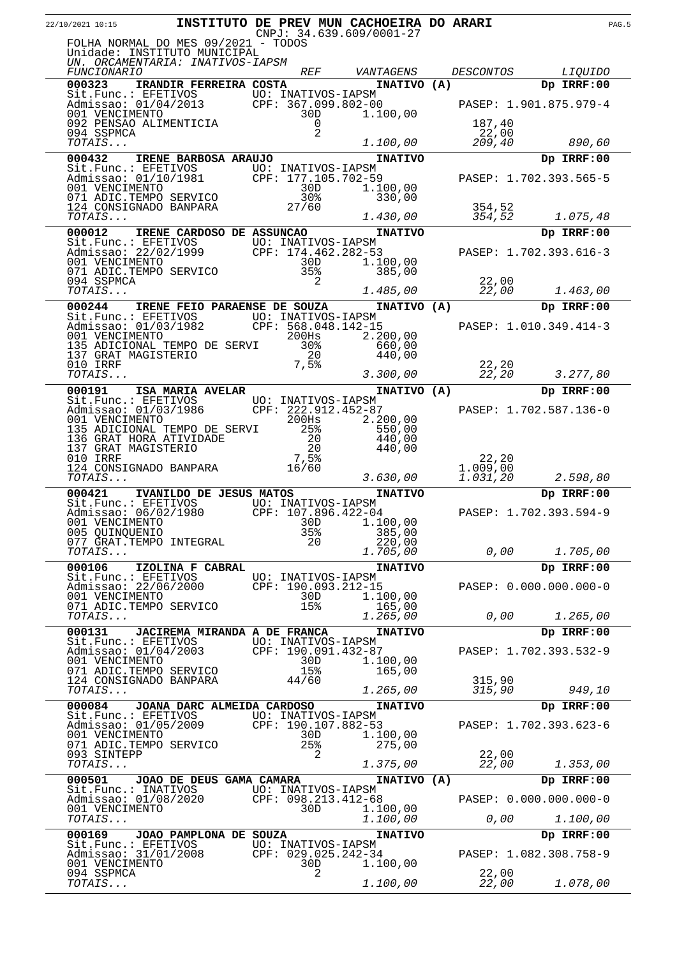| 22/10/2021 10:15                                                                                                                                |                                     |                                           |                       | INSTITUTO DE PREV MUN CACHOEIRA DO ARARI<br>$CNPJ: 34.639.609/0001-27$ |                      |                              | PAG.5 |
|-------------------------------------------------------------------------------------------------------------------------------------------------|-------------------------------------|-------------------------------------------|-----------------------|------------------------------------------------------------------------|----------------------|------------------------------|-------|
| FOLHA NORMAL DO MES 09/2021 - TODOS<br>Unidade: INSTITUTO MUNICIPAL<br>UN. ORCAMENTARIA: INATIVOS-IAPSM                                         |                                     |                                           | <i>REF</i>            |                                                                        |                      |                              |       |
| <i>FUNCIONARIO</i><br>000323                                                                                                                    | IRANDIR FERREIRA COSTA              |                                           |                       | VANTAGENS<br>INATIVO (A)                                               | <i>DESCONTOS</i>     | <i>LIQUIDO</i><br>Dp IRRF:00 |       |
| Sit.Func.: EFETIVOS<br>Admissao: 01/04/2013 CPF: 367.099.802-00<br>001 VENCIMENTO 30D 1.10<br>092 PENSAO ALIMENTICIA 09                         |                                     |                                           |                       | 1.100,00                                                               |                      | PASEP: 1.901.875.979-4       |       |
| 094 SSPMCA                                                                                                                                      |                                     |                                           | 2                     |                                                                        | 187,40<br>22,00      |                              |       |
| TOTAIS                                                                                                                                          |                                     |                                           |                       | 1.100,00                                                               | 209,40               | 890,60                       |       |
| 000432                                                                                                                                          | IRENE BARBOSA ARAUJO                |                                           |                       | <b>INATIVO</b>                                                         |                      | Dp IRRF:00                   |       |
| Sit.Func.: EFETIVOS<br>Admissao: 01/10/1981 CPF: 177.105.702-59<br>001 VENCIMENTO 30D 1.10<br>071 ADIC.TEMPO SERVICO 30% 3                      |                                     |                                           |                       | 1.100,00<br>330,00                                                     |                      | PASEP: 1.702.393.565-5       |       |
| 124 CONSIGNADO BANPARA<br>TOTAIS                                                                                                                |                                     | $\frac{302}{308}$<br>27/60                |                       | 1.430,00                                                               | 354,52<br>354,52     | 1.075,48                     |       |
| 000012                                                                                                                                          | IRENE CARDOSO DE ASSUNCAO           |                                           |                       | <b>INATIVO</b>                                                         |                      | Dp IRRF:00                   |       |
| Sit.Func.: EFETIVOS<br>Admissao: 22/02/1999 CPF: 174.462.282-53<br>001 VENCIMENTO 30D 1.100,00<br>071 ADIC.TEMPO SERVICO 35 <sup>8</sup> 385,00 |                                     |                                           |                       |                                                                        |                      | PASEP: 1.702.393.616-3       |       |
|                                                                                                                                                 |                                     |                                           |                       |                                                                        |                      |                              |       |
| 094 SSPMCA<br>TOTAIS                                                                                                                            |                                     |                                           | 2                     | 1.485,00                                                               | 22,00<br>22,00       | 1.463,00                     |       |
| 000244                                                                                                                                          | IRENE FEIO PARAENSE DE SOUZA        |                                           |                       | INATIVO (A)                                                            |                      | Dp IRRF:00                   |       |
| Sit.Func.: EFETIVOS UO: INATIVOS-IAPSM                                                                                                          |                                     | CPF: 568.048.142-15                       |                       |                                                                        |                      | PASEP: 1.010.349.414-3       |       |
| Admissao: 01/03/1982<br>001 VENCIMENTO<br>001 VENCIMENTO                                                                                        |                                     |                                           | 200Hs                 | 2.200,00                                                               |                      |                              |       |
| 135 ADICIONAL TEMPO DE SERVI                                                                                                                    |                                     |                                           | 30%<br>20             | 660,00<br>440,00                                                       |                      |                              |       |
| 137 GRAT MAGISTERIO<br>010 IRRF<br><i>TOTAIS</i><br>TOTAIS                                                                                      |                                     |                                           | 7,5%                  | 3.300,00                                                               | 22,20<br>22,20       | 3.277,80                     |       |
| 000191                                                                                                                                          | ISA MARIA AVELAR                    |                                           |                       | INATIVO (A)                                                            |                      | Dp IRRF:00                   |       |
| Sit.Func.: EFETIVOS UO: INATIVOS-IAPSM<br>Admissao: 01/03/1986 CPF: 222.912.452-87<br>001 VENCIMENTO 200Hs 2.2                                  |                                     | CPF: 222.912.452-87                       |                       |                                                                        |                      | PASEP: 1.702.587.136-0       |       |
| 001 VENCIMENTO<br>135 ADICIONAL TEMPO DE SERVI                                                                                                  |                                     |                                           | 200Hs<br>25%          | 2.200,00<br>550,00                                                     |                      |                              |       |
| 136 GRAT HORA ATIVIDADE<br>137 GRAT MAGISTERIO<br>137 GRAT MAGISTERIO                                                                           |                                     |                                           | $\frac{20}{20}$<br>20 | 440,00<br>440,00                                                       |                      |                              |       |
| 010 IRRF<br>124 CONSIGNADO BANPARA                                                                                                              |                                     |                                           | 7,5%                  |                                                                        | 22,20                |                              |       |
| TOTAIS                                                                                                                                          |                                     |                                           | 16/60                 | 3.630,00                                                               | 1.009,00<br>1.031,20 | 2.598,80                     |       |
| 000421                                                                                                                                          | IVANILDO DE JESUS MATOS             |                                           |                       | <b>INATIVO</b>                                                         |                      | Dp IRRF:00                   |       |
| Sit.Func.: EFETIVOS UO: INATIVOS-IAPSM<br>Admissao: 06/02/1980                                                                                  |                                     | CPF: 107.896.422-04                       |                       |                                                                        |                      | PASEP: 1.702.393.594-9       |       |
| 001 VENCIMENTO<br>005 QUINQUENIO                                                                                                                |                                     |                                           | 30D<br>35%            | 1.100,00<br>385,00                                                     |                      |                              |       |
| 077 GRAT. TEMPO INTEGRAL<br>TOTAIS                                                                                                              |                                     |                                           | 20                    | 220,00<br>1.705,00                                                     |                      | 0,00<br>1.705,00             |       |
| 000106                                                                                                                                          | IZOLINA F CABRAL                    |                                           |                       | <b>INATIVO</b>                                                         |                      | Dp IRRF:00                   |       |
| Sit. Func.: EFETIVOS<br>Admissao: 22/06/2000                                                                                                    |                                     | UO: INATIVOS-IAPSM<br>CPF: 190.093.212-15 |                       |                                                                        |                      | PASEP: 0.000.000.000-0       |       |
| 001 VENCIMENTO                                                                                                                                  |                                     |                                           | 30D                   | 1.100,00                                                               |                      |                              |       |
| 071 ADIC.TEMPO SERVICO<br>TOTAIS                                                                                                                |                                     |                                           | 15%                   | 165,00<br>1.265,00                                                     |                      | 0,00<br>1.265,00             |       |
| 000131                                                                                                                                          | <b>JACIREMA MIRANDA A DE FRANCA</b> |                                           |                       | <b>INATIVO</b>                                                         |                      | Dp IRRF:00                   |       |
| Sit.Func.: EFETIVOS<br>Admissao: 01/04/2003                                                                                                     |                                     | UO: INATIVOS-IAPSM<br>CPF: 190.091.432-87 |                       |                                                                        |                      | PASEP: 1.702.393.532-9       |       |
| 001 VENCIMENTO<br>071 ADIC.TEMPO SERVICO                                                                                                        |                                     |                                           | 30D<br>15%            | 1.100,00<br>165,00                                                     |                      |                              |       |
| 124 CONSIGNADO BANPARA                                                                                                                          |                                     |                                           | 44/60                 |                                                                        | 315,90               |                              |       |
| TOTAIS<br>000084                                                                                                                                | JOANA DARC ALMEIDA CARDOSO          |                                           |                       | 1.265,00<br><b>INATIVO</b>                                             | 315,90               | 949,10<br>Dp IRRF:00         |       |
| Sit.Func.: EFETIVOS                                                                                                                             |                                     | UO: INATIVOS-IAPSM                        |                       |                                                                        |                      |                              |       |
| Admissao: 01/05/2009<br>001 VENCIMENTO                                                                                                          |                                     | CPF: 190.107.882-53                       | 30D                   | 1.100,00                                                               |                      | PASEP: 1.702.393.623-6       |       |
| 071 ADIC.TEMPO SERVICO<br>093 SINTEPP                                                                                                           |                                     |                                           | 25%<br>2              | 275,00                                                                 | 22,00                |                              |       |
| TOTAIS                                                                                                                                          |                                     |                                           |                       | 1.375,00                                                               | 22,00                | 1.353,00                     |       |
| 000501<br>Sit.Func.: INATIVOS                                                                                                                   | JOAO DE DEUS GAMA CAMARA            | UO: INATIVOS-IAPSM                        |                       | INATIVO (A)                                                            |                      | Dp IRRF:00                   |       |
| Admissao: 01/08/2020                                                                                                                            |                                     | CPF: 098.213.412-68                       |                       |                                                                        |                      | PASEP: 0.000.000.000-0       |       |
| 001 VENCIMENTO<br>TOTAIS                                                                                                                        |                                     |                                           | 30D                   | 1.100,00<br>1.100,00                                                   |                      | 0,00<br>1.100,00             |       |
| 000169                                                                                                                                          | JOAO PAMPLONA DE SOUZA              |                                           |                       | <b>INATIVO</b>                                                         |                      | Dp IRRF:00                   |       |
| Sit.Func.: EFETIVOS<br>Admissao: 31/01/2008                                                                                                     |                                     | UO: INATIVOS-IAPSM<br>CPF: 029.025.242-34 |                       |                                                                        |                      | PASEP: 1.082.308.758-9       |       |
| 001 VENCIMENTO<br>094 SSPMCA                                                                                                                    |                                     |                                           | 30D<br>2              | 1.100,00                                                               | 22,00                |                              |       |
| TOTAIS                                                                                                                                          |                                     |                                           |                       | 1.100,00                                                               | 22,00                | 1.078,00                     |       |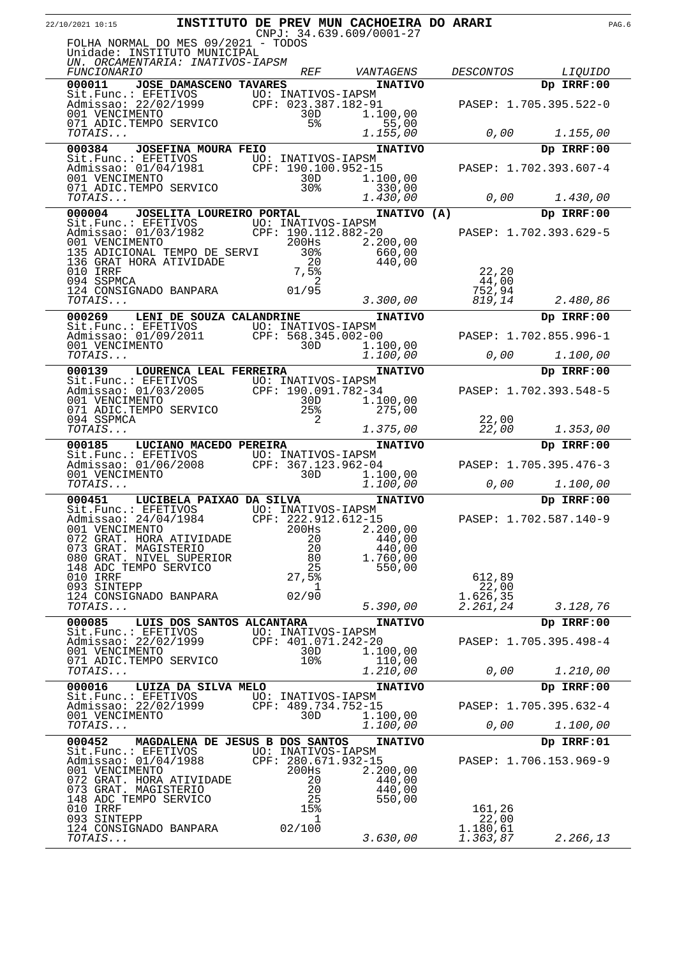| 22/10/2021 10:15                                                                                              |                                 |                                           | INSTITUTO DE PREV MUN CACHOEIRA DO ARARI<br>$CNPJ: 34.639.609/0001-27$ |                   |                              | PAG.6 |
|---------------------------------------------------------------------------------------------------------------|---------------------------------|-------------------------------------------|------------------------------------------------------------------------|-------------------|------------------------------|-------|
| FOLHA NORMAL DO MES 09/2021 - TODOS<br>Unidade: INSTITUTO MUNICIPAL                                           |                                 |                                           |                                                                        |                   |                              |       |
| UN. ORCAMENTARIA: INATIVOS-IAPSM                                                                              |                                 |                                           |                                                                        |                   |                              |       |
| <i>FUNCIONARIO</i><br>000011                                                                                  |                                 | <i>REF</i>                                | VANTAGENS                                                              | <b>DESCONTOS</b>  | <i>LIQUIDO</i><br>Dp IRRF:00 |       |
| Sit.Func.: EFETIVOS                                                                                           | JOSE DAMASCENO TAVARES          | UO: INATIVOS-IAPSM                        | <b>INATIVO</b>                                                         |                   |                              |       |
| Admissao: 22/02/1999<br>001 VENCIMENTO                                                                        |                                 | UO: INAIIVOS 111-1<br>CPF: 023.387.182-91 |                                                                        |                   | PASEP: 1.705.395.522-0       |       |
| 071 ADIC.TEMPO SERVICO                                                                                        |                                 | 30D<br>5 <sup>8</sup>                     | 1.100,00<br>55,00                                                      |                   |                              |       |
| TOTAIS                                                                                                        |                                 |                                           | 1.155,00                                                               | 0,00              | 1.155,00                     |       |
| 000384                                                                                                        | <b>JOSEFINA MOURA FEIO</b>      |                                           | <b>INATIVO</b>                                                         |                   | Dp IRRF:00                   |       |
| Sit.Func.: EFETIVOS UO: INATIVOS-IAPSM<br>Admissao: $01/04/1981$                                              |                                 | CPF: 190.100.952-15                       |                                                                        |                   | PASEP: 1.702.393.607-4       |       |
| 001 VENCIMENTO                                                                                                |                                 | 30D                                       | 1.100,00                                                               |                   |                              |       |
| 071 ADIC.TEMPO SERVICO<br>TOTAIS                                                                              |                                 | 30%                                       | 330,00<br>1.430,00                                                     | 0,00              | 1.430,00                     |       |
| 000004                                                                                                        | JOSELITA LOUREIRO PORTAL        |                                           | INATIVO (A)                                                            |                   | Dp IRRF:00                   |       |
| Sit.Func.: EFETIVOS UO: INATIVOS-IAPSM                                                                        |                                 |                                           |                                                                        |                   |                              |       |
| Admissao: 01/03/1982<br>001 VENCIMENTO<br>001 VENCIMENTO                                                      |                                 | CPF: 190.112.882-20<br>200Hs              | 2,200,00                                                               |                   | PASEP: 1.702.393.629-5       |       |
| 135 ADICIONAL TEMPO DE SERVI                                                                                  |                                 | 30 <sub>8</sub>                           | 660,00                                                                 |                   |                              |       |
| 136 GRAT HORA ATIVIDADE<br>010 IRRF                                                                           |                                 | 20<br>7,5%                                | 440,00                                                                 | 22, 20            |                              |       |
| 094 SSPMCA                                                                                                    |                                 | 2                                         |                                                                        | 44,00             |                              |       |
| 124 CONSIGNADO BANPARA<br>TOTAIS                                                                              |                                 | 01/95                                     | 3.300,00                                                               | 752,94<br>819,14  | 2.480,86                     |       |
| 000269                                                                                                        | LENI DE SOUZA CALANDRINE        |                                           | <b>INATIVO</b>                                                         |                   | Dp IRRF:00                   |       |
| Sit.Func.: EFETIVOS                                                                                           |                                 | UO: INATIVOS-IAPSM                        |                                                                        |                   |                              |       |
| Admissao: 01/09/2011<br>001 VENCIMENTO                                                                        |                                 | CPF: 568.345.002-00<br>30D                | 1.100,00                                                               |                   | PASEP: 1.702.855.996-1       |       |
| TOTAIS                                                                                                        |                                 |                                           | 1.100,00                                                               | 0,00              | 1.100,00                     |       |
| 000139                                                                                                        | LOURENCA LEAL FERREIRA          |                                           | <b>INATIVO</b>                                                         |                   | Dp IRRF:00                   |       |
| Sit.Func.: EFETIVOS UO: INATIVOS-IAPSM<br>Admissao: 01/03/2005 CPF: 190.091.782-34<br>001 VENCIMENTO 30D 1.10 |                                 |                                           |                                                                        |                   | PASEP: 1.702.393.548-5       |       |
| 001 VENCIMENTO<br>071 ADIC.TEMPO SERVICO                                                                      |                                 | 30D<br>25%                                | 1.100,00<br>275,00                                                     |                   |                              |       |
| 094 SSPMCA                                                                                                    |                                 |                                           |                                                                        | 22,00             |                              |       |
| TOTAIS                                                                                                        |                                 |                                           | 1.375,00                                                               | 22,00             | 1.353,00                     |       |
| 000185<br>Sit.Func.: EFETIVOS                                                                                 | LUCIANO MACEDO PEREIRA          | UO: INATIVOS-IAPSM                        | <b>INATIVO</b>                                                         |                   | Dp IRRF:00                   |       |
| Admissao: 01/06/2008<br>001 VENCIMENTO<br>TOTAIS                                                              |                                 | CPF: 367.123.962-04                       |                                                                        |                   | PASEP: 1.705.395.476-3       |       |
| TOTAIS                                                                                                        |                                 | 30D                                       | 1.100,00<br>1.100,00                                                   | 0,00              | 1.100,00                     |       |
| 000451                                                                                                        | LUCIBELA PAIXAO DA SILVA        |                                           | <b>INATIVO</b>                                                         |                   | Dp IRRF:00                   |       |
| Sit.Func.: EFETIVOS                                                                                           |                                 | UO: INATIVOS-IAPSM                        |                                                                        |                   |                              |       |
| Admissao: 24/04/1984<br>001 VENCIMENTO                                                                        |                                 | CPF: 222.912.612-15<br>200Hs              | 2.200,00                                                               |                   | PASEP: 1.702.587.140-9       |       |
| 072 GRAT. HORA ATIVIDADE                                                                                      |                                 | 20                                        | 440,00                                                                 |                   |                              |       |
| 073 GRAT. MAGISTERIO<br>080 GRAT. NIVEL SUPERIOR                                                              |                                 | 20<br>80                                  | 440,00<br>1.760,00                                                     |                   |                              |       |
| 148 ADC TEMPO SERVICO                                                                                         |                                 | 25                                        | 550,00                                                                 |                   |                              |       |
| 010 IRRF<br>093 SINTEPP                                                                                       |                                 | 27,5%<br>$\perp$                          |                                                                        | 612,89<br>22,00   |                              |       |
| 124 CONSIGNADO BANPARA                                                                                        |                                 | 02/90                                     |                                                                        | 1.626,35          |                              |       |
| TOTAIS                                                                                                        |                                 |                                           | 5.390,00                                                               | 2.261,24          | 3.128,76                     |       |
| 000085<br>Sit. Func.: EFETIVOS                                                                                | LUIS DOS SANTOS ALCANTARA       | UO: INATIVOS-IAPSM                        | <b>INATIVO</b>                                                         |                   | Dp IRRF:00                   |       |
| Admissao: 22/02/1999                                                                                          |                                 | CPF: 401.071.242-20                       |                                                                        |                   | PASEP: 1.705.395.498-4       |       |
| 001 VENCIMENTO<br>071 ADIC.TEMPO SERVICO                                                                      |                                 | 30D<br>10 <sub>8</sub>                    | 1.100,00<br>110,00                                                     |                   |                              |       |
| TOTAIS                                                                                                        |                                 |                                           | 1.210,00                                                               | 0,00              | 1.210,00                     |       |
| 000016<br>Sit.Func.: EFETIVOS                                                                                 | LUIZA DA SILVA MELO             | UO: INATIVOS-IAPSM                        | <b>INATIVO</b>                                                         |                   | Dp IRRF:00                   |       |
| Admissao: 22/02/1999                                                                                          |                                 | CPF: 489.734.752-15                       |                                                                        |                   | PASEP: 1.705.395.632-4       |       |
| 001 VENCIMENTO<br>TOTAIS                                                                                      |                                 | 30D                                       | 1.100,00<br>1.100,00                                                   | 0,00              | 1.100,00                     |       |
| 000452                                                                                                        | MAGDALENA DE JESUS B DOS SANTOS |                                           | <b>INATIVO</b>                                                         |                   | Dp IRRF:01                   |       |
| Sit.Func.: EFETIVOS                                                                                           |                                 | UO: INATIVOS-IAPSM                        |                                                                        |                   |                              |       |
| Admissao: 01/04/1988<br>001 VENCIMENTO                                                                        |                                 | CPF: 280.671.932-15<br>200Hs              | 2.200,00                                                               |                   | PASEP: 1.706.153.969-9       |       |
| 072 GRAT. HORA ATIVIDADE                                                                                      |                                 | 20                                        | 440,00                                                                 |                   |                              |       |
| 073 GRAT. MAGISTERIO<br>148 ADC TEMPO SERVICO                                                                 |                                 | 20<br>25                                  | 440,00<br>550,00                                                       |                   |                              |       |
| 010 IRRF                                                                                                      |                                 | 15%                                       |                                                                        | 161,26            |                              |       |
| 093 SINTEPP<br>124 CONSIGNADO BANPARA                                                                         |                                 | ı<br>02/100                               |                                                                        | 22,00<br>1.180,61 |                              |       |
| <i>TOTAIS</i>                                                                                                 |                                 |                                           | 3.630,00                                                               | 1.363,87          | 2.266,13                     |       |
|                                                                                                               |                                 |                                           |                                                                        |                   |                              |       |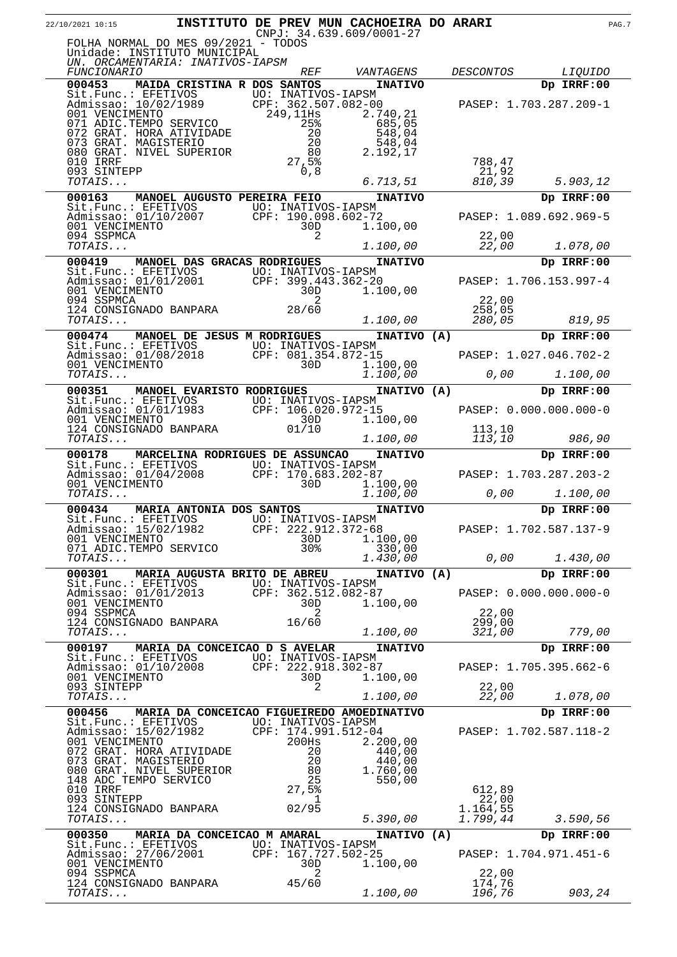| 22/10/2021 10:15                                                                                                                 |                                    |                    |   | INSTITUTO DE PREV MUN CACHOEIRA DO ARARI<br>CNPJ: 34.639.609/0001-27 |                      |                        | PAG.7 |
|----------------------------------------------------------------------------------------------------------------------------------|------------------------------------|--------------------|---|----------------------------------------------------------------------|----------------------|------------------------|-------|
| FOLHA NORMAL DO MES 09/2021 - TODOS<br>Unidade: INSTITUTO MUNICIPAL<br>UN. ORCAMENTARIA: INATIVOS-IAPSM                          |                                    |                    |   |                                                                      |                      |                        |       |
| <i>FUNCIONARIO</i>                                                                                                               |                                    | <b>REF</b>         |   | VANTAGENS                                                            | <b>DESCONTOS</b>     | <i>LIQUIDO</i>         |       |
| 000453                                                                                                                           | MAIDA CRISTINA R DOS SANTOS        |                    |   | <b>INATIVO</b>                                                       |                      | Dp IRRF:00             |       |
| Sit.Func.: EFETIVOS<br>Admissao: 10/02/1989 CPF: 362.507.082-00<br>001 VENCIMENTO 249,11Hs 2.74<br>071 ADIC.TEMPO SERVICO 25% 68 |                                    |                    |   |                                                                      |                      | PASEP: 1.703.287.209-1 |       |
|                                                                                                                                  |                                    |                    |   | 2.740,21                                                             |                      |                        |       |
| 072 GRAT. HORA ATIVIDADE                                                                                                         |                                    | 20                 |   | 685,05<br>548,04                                                     |                      |                        |       |
| 073 GRAT. MAGISTERIO                                                                                                             |                                    | 20                 |   | 548,04                                                               |                      |                        |       |
| 080 GRAT. NIVEL SUPERIOR<br>010 IRRF                                                                                             |                                    | 80<br>27,5%        |   | 2.192,17                                                             | 788,47               |                        |       |
| 093 SINTEPP                                                                                                                      |                                    | 0, 8               |   |                                                                      | 21,92                |                        |       |
| TOTAIS                                                                                                                           |                                    |                    |   | 6.713,51                                                             | 810,39               | 5.903,12               |       |
| 000163                                                                                                                           | MANOEL AUGUSTO PEREIRA FEIO        |                    |   | <b>INATIVO</b><br>UO: INATIVOS-IAPSM                                 |                      | Dp IRRF:00             |       |
| Sit.Func.: EFETIVOS<br>Admissao: 01/10/2007                                                                                      |                                    |                    |   | CPF: 190.098.602-72                                                  |                      | PASEP: 1.089.692.969-5 |       |
| 001 VENCIMENTO                                                                                                                   |                                    | 30D                |   | 1.100,00                                                             |                      |                        |       |
| 094 SSPMCA<br>TOTAIS                                                                                                             |                                    |                    | 2 | 1.100,00                                                             | 22,00<br>22,00       | 1.078,00               |       |
| 000419                                                                                                                           | <b>MANOEL DAS GRACAS RODRIGUES</b> |                    |   | <b>INATIVO</b>                                                       |                      | Dp IRRF:00             |       |
| Sit.Func.: EFETIVOS UO: INATIVOS-IAPSM<br>Admissao: 01/01/2001 CPF: 399.443.362-20                                               |                                    |                    |   |                                                                      |                      |                        |       |
| 001 VENCIMENTO                                                                                                                   |                                    | 30D                |   | 1.100,00                                                             |                      | PASEP: 1.706.153.997-4 |       |
| 094 SSPMCA                                                                                                                       |                                    |                    | 2 |                                                                      | 22,00                |                        |       |
| 124 CONSIGNADO BANPARA<br>TOTAIS                                                                                                 |                                    | 28/60              |   | 1.100,00                                                             | 258,05<br>280,05     | 819,95                 |       |
| 000474                                                                                                                           | MANOEL DE JESUS M RODRIGUES        |                    |   | INATIVO (A)                                                          |                      | Dp IRRF:00             |       |
| Sit.Func.: EFETIVOS UO: INATIVOS-IAPSM<br>Admissao: 01/08/2018 CPF: 081,354.872-15                                               |                                    |                    |   |                                                                      |                      |                        |       |
| 001 VENCIMENTO                                                                                                                   |                                    | 30D                |   | 1.100,00                                                             |                      | PASEP: 1.027.046.702-2 |       |
| TOTAIS                                                                                                                           |                                    |                    |   | 1.100,00                                                             | 0,00                 | 1.100,00               |       |
| 000351                                                                                                                           | <b>MANOEL EVARISTO RODRIGUES</b>   |                    |   | INATIVO (A)                                                          |                      | Dp IRRF:00             |       |
| Sit.Func.: EFETIVOS UO: INATIVOS-IAPSM<br>Admissao: 01/01/1983 CPF: 106.020.972-15<br>001 VENCIMENTO 30D 1.10                    |                                    |                    |   |                                                                      |                      | PASEP: 0.000.000.000-0 |       |
| 001 VENCIMENTO                                                                                                                   |                                    | 30D                |   | 1.100,00                                                             |                      |                        |       |
| 124 CONSIGNADO BANPARA<br>TOTAIS                                                                                                 |                                    | 01/10              |   | 1.100,00                                                             | 113,10<br>113,10     | 986,90                 |       |
| 000178                                                                                                                           | MARCELINA RODRIGUES DE ASSUNCAO    |                    |   | <b>INATIVO</b>                                                       |                      | Dp IRRF:00             |       |
| Sit.Func.: EFETIVOS UO: INATIVOS-IAPSM                                                                                           |                                    |                    |   |                                                                      |                      |                        |       |
| Admissao: 01/04/2008 CPF: 170.683.202-87<br>001 VENCIMENTO                                                                       |                                    | 30D                |   | 1.100,00                                                             |                      | PASEP: 1.703.287.203-2 |       |
| TOTAIS                                                                                                                           |                                    |                    |   | 1.100,00                                                             | 0,00                 | 1.100,00               |       |
| 000434                                                                                                                           | MARIA ANTONIA DOS SANTOS           |                    |   | <b>INATIVO</b>                                                       |                      | Dp IRRF:00             |       |
| Sit.Func.: EFETIVOS<br>Admissao: 15/02/1982                                                                                      |                                    | UO: INATIVOS-IAPSM |   | CPF: 222.912.372-68                                                  |                      | PASEP: 1.702.587.137-9 |       |
| 001 VENCIMENTO                                                                                                                   |                                    | 30D                |   | 1.100,00                                                             |                      |                        |       |
| 071 ADIC.TEMPO SERVICO<br>TOTAIS                                                                                                 |                                    | 30 <sub>8</sub>    |   | 330,00<br>1.430,00                                                   | 0,00                 | 1.430,00               |       |
| 000301                                                                                                                           | MARIA AUGUSTA BRITO DE ABREU       |                    |   | INATIVO (A)                                                          |                      | Dp IRRF:00             |       |
| Sit.Func.: EFETIVOS                                                                                                              |                                    | UO: INATIVOS-IAPSM |   |                                                                      |                      |                        |       |
| Admissao: 01/01/2013<br>001 VENCIMENTO                                                                                           |                                    | 30D                |   | CPF: 362.512.082-87<br>1,100,00                                      |                      | PASEP: 0.000.000.000-0 |       |
| 094 SSPMCA                                                                                                                       |                                    |                    | 2 |                                                                      | 22,00                |                        |       |
| 124 CONSIGNADO BANPARA<br>TOTAIS                                                                                                 |                                    | 16/60              |   | 1.100,00                                                             | 299,00<br>321,00     | 779,00                 |       |
| 000197                                                                                                                           | MARIA DA CONCEICAO D S AVELAR      |                    |   | <b>INATIVO</b>                                                       |                      | Dp IRRF:00             |       |
| Sit.Func.: EFETIVOS UO: INATIVOS-IAPSM                                                                                           |                                    |                    |   |                                                                      |                      |                        |       |
| Admissao: 01/10/2008<br>001 VENCIMENTO                                                                                           |                                    | 30D                |   | CPF: 222.918.302-87<br>1.100,00                                      |                      | PASEP: 1.705.395.662-6 |       |
| 093 SINTEPP                                                                                                                      |                                    |                    | 2 |                                                                      | 22,00                |                        |       |
| TOTAIS                                                                                                                           |                                    |                    |   | 1.100,00                                                             | 22,00                | 1.078,00               |       |
| 000456 MARIA DA CONCEICAO FIGUEIREDO AMOEDINATIVO                                                                                |                                    |                    |   |                                                                      |                      | Dp IRRF:00             |       |
| Sit.Func.: EFETIVOS UO: INATIVOS-IAPSM<br>Admissao: 15/02/1982 CPF: 174.991.512-04<br>Admissao: 15/02/1982                       |                                    |                    |   |                                                                      |                      | PASEP: 1.702.587.118-2 |       |
| 001 VENCIMENTO                                                                                                                   |                                    | 200Hs              |   | 2.200,00                                                             |                      |                        |       |
| 072 GRAT. HORA ATIVIDADE<br>073 GRAT. MAGISTERIO                                                                                 |                                    | 20<br>20           |   | 440,00<br>440,00                                                     |                      |                        |       |
| 080 GRAT. NIVEL SUPERIOR                                                                                                         |                                    | 80                 |   | 1.760,00                                                             |                      |                        |       |
| 148 ADC TEMPO SERVICO<br>010 IRRF                                                                                                |                                    | 25<br>27,5%        |   | 550,00                                                               | 612,89               |                        |       |
| 093 SINTEPP                                                                                                                      |                                    |                    | 1 |                                                                      | 22,00                |                        |       |
| 124 CONSIGNADO BANPARA<br>TOTAIS                                                                                                 |                                    | 02/95              |   | 5.390,00                                                             | 1.164,55<br>1.799,44 | 3.590, 56              |       |
| 000350                                                                                                                           | MARIA DA CONCEICAO M AMARAL        |                    |   | INATIVO (A)                                                          |                      | Dp IRRF:00             |       |
| Sit.Func.: EFETIVOS<br>Admissao: 27/06/2001 CPF: 167.727.502-25                                                                  |                                    |                    |   |                                                                      |                      |                        |       |
| 001 VENCIMENTO                                                                                                                   |                                    | 30D                |   | 1.100,00                                                             |                      | PASEP: 1.704.971.451-6 |       |
| 094 SSPMCA                                                                                                                       |                                    |                    | 2 |                                                                      | 22,00                |                        |       |
| 124 CONSIGNADO BANPARA<br>TOTAIS                                                                                                 |                                    | 45/60              |   | 1.100,00                                                             | 174,76<br>196,76     | 903,24                 |       |
|                                                                                                                                  |                                    |                    |   |                                                                      |                      |                        |       |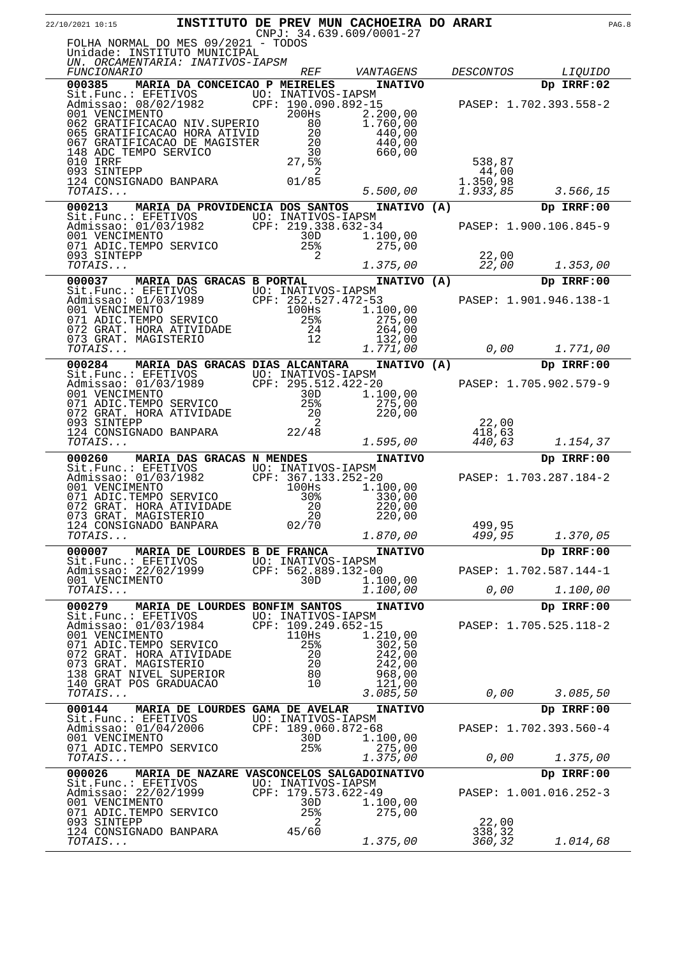| 22/10/2021 10:15                                                                                                                                                                                                                           |                                        |                                    |    | INSTITUTO DE PREV MUN CACHOEIRA DO ARARI<br>$CNPJ: 34.639.609/0001-27$  |                           |                                      | PAG.8 |
|--------------------------------------------------------------------------------------------------------------------------------------------------------------------------------------------------------------------------------------------|----------------------------------------|------------------------------------|----|-------------------------------------------------------------------------|---------------------------|--------------------------------------|-------|
| FOLHA NORMAL DO MES 09/2021 - TODOS<br>Unidade: INSTITUTO MUNICIPAL<br>UN. ORCAMENTARIA: INATIVOS-IAPSM                                                                                                                                    |                                        |                                    |    |                                                                         |                           |                                      |       |
| <i>FUNCIONARIO</i>                                                                                                                                                                                                                         |                                        | <i>REF</i>                         |    | VANTAGENS                                                               | <i>DESCONTOS</i>          | <i>LIQUIDO</i>                       |       |
| 000385<br>Sit.Func.: EFETIVOS<br>Admissao: 08/02/1982 CPF: 190.090.892-15<br>001 VENCIMENTO 200Hs 2.200,00<br>062 GRATIFICACAO NIV.SUPERIO 80 1.760,00                                                                                     | MARIA DA CONCEICAO P MEIRELES          |                                    |    | <b>INATIVO</b>                                                          |                           | Dp IRRF:02<br>PASEP: 1.702.393.558-2 |       |
| 065 GRATIFICACAO HORA ATIVID<br>067 GRATIFICACAO DE MAGISTER<br>148 ADC TEMPO SERVICO<br>010 IRRF<br>093 SINTEPP                                                                                                                           | $\frac{30}{27,5\frac{8}{9}}$           | $\frac{20}{20}$<br>$\frac{30}{20}$ | -2 | 440,00<br>440,00<br>660,00                                              | 538,87<br>44,00           |                                      |       |
| 01/85<br>124 CONSIGNADO BANPARA 01/85<br>TOTAIS                                                                                                                                                                                            |                                        |                                    |    | 5.500,00                                                                | 1.350,98<br>1.933,85      | 3.566, 15                            |       |
| 000213                                                                                                                                                                                                                                     | MARIA DA PROVIDENCIA DOS SANTOS        |                                    |    | INATIVO (A)                                                             |                           | Dp IRRF:00                           |       |
| Sit.Func.: EFETIVOS<br>Admissao: 01/03/1982<br>001 VENCIMENTO<br>071 ADIC.TEMPO SERVICO<br>25%<br>27                                                                                                                                       |                                        |                                    |    | 1.100,00<br>275,00                                                      |                           | PASEP: 1.900.106.845-9               |       |
| 093 SINTEPP<br>TOTAIS                                                                                                                                                                                                                      |                                        |                                    | 2  | 1.375,00                                                                | 22,00<br>22,00            | 1.353,00                             |       |
| 000037                                                                                                                                                                                                                                     | <b>MARIA DAS GRACAS B PORTAL</b>       |                                    |    | INATIVO (A)                                                             |                           | Dp IRRF:00                           |       |
| Sit.Func.: EFETIVOS UO: INATIVOS-IAPSM<br>Admissao: 01/03/1989 CPF: 252.527.472-53<br>001 VENCIMENTO 100Hs 1.10<br>071 ADIC.TEMPO SERVICO 25% 2<br>072 GRAT. HORA ATIVIDADE 24 26<br>073 GRAT. MAGISTERIO 12 17<br>0773 GRAT. MAGISTERIO 1 |                                        |                                    |    | 1.100,00<br>275,00<br>264,00<br>132,00                                  |                           | PASEP: 1.901.946.138-1               |       |
| TOTAIS                                                                                                                                                                                                                                     |                                        |                                    |    | 1.771,00                                                                | 0,00                      | 1.771,00                             |       |
| 000284                                                                                                                                                                                                                                     | <b>MARIA DAS GRACAS DIAS ALCANTARA</b> |                                    |    | INATIVO (A)                                                             |                           | Dp IRRF:00                           |       |
| Sit.Func.: EFETIVOS<br>Admissao: 01/03/1989 CPF: 295.512.422-20<br>001 VENCIMENTO 30D 1.1<br>071 ADIC.TEMPO SERVICO 25% 2<br>071 ADIC.IEMFO SERVICO<br>072 GRAT. HORA ATIVIDADE                                                            |                                        | 20                                 |    | 1.100,00<br>275,00<br>220,00                                            |                           | PASEP: 1.705.902.579-9               |       |
| 093 SINTEPP<br>124 CONSIGNADO BANPARA 22/48<br>TOTAIS                                                                                                                                                                                      |                                        |                                    | 2  | 1.595,00                                                                | 22,00<br>418,63<br>440,63 | 1.154,37                             |       |
| 000260                                                                                                                                                                                                                                     | MARIA DAS GRACAS N MENDES              |                                    |    | <b>INATIVO</b>                                                          |                           | Dp IRRF:00                           |       |
| Sit.Func.: EFETIVOS UO: INATIVOS-IAPSM<br>Admissao: 01/03/1982 CPF: 367.133.252-20<br>001 VENCIMENTO 100Hs 1.1<br>071 ADIC.TEMPO SERVICO<br>072 GRAT. HORA ATIVIDADE<br>073 GRAT. MAGISTERIO<br>124 CONSIGNADO BANPARA<br>TOTAIS           |                                        | $30\%$<br>20<br>20<br>20<br>02/70  |    | 1.100,00<br>330,00<br>220,00<br>220,00<br>1.870,00                      | 499,95<br>499,95          | PASEP: 1.703.287.184-2<br>1.370,05   |       |
| 000007                                                                                                                                                                                                                                     | MARIA DE LOURDES B DE FRANCA           |                                    |    | <b>INATIVO</b>                                                          |                           | Dp IRRF:00                           |       |
| Sit.Func.: EFETIVOS<br>Admissao: 22/02/1999<br>001 VENCIMENTO                                                                                                                                                                              |                                        | 30D                                |    | UO: INATIVOS-IAPSM<br>CPF: 562.889.132-00<br>1.100,00                   |                           | PASEP: 1.702.587.144-1               |       |
| TOTAIS                                                                                                                                                                                                                                     |                                        |                                    |    | 1.100,00                                                                | 0,00                      | 1.100,00                             |       |
| 000279<br>Sit. Func.: EFETIVOS<br>Admissao: 01/03/1984<br>001 VENCIMENTO                                                                                                                                                                   | MARIA DE LOURDES BONFIM SANTOS         | 110Hs                              |    | <b>INATIVO</b><br>UO: INATIVOS-IAPSM<br>CPF: 109.249.652-15<br>1.210,00 |                           | Dp IRRF:00<br>PASEP: 1.705.525.118-2 |       |
| 071 ADIC. TEMPO SERVICO<br>072 GRAT. HORA ATIVIDADE<br>073 GRAT. MAGISTERIO<br>138 GRAT NIVEL SUPERIOR<br>140 GRAT POS GRADUACAO<br>TOTAIS                                                                                                 |                                        | 25%<br>20<br>20<br>80<br>10        |    | 302,50<br>242,00<br>242,00<br>968,00<br>121,00<br>3.085,50              | 0,00                      | 3.085,50                             |       |
| 000144                                                                                                                                                                                                                                     | MARIA DE LOURDES GAMA DE AVELAR        |                                    |    | <b>INATIVO</b>                                                          |                           | Dp IRRF:00                           |       |
| Sit.Func.: EFETIVOS<br>Admissao: 01/04/2006<br>001 VENCIMENTO                                                                                                                                                                              |                                        | UO: INATIVOS-IAPSM<br>30D          |    | CPF: 189.060.872-68<br>1.100,00                                         |                           | PASEP: 1.702.393.560-4               |       |
| 071 ADIC.TEMPO SERVICO<br>TOTAIS                                                                                                                                                                                                           |                                        | 25%                                |    | 275,00<br>1.375,00                                                      | 0,00                      | 1.375,00                             |       |
| 000026                                                                                                                                                                                                                                     |                                        |                                    |    | MARIA DE NAZARE VASCONCELOS SALGADOINATIVO                              |                           | Dp IRRF:00                           |       |
| Sit. Func.: EFETIVOS<br>Admissao: 22/02/1999<br>001 VENCIMENTO<br>071 ADIC. TEMPO SERVICO<br>093 SINTEPP                                                                                                                                   |                                        | UO: INATIVOS-IAPSM<br>30D<br>25%   | 2  | CPF: 179.573.622-49<br>1.100,00<br>275,00                               | 22,00                     | PASEP: 1.001.016.252-3               |       |
| 124 CONSIGNADO BANPARA<br>TOTAIS                                                                                                                                                                                                           |                                        | 45/60                              |    | 1.375,00                                                                | 338,32<br>360,32          | 1.014,68                             |       |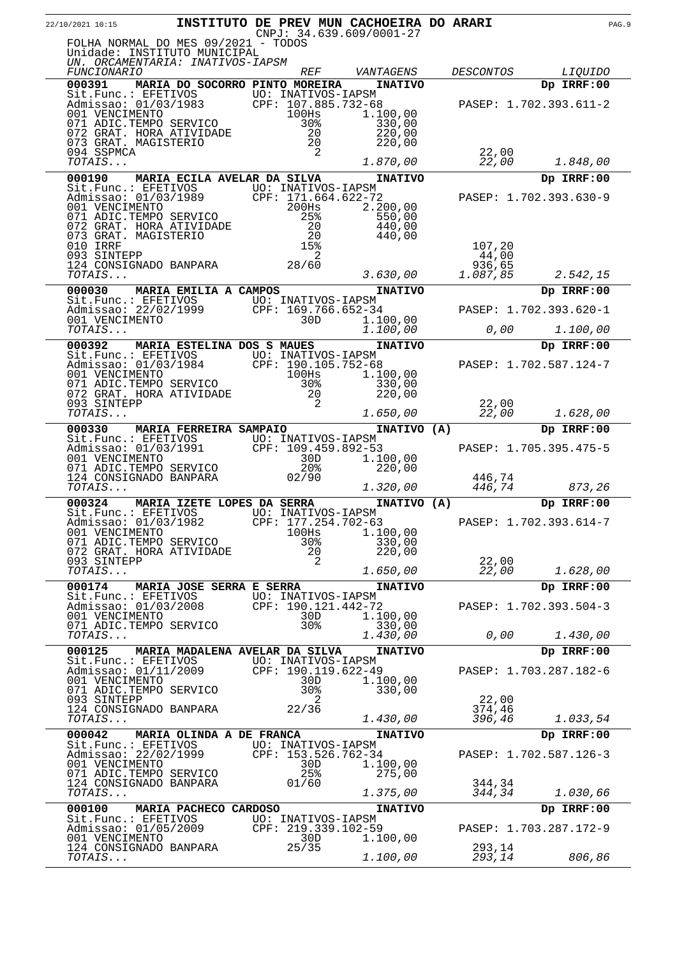| 22/10/2021 10:15                                                                                                |                                |                                           |                 | INSTITUTO DE PREV MUN CACHOEIRA DO ARARI<br>$CNPJ: 34.639.609/0001-27$ |                  |                        | PAG.9 |
|-----------------------------------------------------------------------------------------------------------------|--------------------------------|-------------------------------------------|-----------------|------------------------------------------------------------------------|------------------|------------------------|-------|
| FOLHA NORMAL DO MES 09/2021 - TODOS<br>Unidade: INSTITUTO MUNICIPAL                                             |                                |                                           |                 |                                                                        |                  |                        |       |
| UN. ORCAMENTARIA: INATIVOS-IAPSM<br><i>FUNCIONARIO</i>                                                          |                                |                                           | <i>REF</i>      | VANTAGENS                                                              | <i>DESCONTOS</i> | <i>LIQUIDO</i>         |       |
| 000391                                                                                                          | MARIA DO SOCORRO PINTO MOREIRA |                                           |                 | <b>INATIVO</b>                                                         |                  | Dp IRRF:00             |       |
|                                                                                                                 |                                |                                           |                 |                                                                        |                  |                        |       |
| Sit.Func.: EFETIVOS UO: INATIVOS-IAPSM<br>Admissao: 01/03/1983 CPF: 107.885.732-68<br>001 VENCIMENTO 100Hs 1.1  |                                |                                           |                 | 1.100,00                                                               |                  | PASEP: 1.702.393.611-2 |       |
| 071 ADIC.TEMPO SERVICO                                                                                          |                                |                                           | 30 <sub>8</sub> | 330,00                                                                 |                  |                        |       |
| 072 GRAT. HORA ATIVIDADE                                                                                        |                                |                                           | 20<br>20        | 220,00                                                                 |                  |                        |       |
| 073 GRAT. MAGISTERIO<br>094 SSPMCA                                                                              |                                |                                           | 2               | 220,00                                                                 | 22,00            |                        |       |
| TOTAIS                                                                                                          |                                |                                           |                 | 1.870,00                                                               | 22,00            | 1.848,00               |       |
| 000190                                                                                                          | MARIA ECILA AVELAR DA SILVA    |                                           |                 | <b>INATIVO</b>                                                         |                  | Dp IRRF:00             |       |
| Sit.Func.: EFETIVOS UO: INATIVOS-IAPSM<br>Admissao: 01/03/1989                                                  |                                | CPF: 171.664.622-72                       |                 |                                                                        |                  | PASEP: 1.702.393.630-9 |       |
| 001 VENCIMENTO                                                                                                  |                                | 200Hs                                     |                 | 2.200,00                                                               |                  |                        |       |
| 071 ADIC.TEMPO SERVICO<br>072 GRAT. HORA ATIVIDADE                                                              |                                | 20                                        | 25%             | 550,00<br>440,00                                                       |                  |                        |       |
| 073 GRAT. MAGISTERIO                                                                                            |                                |                                           | - 20            | 440,00                                                                 |                  |                        |       |
| 010 IRRF<br>093 SINTEPP                                                                                         |                                |                                           | 15%<br>2        |                                                                        | 107,20<br>44,00  |                        |       |
| 124 CONSIGNADO BANPARA 28/60                                                                                    |                                |                                           |                 |                                                                        | 936,65           |                        |       |
| TOTAIS                                                                                                          |                                |                                           |                 | 3.630,00                                                               | 1.087,85         | 2.542,15               |       |
| 000030                                                                                                          | MARIA EMILIA A CAMPOS          |                                           |                 | <b>INATIVO</b>                                                         |                  | Dp IRRF:00             |       |
| Sit.Func.: EFETIVOS UO: INATIVOS-IAPSM<br>Admissao: 22/02/1999 CPF: 169.766.652-34<br>001 VENCIMENTO 30D 1.10   |                                |                                           |                 |                                                                        |                  | PASEP: 1.702.393.620-1 |       |
|                                                                                                                 |                                |                                           |                 | 1.100,00                                                               |                  |                        |       |
| TOTAIS                                                                                                          |                                |                                           |                 | 1.100,00                                                               | 0,00             | 1.100,00               |       |
| 000392                                                                                                          | MARIA ESTELINA DOS S MAUES     |                                           |                 | <b>INATIVO</b>                                                         |                  | Dp IRRF:00             |       |
| Sit.Func.: EFETIVOS UO: INATIVOS-IAPSM<br>Admissao: 01/03/1984 CPF: 190.105.752-68<br>001 VENCIMENTO 100Hs 1.10 |                                |                                           |                 |                                                                        |                  | PASEP: 1.702.587.124-7 |       |
| 001 VENCIMENTO<br>071 ADIC.TEMPO SERVICO                                                                        |                                |                                           | 30%             | 1.100,00<br>330,00                                                     |                  |                        |       |
| 072 GRAT. HORA ATIVIDADE                                                                                        |                                |                                           | 20              | 220,00                                                                 |                  |                        |       |
| 093 SINTEPP<br>TOTAIS                                                                                           |                                |                                           | 2               | 1.650,00                                                               | 22,00<br>22,00   | 1.628,00               |       |
| 000330                                                                                                          | <b>MARIA FERREIRA SAMPAIO</b>  |                                           |                 | INATIVO (A)                                                            |                  | Dp IRRF:00             |       |
| Sit.Func.: EFETIVOS UO: INATIVOS-IAPSM                                                                          |                                |                                           |                 |                                                                        |                  |                        |       |
| Admissao: 01/03/1991 CPF: 109.459.892-53<br>001 VENCIMENTO                                                      |                                |                                           | 30D             | 1.100,00                                                               |                  | PASEP: 1.705.395.475-5 |       |
| 071 ADIC.TEMPO SERVICO                                                                                          |                                |                                           | 20 <sup>8</sup> | 220,00                                                                 |                  |                        |       |
| 124 CONSIGNADO BANPARA<br>TOTAIS                                                                                |                                | 02/90                                     |                 | 1.320,00                                                               | 446,74<br>446,74 | 873,26                 |       |
| 000324                                                                                                          | MARIA IZETE LOPES DA SERRA     |                                           |                 | INATIVO (A)                                                            |                  | Dp IRRF:00             |       |
| Sit.Func.: EFETIVOS                                                                                             |                                | UO: INATIVOS-IAPSM                        |                 |                                                                        |                  |                        |       |
| Admissao: 01/03/1982<br>001 VENCIMENTO                                                                          |                                | CPF: 177.254.702-63<br>$100$ Hs           |                 | 1.100,00                                                               |                  | PASEP: 1.702.393.614-7 |       |
| 071 ADIC. TEMPO SERVICO                                                                                         |                                |                                           | 30%             | 330,00                                                                 |                  |                        |       |
| 072 GRAT. HORA ATIVIDADE<br>093 SINTEPP                                                                         |                                |                                           | 20<br>2         | 220,00                                                                 | 22,00            |                        |       |
| TOTAIS                                                                                                          |                                |                                           |                 | 1.650,00                                                               | 22,00            | 1.628,00               |       |
| 000174                                                                                                          | MARIA JOSE SERRA E SERRA       |                                           |                 | <b>INATIVO</b>                                                         |                  | Dp IRRF:00             |       |
| Sit.Func.: EFETIVOS<br>Admissao: 01/03/2008                                                                     |                                | UO: INATIVOS-IAPSM<br>CPF: 190.121.442-72 |                 |                                                                        |                  | PASEP: 1.702.393.504-3 |       |
| 001 VENCIMENTO                                                                                                  |                                |                                           | 30D             | 1.100,00                                                               |                  |                        |       |
| 071 ADIC. TEMPO SERVICO<br>TOTAIS                                                                               |                                |                                           | 30%             | 330,00<br>1.430,00                                                     | 0,00             | 1.430,00               |       |
| 000125                                                                                                          |                                |                                           |                 |                                                                        |                  |                        |       |
| Sit.Func.: EFETIVOS                                                                                             | MARIA MADALENA AVELAR DA SILVA | UO: INATIVOS-IAPSM                        |                 | <b>INATIVO</b>                                                         |                  | Dp IRRF:00             |       |
| Admissao: 01/11/2009                                                                                            |                                | CPF: 190.119.622-49                       |                 |                                                                        |                  | PASEP: 1.703.287.182-6 |       |
| 001 VENCIMENTO<br>071 ADIC.TEMPO SERVICO                                                                        |                                |                                           | 30D<br>30%      | 1.100,00<br>330,00                                                     |                  |                        |       |
| 093 SINTEPP                                                                                                     |                                |                                           | 2               |                                                                        | 22,00            |                        |       |
| 124 CONSIGNADO BANPARA<br>TOTAIS                                                                                |                                | 22/36                                     |                 | 1.430,00                                                               | 374,46<br>396,46 | 1.033,54               |       |
| 000042                                                                                                          | MARIA OLINDA A DE FRANCA       |                                           |                 | <b>INATIVO</b>                                                         |                  | Dp IRRF:00             |       |
| Sit.Func.: EFETIVOS                                                                                             |                                | UO: INATIVOS-IAPSM                        |                 |                                                                        |                  |                        |       |
| Admissao: 22/02/1999<br>001 VENCIMENTO                                                                          |                                | CPF: 153.526.762-34                       | 30D             | 1.100,00                                                               |                  | PASEP: 1.702.587.126-3 |       |
| 071 ADIC. TEMPO SERVICO                                                                                         |                                |                                           | 25%             | 275,00                                                                 |                  |                        |       |
| 124 CONSIGNADO BANPARA<br>TOTAIS                                                                                |                                | 01/60                                     |                 | 1.375,00                                                               | 344,34<br>344,34 | 1.030,66               |       |
| 000100                                                                                                          | MARIA PACHECO CARDOSO          |                                           |                 | <b>INATIVO</b>                                                         |                  | Dp IRRF:00             |       |
| Sit.Func.: EFETIVOS                                                                                             |                                | UO: INATIVOS-IAPSM                        |                 |                                                                        |                  |                        |       |
| Admissao: 01/05/2009<br>001 VENCIMENTO                                                                          |                                | CPF: 219.339.102-59                       | 30D             | 1.100,00                                                               |                  | PASEP: 1.703.287.172-9 |       |
| 124 CONSIGNADO BANPARA                                                                                          |                                | 25/35                                     |                 |                                                                        | 293,14           |                        |       |
| TOTAIS                                                                                                          |                                |                                           |                 | 1.100,00                                                               | 293,14           | 806,86                 |       |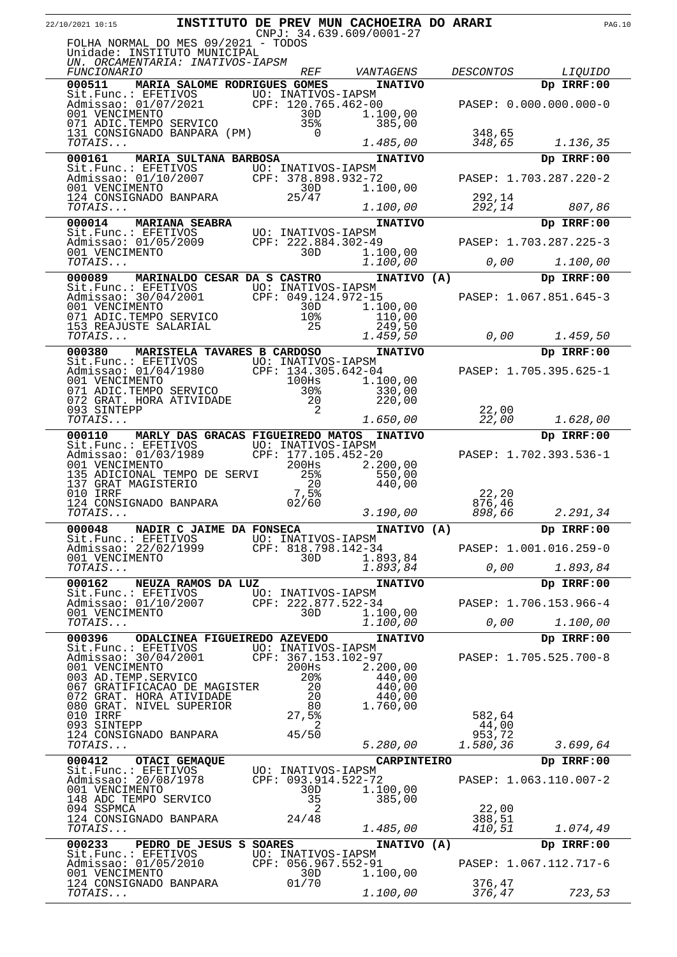| 22/10/2021 10:15                                                                                                                                                                     |                              |                        | INSTITUTO DE PREV MUN CACHOEIRA DO ARARI<br>$CNPJ: 34.639.609/0001-27$ |                    |                        | <b>PAG.10</b> |
|--------------------------------------------------------------------------------------------------------------------------------------------------------------------------------------|------------------------------|------------------------|------------------------------------------------------------------------|--------------------|------------------------|---------------|
| FOLHA NORMAL DO MES 09/2021 - TODOS<br>Unidade: INSTITUTO MUNICIPAL<br>UN. ORCAMENTARIA: INATIVOS-IAPSM                                                                              |                              |                        |                                                                        |                    |                        |               |
| <i>FUNCIONARIO</i>                                                                                                                                                                   |                              | <i>REF</i>             | VANTAGENS                                                              | <i>DESCONTOS</i>   | <i>LIQUIDO</i>         |               |
| 000511 MARIA SALOME RODRIGUES GOMES                                                                                                                                                  |                              |                        | <b>INATIVO</b>                                                         |                    | Dp IRRF:00             |               |
| Sit.Func.: EFETIVOS<br>Admissao: 01/07/2021 CPF: 120.765.462-00<br>001 VENCIMENTO 30D 1.100,00                                                                                       |                              |                        | 1.100,00                                                               |                    | PASEP: 0.000.000.000-0 |               |
| 071 ADIC.TEMPO SERVICO<br>131 CONSIGNADO BANPARA (PM)<br>TOTAIS                                                                                                                      |                              | 35%<br>$\overline{0}$  | 385,00<br>1.485,00                                                     | 348,65<br>348,65   | 1.136,35               |               |
| 000161                                                                                                                                                                               | MARIA SULTANA BARBOSA        |                        | <b>INATIVO</b>                                                         |                    | Dp IRRF:00             |               |
| Sit.Func.: EFETIVOS<br>Admissao: 01/10/2007 CPF: 378.898.932-72<br>001 VENCIMENTO 30D 1.10<br>124 CONSIGNADO BANPARA 25/47                                                           |                              |                        | 1.100,00                                                               |                    | PASEP: 1.703.287.220-2 |               |
|                                                                                                                                                                                      |                              |                        |                                                                        | 292,14             |                        |               |
| TOTAIS                                                                                                                                                                               |                              |                        | 1.100,00                                                               | 292,14             | 807,86                 |               |
| 000014 MARIANA SEABRA<br>Sit.Func.: EFETIVOS UO: INATIVOS-IAPSM<br>Admissao: 01/05/2009 CPF: 222.884.302-49 PASEP: 1.703.287.225-3<br>001 VENCIMENTO 30D 1.100,00<br>TOTAIS 1.100.00 |                              |                        |                                                                        |                    |                        |               |
|                                                                                                                                                                                      |                              |                        |                                                                        |                    |                        |               |
| TOTAIS                                                                                                                                                                               |                              |                        | 1.100,00                                                               |                    | 0,00<br>1.100,00       |               |
| 000089                                                                                                                                                                               | MARINALDO CESAR DA S CASTRO  |                        | INATIVO (A)                                                            |                    | Dp IRRF:00             |               |
| Sit.Func.: EFETIVOS<br>Admissao: 30/04/2001<br>001 VENCIMENTO 1.100,00                                                                                                               |                              |                        |                                                                        |                    | PASEP: 1.067.851.645-3 |               |
| 001 VENCIMENTO<br>071 ADIC.TEMPO SERVICO                                                                                                                                             |                              | 30D<br>10 <sup>8</sup> | 1.100,00<br>110,00                                                     |                    |                        |               |
| 153 REAJUSTE SALARIAL<br>TOTAIS                                                                                                                                                      |                              | 25                     | 249,50<br>1.459, 50                                                    | 0,00               | 1.459,50               |               |
| 000380                                                                                                                                                                               | MARISTELA TAVARES B CARDOSO  |                        | <b>INATIVO</b>                                                         |                    | Dp IRRF:00             |               |
| Sit.Func.: EFETIVOS<br>Admissao: 01/04/1980 CPF: 134.305.642-04<br>001 VENCIMENTO 100Hs 1.10<br>071 ADIC.TEMPO SERVICO 30% 33                                                        |                              |                        |                                                                        |                    | PASEP: 1.705.395.625-1 |               |
|                                                                                                                                                                                      |                              |                        | 1.100,00                                                               |                    |                        |               |
| 072 GRAT. HORA ATIVIDADE                                                                                                                                                             |                              | 20                     | 330,00<br>220,00                                                       |                    |                        |               |
| 093 SINTEPP<br>TOTAIS                                                                                                                                                                |                              | 2                      | 1.650,00                                                               | 22,00<br>22,00     | 1.628,00               |               |
| 000110 MARLY DAS GRACAS FIGUEIREDO MATOS INATIVO                                                                                                                                     |                              |                        |                                                                        |                    | Dp IRRF:00             |               |
| Sit.Func.: EFETIVOS UO: INATIVOS-IAPSM<br>Admissao: 01/03/1989 CPF: 177.105.452-20<br>001 VENCIMENTO 200Hs 2.20                                                                      |                              |                        |                                                                        |                    | PASEP: 1.702.393.536-1 |               |
|                                                                                                                                                                                      |                              |                        | 2.200,00                                                               |                    |                        |               |
| 135 ADICIONAL TEMPO DE SERVI<br>137 GRAT MAGISTERIO                                                                                                                                  |                              | 25%<br>20              | 550,00<br>440,00                                                       |                    |                        |               |
| 010 IRRF<br>124 CONSIGNADO BANPARA                                                                                                                                                   |                              | 7,5%<br>02/60          |                                                                        | 22, 20<br>876,46   |                        |               |
| TOTAIS                                                                                                                                                                               |                              |                        | 3.190,00                                                               | 898,66             | 2.291,34               |               |
| 000048 NADIR C JAIME DA FONSECA INATIVO (A)                                                                                                                                          |                              |                        |                                                                        |                    | Dp IRRF:00             |               |
| Sit.Func.: EFETIVOS UO: INATIVOS-IAPSM<br>Admissao: 22/02/1999 CPF: 818.798.142-34                                                                                                   |                              |                        |                                                                        |                    | PASEP: 1.001.016.259-0 |               |
| 001 VENCIMENTO<br>TOTAIS                                                                                                                                                             |                              | 30D                    | 1.893,84<br>1.893,84                                                   | 0,00               | 1.893,84               |               |
| 000162                                                                                                                                                                               | NEUZA RAMOS DA LUZ           |                        | <b>INATIVO</b>                                                         |                    | Dp IRRF:00             |               |
| Sit.Func.: EFETIVOS<br>Admissao: 01/10/2007                                                                                                                                          |                              |                        | UO: INATIVOS-IAPSM<br>CPF: 222.877.522-34                              |                    | PASEP: 1.706.153.966-4 |               |
| 001 VENCIMENTO                                                                                                                                                                       |                              | 30D                    | 1.100,00                                                               |                    |                        |               |
| TOTAIS                                                                                                                                                                               |                              |                        | 1.100,00                                                               | 0,00               | 1.100,00               |               |
| 000396<br>Sit.Func.: EFETIVOS UO: INATIVOS-IAPSM<br>Admissao: 30/04/2001 CPF: 367.153.102-97                                                                                         | ODALCINEA FIGUEIREDO AZEVEDO |                        | <b>INATIVO</b>                                                         |                    | Dp IRRF:00             |               |
| 001 VENCIMENTO                                                                                                                                                                       |                              | 200Hs                  | 2.200,00                                                               |                    | PASEP: 1.705.525.700-8 |               |
| 003 AD. TEMP. SERVICO<br>067 GRATIFICACAO DE MAGISTER                                                                                                                                |                              | 20%<br>20              | 440,00<br>440,00                                                       |                    |                        |               |
| 072 GRAT. HORA ATIVIDADE                                                                                                                                                             |                              | 20                     | 440,00                                                                 |                    |                        |               |
| 080 GRAT. NIVEL SUPERIOR<br>010 IRRF                                                                                                                                                 |                              | 80<br>27,5%            | 1.760,00                                                               | 582,64             |                        |               |
| 093 SINTEPP<br>124 CONSIGNADO BANPARA                                                                                                                                                |                              | 2<br>45/50             |                                                                        | 44,00              |                        |               |
| TOTAIS                                                                                                                                                                               |                              |                        | 5.280,00                                                               | 953,72<br>1.580,36 | 3.699,64               |               |
| 000412                                                                                                                                                                               | OTACI GEMAQUE                |                        | <b>CARPINTEIRO</b>                                                     |                    | Dp IRRF:00             |               |
| Sit.Func.: EFETIVOS<br>Admissao: 20/08/1978                                                                                                                                          |                              |                        | UO: INATIVOS-IAPSM<br>CPF: 093.914.522-72                              |                    | PASEP: 1.063.110.007-2 |               |
| 001 VENCIMENTO<br>148 ADC TEMPO SERVICO                                                                                                                                              |                              | 30D<br>35              | 1.100,00<br>385,00                                                     |                    |                        |               |
| 094 SSPMCA                                                                                                                                                                           |                              | 2                      |                                                                        | 22,00              |                        |               |
| 124 CONSIGNADO BANPARA<br>TOTAIS                                                                                                                                                     |                              | 24/48                  | 1.485,00                                                               | 388,51<br>410,51   | 1.074,49               |               |
| 000233                                                                                                                                                                               | PEDRO DE JESUS S SOARES      |                        | INATIVO (A)                                                            |                    | Dp IRRF:00             |               |
| Sit.Func.: EFETIVOS UO: INATIVOS-IAPSM<br>Admissao: 01/05/2010                                                                                                                       |                              |                        | CPF: 056.967.552-91                                                    |                    | PASEP: 1.067.112.717-6 |               |
| 001 VENCIMENTO<br>124 CONSIGNADO BANPARA                                                                                                                                             |                              | 30D<br>01/70           | 1.100,00                                                               | 376,47             |                        |               |
| $\mathit{TOTAIS} \dots$                                                                                                                                                              |                              |                        | 1.100,00                                                               | 376,47             | 723,53                 |               |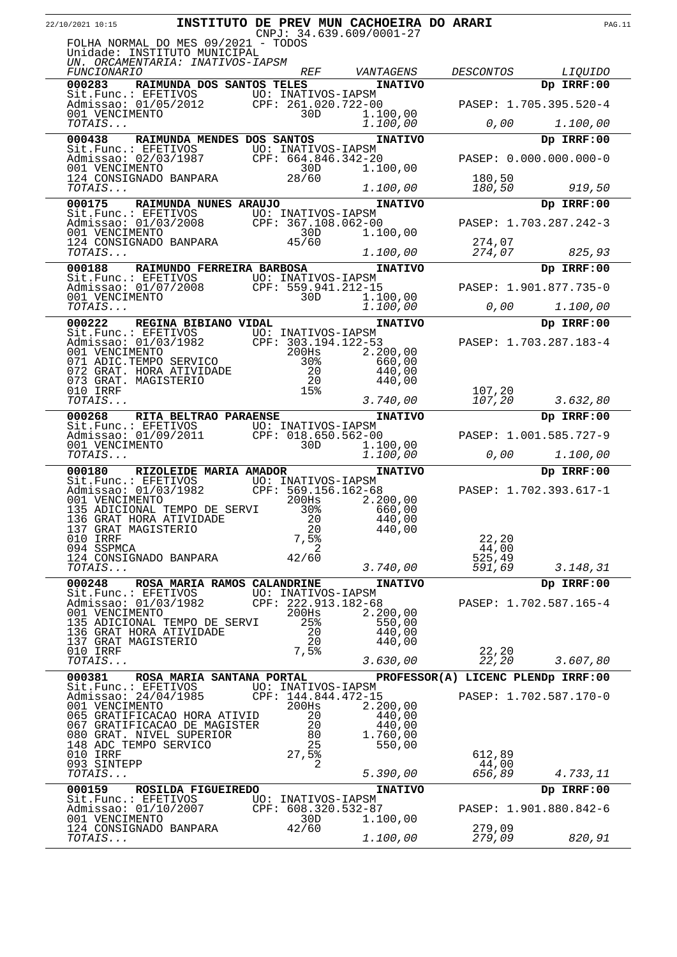| 22/10/2021 10:15                                                                                                              |                             |                              | INSTITUTO DE PREV MUN CACHOEIRA DO ARARI |                                    |                        | <b>PAG.11</b> |
|-------------------------------------------------------------------------------------------------------------------------------|-----------------------------|------------------------------|------------------------------------------|------------------------------------|------------------------|---------------|
| FOLHA NORMAL DO MES 09/2021 - TODOS                                                                                           |                             |                              | $CNPJ: 34.639.609/0001-27$               |                                    |                        |               |
| Unidade: INSTITUTO MUNICIPAL<br>UN. ORCAMENTARIA: INATIVOS-IAPSM                                                              |                             |                              |                                          |                                    |                        |               |
| <b>FUNCIONARIO</b>                                                                                                            |                             | <b>REF</b>                   | VANTAGENS                                | DESCONTOS                          | <i>LIOUIDO</i>         |               |
| 000283                                                                                                                        | RAIMUNDA DOS SANTOS TELES   |                              | <b>INATIVO</b>                           |                                    | Dp IRRF:00             |               |
| Sit.Func.: EFETIVOS<br>Manissao: 01/05/2012<br>001 VENCIMENTO<br>707475<br>001 VENCIMENTO<br>707475                           |                             |                              |                                          |                                    | PASEP: 1.705.395.520-4 |               |
| TOTAIS                                                                                                                        |                             |                              | 1.100,00<br>1.100,00                     | 0,00                               | 1.100,00               |               |
| 000438                                                                                                                        | RAIMUNDA MENDES DOS SANTOS  |                              | <b>INATIVO</b>                           |                                    | Dp IRRF:00             |               |
|                                                                                                                               |                             |                              |                                          |                                    | PASEP: 0.000.000.000-0 |               |
|                                                                                                                               |                             |                              | 1.100,00                                 |                                    |                        |               |
| TOTAIS                                                                                                                        |                             |                              | 1.100,00                                 | 180,50<br>180,50                   | 919,50                 |               |
| 000175                                                                                                                        | RAIMUNDA NUNES ARAUJO       |                              | <b>INATIVO</b>                           |                                    | Dp IRRF:00             |               |
| Sit.Func.: EFETIVOS<br>Admissao: 01/03/2008 CPF: 367.108.062-00<br>001 VENCIMENTO 30D 1.10                                    |                             |                              |                                          |                                    | PASEP: 1.703.287.242-3 |               |
|                                                                                                                               |                             |                              | 1.100,00                                 |                                    |                        |               |
| 124 CONSIGNADO BANPARA<br>$\mathit{TOTAIS} \dots$                                                                             |                             | 45/60                        | 1.100,00                                 | 274,07<br>274,07                   | 825,93                 |               |
| 000188                                                                                                                        | RAIMUNDO FERREIRA BARBOSA   |                              | <b>INATIVO</b>                           |                                    | Dp IRRF:00             |               |
| Sit.Func.: EFETIVOS UO: INATIVOS-IAPSM<br>Admissao: 01/07/2008 CPF: 559.941.212-15                                            |                             |                              |                                          |                                    | PASEP: 1.901.877.735-0 |               |
| 001 VENCIMENTO                                                                                                                |                             | 30D                          | 1.100,00                                 |                                    |                        |               |
| TOTAIS                                                                                                                        |                             |                              | 1.100,00                                 | 0,00                               | 1.100,00               |               |
| 000222                                                                                                                        | REGINA BIBIANO VIDAL        |                              | <b>INATIVO</b>                           |                                    | Dp IRRF:00             |               |
| Sit.Func.: EFETIVOS<br>Admissao: 01/03/1982 CPF: 303.194.122-53<br>001 VENCIMENTO 200Hs 2.20<br>071 ADIC.TEMPO SERVICO 30% 66 |                             |                              | 2.200,00                                 |                                    | PASEP: 1.703.287.183-4 |               |
|                                                                                                                               |                             |                              | 660,00                                   |                                    |                        |               |
| 072 GRAT. HORA ATIVIDADE<br>073 GRAT. MAGISTERIO                                                                              |                             | 20<br>-20                    | 440,00<br>440,00                         |                                    |                        |               |
| 010 IRRF<br>TOTAIS                                                                                                            |                             | 15%                          | 3.740,00                                 | 107,20<br>107,20                   | 3.632,80               |               |
| 000268 RITA BELTRAO PARAENSE                                                                                                  |                             |                              | <b>INATIVO</b>                           |                                    | Dp IRRF:00             |               |
| Sit.Func.: EFETIVOS UO: INATIVOS-IAPSM<br>Admissao: 01/09/2011 CPF: 018.650.562-00                                            |                             |                              |                                          |                                    | PASEP: 1.001.585.727-9 |               |
| 001 VENCIMENTO                                                                                                                |                             | 30D                          | 1.100,00                                 |                                    |                        |               |
| TOTAIS                                                                                                                        |                             |                              | 1.100,00                                 | 0,00                               | 1.100,00               |               |
| 000180 RIZOLEIDE MARIA AMADOR<br>Sit.Func.: EFETIVOS UO: INATIVOS-IAPSM                                                       |                             |                              | <b>INATIVO</b>                           |                                    | Dp IRRF:00             |               |
| Admissao: 01/03/1982 CPF: 569.156.162-68<br>001 VENCIMENTO                                                                    |                             | 200Hs                        | 2.200,00                                 |                                    | PASEP: 1.702.393.617-1 |               |
| 135 ADICIONAL TEMPO DE SERVI                                                                                                  |                             | 30%                          | 660,00                                   |                                    |                        |               |
| 136 GRAT HORA ATIVIDADE<br>137 GRAT MAGISTERIO                                                                                |                             | 20<br>20                     | 440,00<br>440,00                         |                                    |                        |               |
| 010 IRRF<br>094 SSPMCA                                                                                                        |                             | 7,5%<br>2                    |                                          | 22, 20<br>44,00                    |                        |               |
| 124 CONSIGNADO BANPARA                                                                                                        |                             | 42/60                        |                                          | 525,49                             |                        |               |
| TOTAIS                                                                                                                        |                             |                              | 3.740,00                                 | 591,69                             | 3.148,31               |               |
| 000248<br>Sit.Func.: EFETIVOS UO: INATIVOS-IAPSM<br>Admissao: 01/03/1982 CPF: 222.913.182-68                                  | ROSA MARIA RAMOS CALANDRINE |                              | <b>INATIVO</b>                           |                                    | Dp IRRF:00             |               |
| Admissao: 01/03/1982<br>001 VENCIMENTO                                                                                        |                             | 200Hs                        | 2.200,00                                 |                                    | PASEP: 1.702.587.165-4 |               |
| 135 ADICIONAL TEMPO DE SERVI                                                                                                  |                             | 25%                          | 550,00                                   |                                    |                        |               |
| 136 GRAT HORA ATIVIDADE<br>137 GRAT MAGISTERIO                                                                                |                             | - 20<br>20                   | 440,00<br>440,00                         |                                    |                        |               |
| 010 IRRF<br>TOTAIS                                                                                                            |                             | 7,5%                         | 3.630,00                                 | 22,20<br>22,20                     | 3.607,80               |               |
| 000381                                                                                                                        | ROSA MARIA SANTANA PORTAL   |                              |                                          | PROFESSOR(A) LICENC PLENDP IRRF:00 |                        |               |
| Sit.Func.: EFETIVOS UO: INATIVOS-IAPSM                                                                                        |                             |                              |                                          |                                    |                        |               |
| Admissao: 24/04/1985<br>001 VENCIMENTO                                                                                        |                             | CPF: 144.844.472-15<br>200Hs | 2.200,00                                 |                                    | PASEP: 1.702.587.170-0 |               |
| 065 GRATIFICACAO HORA ATIVID<br>067 GRATIFICACAO DE MAGISTER                                                                  |                             | 20<br>20                     | 440,00<br>440,00                         |                                    |                        |               |
| 080 GRAT. NIVEL SUPERIOR                                                                                                      |                             | 80                           | 1.760,00                                 |                                    |                        |               |
| 148 ADC TEMPO SERVICO<br>010 IRRF                                                                                             |                             | 25<br>$27,5$ %               | 550,00                                   | 612,89                             |                        |               |
| 093 SINTEPP<br>TOTAIS                                                                                                         |                             | 2                            | 5.390,00                                 | 44,00<br>656,89                    | 4.733,11               |               |
| 000159                                                                                                                        | ROSILDA FIGUEIREDO          |                              | <b>INATIVO</b>                           |                                    | Dp IRRF:00             |               |
| Sit. Func.: EFETIVOS UO: INATIVOS-IAPSM<br>Admissao: 01/10/2007 CPF: 608.320.532-87                                           |                             |                              |                                          |                                    | PASEP: 1.901.880.842-6 |               |
| 001 VENCIMENTO                                                                                                                |                             | 30D                          | 1.100,00                                 |                                    |                        |               |
| 124 CONSIGNADO BANPARA<br>TOTAIS                                                                                              |                             | 42/60                        | 1.100,00                                 | 279,09<br>279,09                   | 820,91                 |               |
|                                                                                                                               |                             |                              |                                          |                                    |                        |               |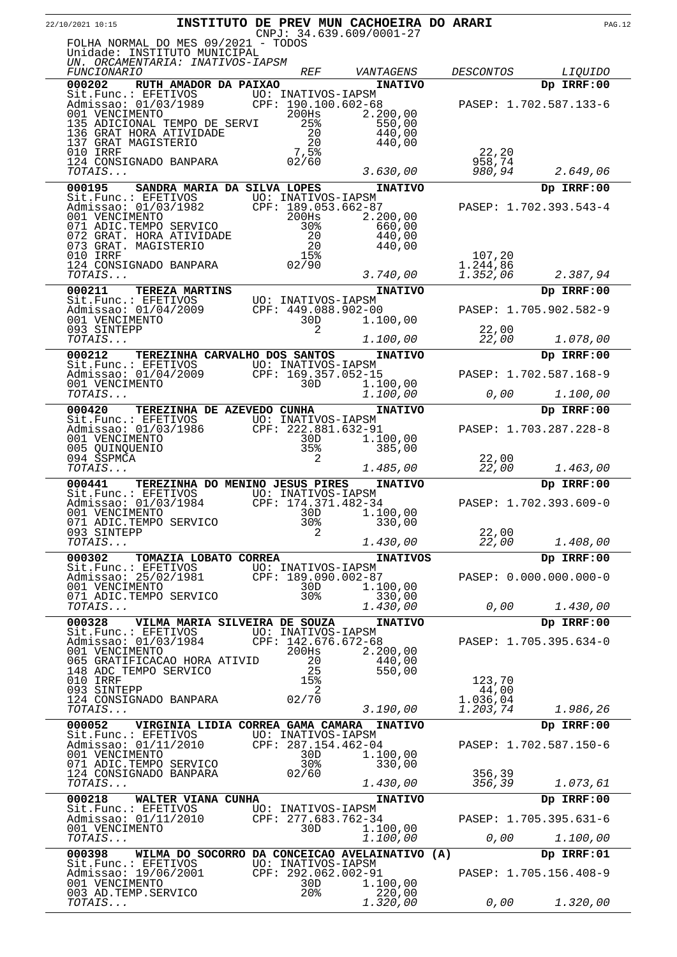| 22/10/2021 10:15                                                                                               |                                                |                                           | <b>INSTITUTO DE PREV MUN CACHOEIRA DO ARARI</b><br>$CNPJ: 34.639.609/0001-27$ |                  |                        | <b>PAG.12</b> |
|----------------------------------------------------------------------------------------------------------------|------------------------------------------------|-------------------------------------------|-------------------------------------------------------------------------------|------------------|------------------------|---------------|
| FOLHA NORMAL DO MES 09/2021 - TODOS<br>Unidade: INSTITUTO MUNICIPAL<br>UN. ORCAMENTARIA: INATIVOS-IAPSM        |                                                |                                           |                                                                               |                  |                        |               |
| <i>FUNCIONARIO</i>                                                                                             |                                                | <i>REF</i>                                | VANTAGENS                                                                     | <i>DESCONTOS</i> | <i>LIQUIDO</i>         |               |
| 000202<br>Sit.Func.: EFETIVOS                                                                                  | RUTH AMADOR DA PAIXAO                          | UO: INATIVOS-IAPSM                        | <b>INATIVO</b>                                                                |                  | Dp IRRF:00             |               |
| Dite: 01/03/1989<br>Admissao: 01/03/1989 CP                                                                    |                                                | CPF: 190.100.602-68                       |                                                                               |                  | PASEP: 1.702.587.133-6 |               |
| 001 VENCIMENTO                                                                                                 |                                                | $200$ Hs                                  | 2.200,00                                                                      |                  |                        |               |
| 135 ADICIONAL TEMPO DE SERVI<br>136 GRAT HORA ATIVIDADE                                                        |                                                | 25%<br>20                                 | 550,00<br>440,00                                                              |                  |                        |               |
| 137 GRAT MAGISTERIO                                                                                            |                                                | 20                                        | 440,00                                                                        |                  |                        |               |
| 010 IRRF<br>124 CONSIGNADO BANPARA                                                                             |                                                | 7,5%<br>02/60                             |                                                                               | 22,20<br>958,74  |                        |               |
| TOTAIS                                                                                                         |                                                |                                           | 3.630,00                                                                      | 980,94           | 2.649,06               |               |
| 000195                                                                                                         | SANDRA MARIA DA SILVA LOPES                    |                                           | <b>INATIVO</b>                                                                |                  | Dp IRRF:00             |               |
| Sit.Func.: EFETIVOS UO: INATIVOS-IAPSM<br>Admissao: 01/03/1982 CPF: 189.053.662-87<br>001 VENCIMENTO 200Hs 2.2 |                                                |                                           |                                                                               |                  | PASEP: 1.702.393.543-4 |               |
| 001 VENCIMENTO<br>071 ADIC.TEMPO SERVICO                                                                       |                                                | 200Hs<br>$30\%$                           | 2.200,00<br>660,00                                                            |                  |                        |               |
| 072 GRAT. HORA ATIVIDADE                                                                                       |                                                | $\frac{20}{20}$                           | 440,00                                                                        |                  |                        |               |
| 073 GRAT. MAGISTERIO<br>010 IRRF                                                                               |                                                | 15%                                       | 440,00                                                                        | 107,20           |                        |               |
| 124 CONSIGNADO BANPARA                                                                                         |                                                | 02/90                                     |                                                                               | 1.244,86         |                        |               |
| TOTAIS                                                                                                         |                                                |                                           | 3.740,00                                                                      | 1.352,06         | 2.387,94               |               |
| 000211                                                                                                         | <b>TEREZA MARTINS</b>                          |                                           | <b>INATIVO</b>                                                                |                  | Dp IRRF:00             |               |
| Sit.Func.: EFETIVOS UO: INATIVOS-IAPSM<br>Admissao: 01/04/2009 CPF: 449.088.902-00<br>Admissao: 01/04/2009     |                                                |                                           |                                                                               |                  | PASEP: 1.705.902.582-9 |               |
| 001 VENCIMENTO<br>093 SINTEPP                                                                                  |                                                | 30D<br>2                                  | 1.100,00                                                                      | 22,00            |                        |               |
| TOTAIS                                                                                                         |                                                |                                           | 1.100,00                                                                      | 22,00            | 1.078,00               |               |
| 000212<br>Sit.Func.: EFETIVOS                                                                                  | TEREZINHA CARVALHO DOS SANTOS                  | UO: INATIVOS-IAPSM                        | <b>INATIVO</b>                                                                |                  | Dp IRRF:00             |               |
| Admissao: 01/04/2009                                                                                           |                                                | CPF: 169.357.052-15                       |                                                                               |                  | PASEP: 1.702.587.168-9 |               |
| 001 VENCIMENTO<br><i>TOTAIS</i>                                                                                |                                                | 30D                                       | 1.100,00<br>1.100,00                                                          | 0,00             | 1.100,00               |               |
| 000420                                                                                                         | <b>TEREZINHA DE AZEVEDO CUNHA</b>              |                                           | <b>INATIVO</b>                                                                |                  | Dp IRRF:00             |               |
| Sit.Func.: EFETIVOS                                                                                            |                                                | UO: INATIVOS-IAPSM                        |                                                                               |                  |                        |               |
| Admissao: 01/03/1986<br>001 VENCIMENTO                                                                         |                                                | CPF: 222.881.632-91<br>30D                | 1.100,00                                                                      |                  | PASEP: 1.703.287.228-8 |               |
| 005 QUINQUENIO<br>094 SSPMCA                                                                                   |                                                | 35%<br>2                                  | 385,00                                                                        |                  |                        |               |
| TOTAIS                                                                                                         |                                                |                                           | 1.485,00                                                                      | 22,00<br>22,00   | 1.463,00               |               |
| 000441                                                                                                         | <b>TEREZINHA DO MENINO JESUS PIRES</b>         |                                           | <b>INATIVO</b>                                                                |                  | Dp IRRF:00             |               |
| Sit.Func.: EFETIVOS UO: INATIVOS-IAPSM<br>Admissao: 01/03/1984                                                 |                                                | CPF: 174.371.482-34                       |                                                                               |                  | PASEP: 1.702.393.609-0 |               |
| 001 VENCIMENTO                                                                                                 |                                                | 30D                                       | 1.100,00                                                                      |                  |                        |               |
| 071 ADIC.TEMPO SERVICO<br>093 SINTEPP                                                                          |                                                | 30%<br>2                                  | 330,00                                                                        | 22,00            |                        |               |
| <i>TOTAIS</i>                                                                                                  |                                                |                                           | 1.430,00                                                                      | 22,00            | 1.408,00               |               |
| 000302<br>Sit.Func.: EFETIVOS                                                                                  | TOMAZIA LOBATO CORREA                          | UO: INATIVOS-IAPSM                        | <b>INATIVOS</b>                                                               |                  | Dp IRRF:00             |               |
| Admissao: 25/02/1981                                                                                           |                                                | CPF: 189.090.002-87                       |                                                                               |                  | PASEP: 0.000.000.000-0 |               |
| 001 VENCIMENTO<br>071 ADIC.TEMPO SERVICO                                                                       |                                                | 30D<br>30%                                | 1.100,00<br>330,00                                                            |                  |                        |               |
| TOTAIS                                                                                                         |                                                |                                           | 1.430,00                                                                      | 0,00             | 1.430,00               |               |
| 000328                                                                                                         | VILMA MARIA SILVEIRA DE SOUZA                  |                                           | <b>INATIVO</b>                                                                |                  | Dp IRRF:00             |               |
| Sit.Func.: EFETIVOS<br>Admissao: 01/03/1984                                                                    |                                                | UO: INATIVOS-IAPSM<br>CPF: 142.676.672-68 |                                                                               |                  | PASEP: 1.705.395.634-0 |               |
| 001 VENCIMENTO<br>065 GRATIFICACAO HORA ATIVID                                                                 |                                                | 200Hs<br>20                               | 2,200,00<br>440,00                                                            |                  |                        |               |
| 148 ADC TEMPO SERVICO                                                                                          |                                                | 25                                        | 550,00                                                                        |                  |                        |               |
| 010 IRRF<br>093 SINTEPP                                                                                        |                                                | 15%<br>2                                  |                                                                               | 123,70<br>44,00  |                        |               |
| 124 CONSIGNADO BANPARA                                                                                         |                                                | 02/70                                     |                                                                               | 1.036,04         |                        |               |
| TOTAIS                                                                                                         |                                                |                                           | 3.190,00                                                                      | 1.203,74         | 1.986,26               |               |
| 000052<br>Sit.Func.: EFETIVOS                                                                                  | VIRGINIA LIDIA CORREA GAMA CAMARA              | UO: INATIVOS-IAPSM                        | <b>INATIVO</b>                                                                |                  | Dp IRRF:00             |               |
| Admissao: 01/11/2010                                                                                           |                                                | CPF: 287.154.462-04                       |                                                                               |                  | PASEP: 1.702.587.150-6 |               |
| 001 VENCIMENTO<br>071 ADIC.TEMPO SERVICO                                                                       |                                                | 30D<br>30%                                | 1.100,00<br>330,00                                                            |                  |                        |               |
| 124 CONSIGNADO BANPARA<br>TOTAIS                                                                               |                                                | 02/60                                     |                                                                               | 356,39<br>356,39 | 1.073,61               |               |
| 000218                                                                                                         |                                                |                                           | 1.430,00                                                                      |                  |                        |               |
| Sit.Func.: EFETIVOS                                                                                            | WALTER VIANA CUNHA                             | UO: INATIVOS-IAPSM                        | <b>INATIVO</b>                                                                |                  | Dp IRRF:00             |               |
| Admissao: 01/11/2010<br>001 VENCIMENTO                                                                         |                                                | CPF: 277.683.762-34<br>30D.               | 1.100,00                                                                      |                  | PASEP: 1.705.395.631-6 |               |
| TOTAIS                                                                                                         |                                                |                                           | 1.100,00                                                                      | 0,00             | 1.100,00               |               |
| 000398                                                                                                         | WILMA DO SOCORRO DA CONCEICAO AVELAINATIVO (A) |                                           |                                                                               |                  | Dp IRRF:01             |               |
| Sit.Func.: EFETIVOS<br>Admissao: 19/06/2001                                                                    |                                                | UO: INATIVOS-IAPSM<br>CPF: 292.062.002-91 |                                                                               |                  | PASEP: 1.705.156.408-9 |               |
| 001 VENCIMENTO<br>003 AD. TEMP. SERVICO                                                                        |                                                | 30D<br>20 <sub>8</sub>                    | 1.100,00<br>220,00                                                            |                  |                        |               |
| TOTAIS                                                                                                         |                                                |                                           | 1.320,00                                                                      | 0,00             | 1.320,00               |               |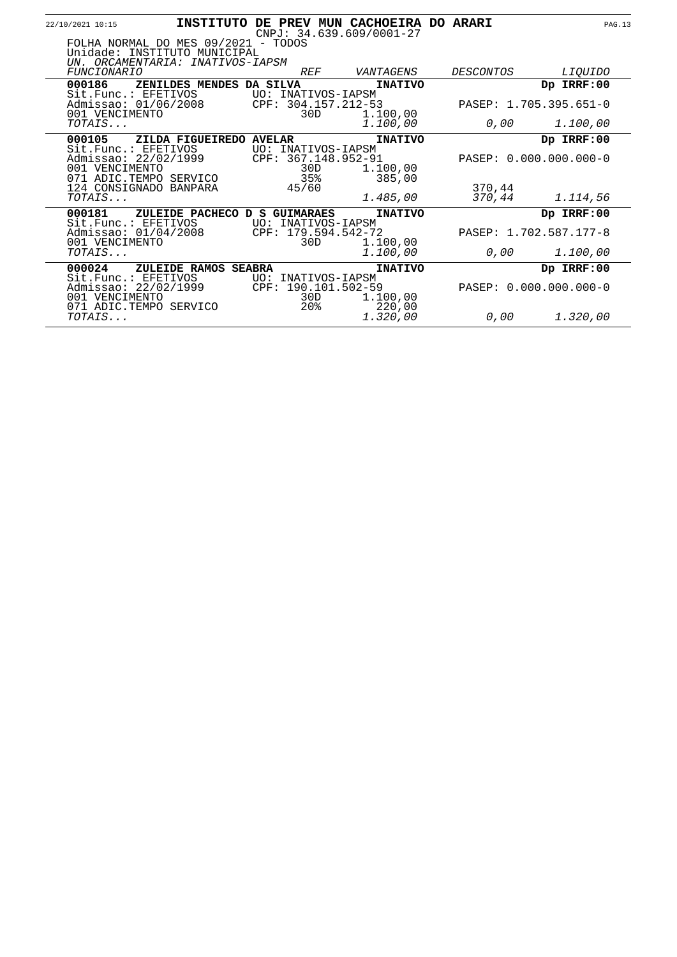| 22/10/2021 10:15                                                                                        | INSTITUTO DE PREV MUN CACHOEIRA DO ARARI |                                                  | $CNPJ: 34.639.609/0001-27$ |                     |                        | <b>PAG.13</b>  |
|---------------------------------------------------------------------------------------------------------|------------------------------------------|--------------------------------------------------|----------------------------|---------------------|------------------------|----------------|
| FOLHA NORMAL DO MES 09/2021 - TODOS<br>Unidade: INSTITUTO MUNICIPAL<br>UN. ORCAMENTARIA: INATIVOS-IAPSM |                                          |                                                  |                            |                     |                        |                |
| <b>FUNCIONARIO</b>                                                                                      |                                          | <i>REF</i>                                       | VANTAGENS                  | DESCONTOS           |                        | <i>LIQUIDO</i> |
| 000186                                                                                                  | ZENILDES MENDES DA SILVA                 |                                                  | <b>INATIVO</b>             |                     | Dp IRRF:00             |                |
| Sit.Func.: EFETIVOS<br>Admissao: 01/06/2008<br>001 VENCIMENTO                                           |                                          | UO: INATIVOS-IAPSM<br>CPF: 304.157.212-53<br>30D | 1.100,00                   |                     | PASEP: 1.705.395.651-0 |                |
| TOTAIS                                                                                                  |                                          |                                                  | 1.100,00                   | 0,00                |                        | 1.100,00       |
| 000105                                                                                                  | ZILDA FIGUEIREDO AVELAR                  |                                                  | <b>INATIVO</b>             |                     | Dp IRRF:00             |                |
| Sit.Func.: EFFTIVOS<br>001 VENCIMENTO<br>071 ADIC.TEMPO SERVICO                                         |                                          | UO: INATIVOS-IAPSM<br>30D<br>35%                 | 1.100,00<br>385,00         |                     | PASEP: 0.000.000.000-0 |                |
| 124 CONSIGNADO BANPARA<br>TOTAIS                                                                        |                                          | 45/60                                            | 1.485,00                   | 370,44<br>370,44    |                        | 1.114,56       |
| 000181                                                                                                  | ZULEIDE PACHECO D S GUIMARAES            |                                                  | <b>INATIVO</b>             |                     | Dp IRRF:00             |                |
| Sit.Func.: EFETIVOS UO: INATIVOS-IAPSM<br>Admissao: 01/04/2008 CPF: 179.594.542-72<br>001 VENCIMENTO    |                                          | 30D                                              | 1.100,00                   |                     | PASEP: 1.702.587.177-8 |                |
| TOTAIS                                                                                                  |                                          |                                                  | 1.100,00                   | 0,00                |                        | 1.100,00       |
| 000024<br>Sit.Func.: EFETIVOS                                                                           | ZULEIDE RAMOS SEABRA                     | UO: INATIVOS-IAPSM                               | <b>INATIVO</b>             |                     | Dp IRRF:00             |                |
| Admissao: 22/02/1999<br>001 VENCIMENTO<br>071 ADIC.TEMPO SERVICO                                        |                                          | CPF: 190.101.502-59<br>30D<br>$20\%$             | 1.100,00<br>220,00         |                     | PASEP: 0.000.000.000-0 |                |
| TOTAIS                                                                                                  |                                          |                                                  | 1.320,00                   | 0,00 $\overline{0}$ |                        | 1.320,00       |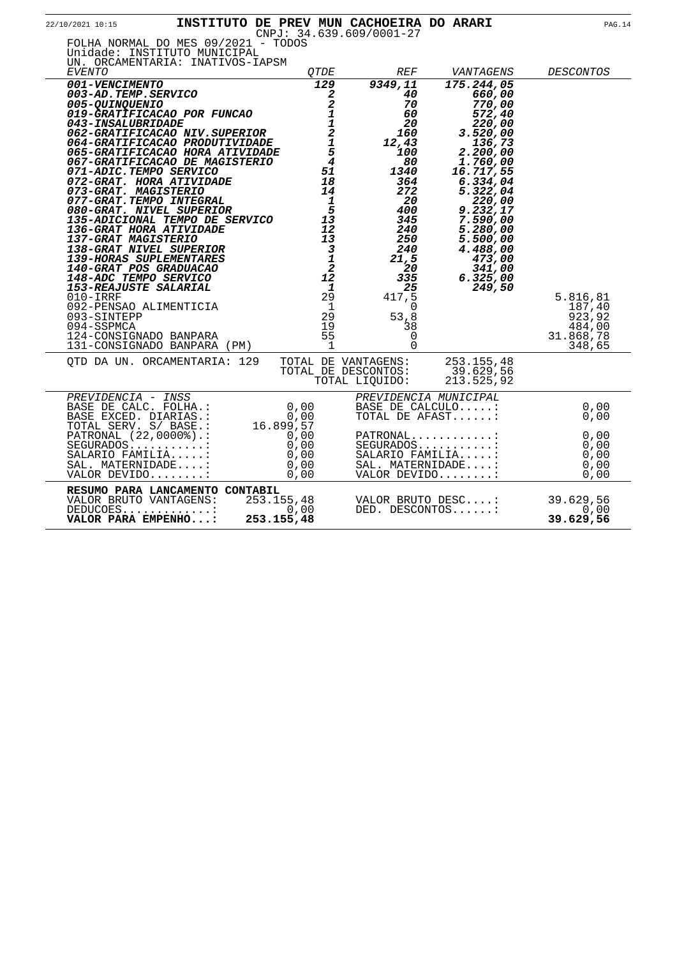| 22/10/2021 10:15                                                                                                                                                                                                                                                                                                                                                                                                                                                                                                                                                                                                                                                                                                             |                          |                                                                                                                                                                                                                                                                                                                                           | INSTITUTO DE PREV MUN CACHOEIRA DO ARARI<br>CNPJ: 34.639.609/0001-27                                                                                                                                                  |                                                                                                                                                                                                                                                       | <b>PAG.14</b>                                                                               |
|------------------------------------------------------------------------------------------------------------------------------------------------------------------------------------------------------------------------------------------------------------------------------------------------------------------------------------------------------------------------------------------------------------------------------------------------------------------------------------------------------------------------------------------------------------------------------------------------------------------------------------------------------------------------------------------------------------------------------|--------------------------|-------------------------------------------------------------------------------------------------------------------------------------------------------------------------------------------------------------------------------------------------------------------------------------------------------------------------------------------|-----------------------------------------------------------------------------------------------------------------------------------------------------------------------------------------------------------------------|-------------------------------------------------------------------------------------------------------------------------------------------------------------------------------------------------------------------------------------------------------|---------------------------------------------------------------------------------------------|
| FOLHA NORMAL DO MES 09/2021 - TODOS<br>Unidade: INSTITUTO MUNICIPAL<br>UN. ORCAMENTARIA: INATIVOS-IAPSM<br>EVENTO                                                                                                                                                                                                                                                                                                                                                                                                                                                                                                                                                                                                            |                          | OTDE                                                                                                                                                                                                                                                                                                                                      | <i>REF</i>                                                                                                                                                                                                            | VANTAGENS                                                                                                                                                                                                                                             | <b>DESCONTOS</b>                                                                            |
| 001-VENCIMENTO<br>003-AD.TEMP.SERVICO<br><i>005-QUINQUENIO</i><br>019-GRATIFICACAO POR FUNCAO<br><i>043-INSALUBRIDADE</i><br>062-GRATIFICACAO NIV.SUPERIOR<br>064-GRATIFICACAO PRODUTIVIDADE<br>065-GRATIFICACAO HORA ATIVIDADE<br>067-GRATIFICACAO DE MAGISTERIO<br>071-ADIC.TEMPO SERVICO<br>072-GRAT. HORA ATIVIDADE<br>073-GRAT. MAGISTERIO<br>073-GRAT. MAGISTERIO<br>073-GRAT. TEMPO INTEGRAL<br>080-GRAT. NIVEL SUPERIOR<br>135-ADICIONAL TEMPO DE SERVICO<br>136-GRAT HORA ATIVIDADE<br>137-GRAT HORA ATIVIDADE<br>137-GRAT MAGISTERIO<br>138-GRAT NIVEL SUPERIOR<br>140-GRAT POS GRADUACAO<br>148-A<br>092-PENSAO ALIMENTICIA<br>093-SINTEPP<br>094-SSPMCA<br>124-CONSIGNADO BANPARA<br>131-CONSIGNADO BANPARA (PM) |                          | 129<br>$\boldsymbol{z}$<br>$\overline{\mathbf{c}}$<br>$\mathbf{1}$<br>$\frac{1}{2}$<br>$\overline{5}$<br>$\overline{4}$<br>51<br>18<br>14<br>$\overline{\mathbf{1}}$<br>$5^{\circ}$<br>13<br>12<br>13<br>$\overline{\mathbf{3}}$<br>$\overline{1}$<br>$\overline{a}$<br>12<br>$\mathbf{1}$<br>29<br>$\overline{1}$<br>29<br>19<br>55<br>1 | 9349,11<br>40<br>70<br>60<br>20<br>160<br>12,43<br>100<br>80<br>1340<br>364<br>272<br>20<br>400<br>345<br>240<br>250<br>240<br>21,5<br>20<br>335<br>25<br>417,5<br>0<br>53,8<br>38<br>$\mathsf{O}\xspace$<br>$\Omega$ | 175.244,05<br>660,00<br>770,00<br>572,40<br>220,00<br>3.520,00<br>136,73<br>2.200,00<br>1.760,00<br>16.717,55<br>6.334,04<br>5.322,04<br>220,00<br>9.232,17<br>7.590,00<br>5.280,00<br>5.500,00<br>4.488,00<br>473,00<br>341,00<br>6.325,00<br>249,50 | 5.816,81<br>187,40<br>923,92<br>484,00<br>31.868,78<br>348,65                               |
| OTD DA UN. ORCAMENTARIA: 129                                                                                                                                                                                                                                                                                                                                                                                                                                                                                                                                                                                                                                                                                                 |                          |                                                                                                                                                                                                                                                                                                                                           | TOTAL DE VANTAGENS:<br>TOTAL DE DESCONTOS:<br>TOTAL LIOUIDO:                                                                                                                                                          | 253.155,48<br>39.629,56<br>213.525,92                                                                                                                                                                                                                 |                                                                                             |
| PREVIDENCIA - INSS<br>BASE DE CALC. FOLHA.: 0,00<br>------ PIAPIAS : 0,00<br>TOTAL SERV. S/ BASE.:<br>PATRONAL (22,0000%).:<br>$SEGURADOS$<br>SALARIO FAMILIA:<br>SAL. MATERNIDADE:<br>VALOR DEVIDO:                                                                                                                                                                                                                                                                                                                                                                                                                                                                                                                         | 16.899,57<br>0,00        | 0,00<br>$0,00$<br>0,00<br>0,00                                                                                                                                                                                                                                                                                                            |                                                                                                                                                                                                                       | PREVIDENCIA MUNICIPAL<br>BASE DE CALCULO:<br>TOTAL DE AFAST:<br>PATRONAL<br>$SEGURADOS$<br>SALARIO FAMILIA:<br>SAL. MATERNIDADE:<br>VALOR DEVIDO:                                                                                                     | 0,00<br>0,00<br>$\begin{array}{ccc} & 0 \\ \end{array}$ ,00<br>0,00<br>0,00<br>0,00<br>0,00 |
| RESUMO PARA LANCAMENTO CONTABIL<br>VALOR BRUTO VANTAGENS:<br>$DEDUCOES$<br>VALOR PARA EMPENHO:                                                                                                                                                                                                                                                                                                                                                                                                                                                                                                                                                                                                                               | 253.155,48<br>253.155,48 | 0,00                                                                                                                                                                                                                                                                                                                                      |                                                                                                                                                                                                                       | VALOR BRUTO DESC:<br>DED. DESCONTOS:                                                                                                                                                                                                                  | 39.629,56<br>0,00<br>39.629,56                                                              |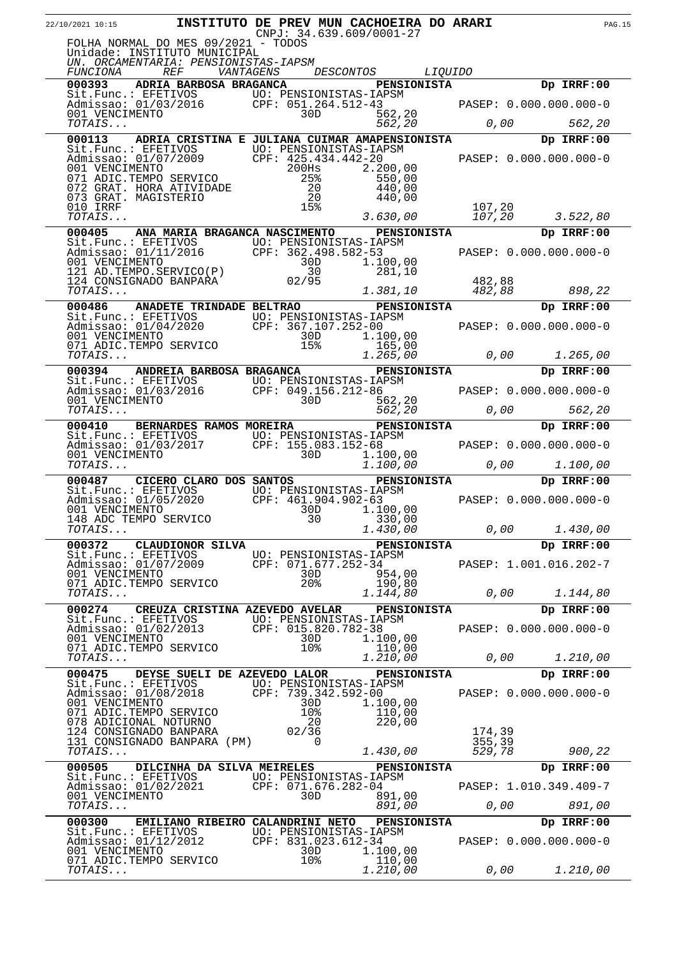| 22/10/2021 10:15                                                                                                                                                                                                                                                     |                                  |                                               | INSTITUTO DE PREV MUN CACHOEIRA DO ARARI<br>CNPJ: 34.639.609/0001-27       |        |                        | <b>PAG.15</b> |
|----------------------------------------------------------------------------------------------------------------------------------------------------------------------------------------------------------------------------------------------------------------------|----------------------------------|-----------------------------------------------|----------------------------------------------------------------------------|--------|------------------------|---------------|
| FOLHA NORMAL DO MES 09/2021 - TODOS<br>Unidade: INSTITUTO MUNICIPAL<br>UN. ORCAMENTARIA: PENSIONISTAS-IAPSM                                                                                                                                                          |                                  |                                               |                                                                            |        |                        |               |
| <i>FUNCIONA REF</i>                                                                                                                                                                                                                                                  |                                  |                                               | VANTAGENS DESCONTOS<br><i>LIQUIDO</i>                                      |        |                        |               |
| 000393 ADRIA BARBOSA BRAGANCA PENSIONISTA                                                                                                                                                                                                                            |                                  |                                               |                                                                            |        | Dp IRRF:00             |               |
|                                                                                                                                                                                                                                                                      |                                  |                                               |                                                                            |        |                        |               |
| Sit.Func.: EFETIVOS<br>Admissao: 01/03/2016<br>001 VENCIMENTO<br>001 VENCIMENTO<br>707AIS<br>562,20<br>707AIS<br>562,20<br>707AIS<br>562,20<br>707AIS<br>562,20                                                                                                      |                                  |                                               |                                                                            |        |                        |               |
| 000113 ADRIA CRISTINA E JULIANA CUIMAR AMAPENSIONISTA                                                                                                                                                                                                                |                                  |                                               |                                                                            |        | Dp IRRF:00             |               |
| Sit.Func.: EFETIVOS<br>Notice and the state of the contract of the contract of the contract of the contract of the contract of the contract of the contract of the contract of the contract of the contract of the contract of t                                     |                                  |                                               |                                                                            |        |                        |               |
|                                                                                                                                                                                                                                                                      |                                  |                                               |                                                                            |        |                        |               |
|                                                                                                                                                                                                                                                                      |                                  | $-20$<br>20<br>1F <sup>2</sup>                |                                                                            |        |                        |               |
| 073 GRAT. MAGISTERIO                                                                                                                                                                                                                                                 |                                  |                                               | 440,00                                                                     |        |                        |               |
| 010 IRRF                                                                                                                                                                                                                                                             |                                  | 15%                                           |                                                                            | 107,20 |                        |               |
| TOTAIS                                                                                                                                                                                                                                                               |                                  |                                               | 3.630,00                                                                   | 107,20 | 3.522,80               |               |
| 000405 ANA MARIA BRAGANCA NASCIMENTO PENSIONISTA                                                                                                                                                                                                                     |                                  |                                               |                                                                            |        | Dp IRRF:00             |               |
| Sit.Func.: EFETIVOS UO: PENSIONISTAS-IAPSM<br>Admissao: 01/11/2016 CPF: 362.498.582-53<br>281.10<br>281.10<br>281.10<br>282.88<br>288.22<br>281.10<br>283.10<br>283.10<br>283.10<br>283.10<br>283.10<br>283.10<br>283.10<br>283.10<br>283.10<br>283.10<br>283.10<br> |                                  |                                               |                                                                            |        |                        |               |
|                                                                                                                                                                                                                                                                      |                                  |                                               |                                                                            |        |                        |               |
|                                                                                                                                                                                                                                                                      |                                  |                                               |                                                                            |        |                        |               |
| TOTAIS                                                                                                                                                                                                                                                               |                                  |                                               | 1.381,10                                                                   | 482,88 | 898,22                 |               |
| 000486                                                                                                                                                                                                                                                               | ANADETE TRINDADE BELTRAO         |                                               | <b>PENSIONISTA</b>                                                         |        | Dp IRRF:00             |               |
| Sit.Func.: EFETIVOS<br>Admissao: 01/04/2020<br>001 VENCIMENTO<br>071 ADIC.TEMPO SERVICO<br>071 ADIC.TEMPO SERVICO<br>071 ADIC.TEMPO SERVICO<br>072 ADIC.TEMPO SERVICO<br>073 ADIC.TEMPO SERVICO<br>074 ADIC.TEMPO SERVICO<br>074 ADIC.TEMPO SERV                     |                                  |                                               |                                                                            |        |                        |               |
|                                                                                                                                                                                                                                                                      |                                  |                                               |                                                                            |        |                        |               |
|                                                                                                                                                                                                                                                                      |                                  |                                               |                                                                            |        |                        |               |
| TOTAIS                                                                                                                                                                                                                                                               |                                  |                                               | 7-00<br>1.100,00<br>165,00<br>1.265,00<br>1.265,00<br>2.265,00<br>2.265,00 |        |                        |               |
| 000394 ANDREIA BARBOSA BRAGANCA PENSIONISTA                                                                                                                                                                                                                          |                                  |                                               |                                                                            |        | Dp IRRF:00             |               |
|                                                                                                                                                                                                                                                                      |                                  |                                               |                                                                            |        |                        |               |
| Sit.Func.: EFETIVOS<br>Admissao: 01/03/2016<br>001 VENCIMENTO<br>707AIS<br>707AIS<br>707AIS<br>707AIS<br>707AIS<br>707AIS<br>707AIS<br>707AIS<br>707AIS<br>707AIS<br>707AIS                                                                                          |                                  |                                               |                                                                            |        |                        |               |
|                                                                                                                                                                                                                                                                      |                                  |                                               |                                                                            |        |                        |               |
| 000410                                                                                                                                                                                                                                                               |                                  |                                               | BERNARDES RAMOS MOREIRA PENSIONISTA                                        |        | Dp IRRF:00             |               |
|                                                                                                                                                                                                                                                                      |                                  |                                               |                                                                            |        |                        |               |
| Sit.Func.: EFETIVOS<br>Admissao: 01/03/2017 CPF: 155.083.152-68<br>001 VENCIMENTO 30D 1.100,00 0.000 0.000 0.000.000-0<br>TOTAIS 1.100,00 0.000 1.100,00                                                                                                             |                                  |                                               |                                                                            |        |                        |               |
|                                                                                                                                                                                                                                                                      |                                  |                                               |                                                                            |        |                        |               |
| 000487 CICERO CLARO DOS SANTOS TENSIONISTA                                                                                                                                                                                                                           |                                  |                                               |                                                                            |        | Dp IRRF:00             |               |
| Sit.Func.: EFETIVOS<br>Admissao: 01/05/2020 CPF: 461.904.902-63<br>001 VENCIMENTO 30D 1.100,00                                                                                                                                                                       |                                  |                                               |                                                                            |        |                        |               |
| 001 VENCIMENTO<br>148 ADC TEMPO SERVICO                                                                                                                                                                                                                              |                                  | 30D                                           | 1.100,00                                                                   |        |                        |               |
| $TOTALS$                                                                                                                                                                                                                                                             |                                  | 30                                            | 330,00<br>1.430,00                                                         | 0,00   | 1.430,00               |               |
| 000372                                                                                                                                                                                                                                                               | CLAUDIONOR SILVA                 |                                               | <b>PENSIONISTA</b>                                                         |        | Dp IRRF:00             |               |
| Sit.Func.: EFETIVOS                                                                                                                                                                                                                                                  |                                  | UO: PENSIONISTAS-IAPSM                        |                                                                            |        |                        |               |
| Admissao: 01/07/2009                                                                                                                                                                                                                                                 |                                  | CPF: 071.677.252-34<br>30D                    |                                                                            |        | PASEP: 1.001.016.202-7 |               |
| 001 VENCIMENTO<br>071 ADIC.TEMPO SERVICO                                                                                                                                                                                                                             |                                  | 20 <sup>8</sup>                               | 954,00<br>190,80                                                           |        |                        |               |
| TOTAIS                                                                                                                                                                                                                                                               |                                  |                                               | 1.144,80                                                                   | 0,00   | 1.144,80               |               |
| 000274                                                                                                                                                                                                                                                               | CREUZA CRISTINA AZEVEDO AVELAR   |                                               | <b>PENSIONISTA</b>                                                         |        | Dp IRRF:00             |               |
| Sit.Func.: EFETIVOS<br>Admissao: 01/02/2013                                                                                                                                                                                                                          |                                  | UO: PENSIONISTAS-IAPSM<br>CPF: 015.820.782-38 |                                                                            |        | PASEP: 0.000.000.000-0 |               |
| 001 VENCIMENTO                                                                                                                                                                                                                                                       |                                  | 30D                                           | 1.100,00                                                                   |        |                        |               |
| 071 ADIC.TEMPO SERVICO                                                                                                                                                                                                                                               |                                  | 10 <sub>8</sub>                               | 110,00                                                                     |        |                        |               |
| TOTAIS                                                                                                                                                                                                                                                               |                                  |                                               | 1.210,00                                                                   | 0,00   | 1.210,00               |               |
| 000475<br>Sit.Func.: EFETIVOS UO: PENSIONISTAS-IAPSM                                                                                                                                                                                                                 | DEYSE SUELI DE AZEVEDO LALOR     |                                               | <b>PENSIONISTA</b>                                                         |        | Dp IRRF:00             |               |
| Admissao: 01/08/2018                                                                                                                                                                                                                                                 |                                  | CPF: 739.342.592-00                           |                                                                            |        | PASEP: 0.000.000.000-0 |               |
| 001 VENCIMENTO                                                                                                                                                                                                                                                       |                                  | 30D                                           | 1.100,00                                                                   |        |                        |               |
| 071 ADIC.TEMPO SERVICO<br>078 ADICIONAL NOTURNO                                                                                                                                                                                                                      |                                  | 10%<br>20                                     | 110,00<br>220,00                                                           |        |                        |               |
| 124 CONSIGNADO BANPARA                                                                                                                                                                                                                                               |                                  | 02/36                                         |                                                                            | 174,39 |                        |               |
| 131 CONSIGNADO BANPARA (PM)<br>TOTAIS                                                                                                                                                                                                                                |                                  | $\Omega$                                      |                                                                            | 355,39 |                        |               |
|                                                                                                                                                                                                                                                                      |                                  |                                               | 1.430,00                                                                   | 529,78 | 900,22                 |               |
| 000505                                                                                                                                                                                                                                                               | DILCINHA DA SILVA MEIRELES       |                                               | <b>PENSIONISTA</b>                                                         |        | Dp IRRF:00             |               |
| Sit.Func.: EFETIVOS UO: PENSIONISTAS-IAPSM<br>Admissao: 01/02/2021 CPF: 071.676.282-04                                                                                                                                                                               |                                  |                                               |                                                                            |        | PASEP: 1.010.349.409-7 |               |
| 001 VENCIMENTO                                                                                                                                                                                                                                                       |                                  | 30D                                           | 891,00                                                                     |        |                        |               |
| TOTAIS                                                                                                                                                                                                                                                               |                                  |                                               | 891,00                                                                     | 0,00   | 891,00                 |               |
| 000300                                                                                                                                                                                                                                                               | EMILIANO RIBEIRO CALANDRINI NETO |                                               | <b>PENSIONISTA</b>                                                         |        | Dp IRRF:00             |               |
| Sit.Func.: EFETIVOS UO: PENSIONISTAS-IAPSM<br>Admissao: 01/12/2012 CPF: 831.023.612-34                                                                                                                                                                               |                                  |                                               |                                                                            |        | PASEP: 0.000.000.000-0 |               |
| 001 VENCIMENTO<br>071 ADIC.TEMPO SERVICO                                                                                                                                                                                                                             |                                  | 30D<br>10 <sub>8</sub>                        | 1.100,00<br>110,00                                                         |        |                        |               |
| TOTAIS                                                                                                                                                                                                                                                               |                                  |                                               | 1.210,00                                                                   | 0,00   | 1.210,00               |               |
|                                                                                                                                                                                                                                                                      |                                  |                                               |                                                                            |        |                        |               |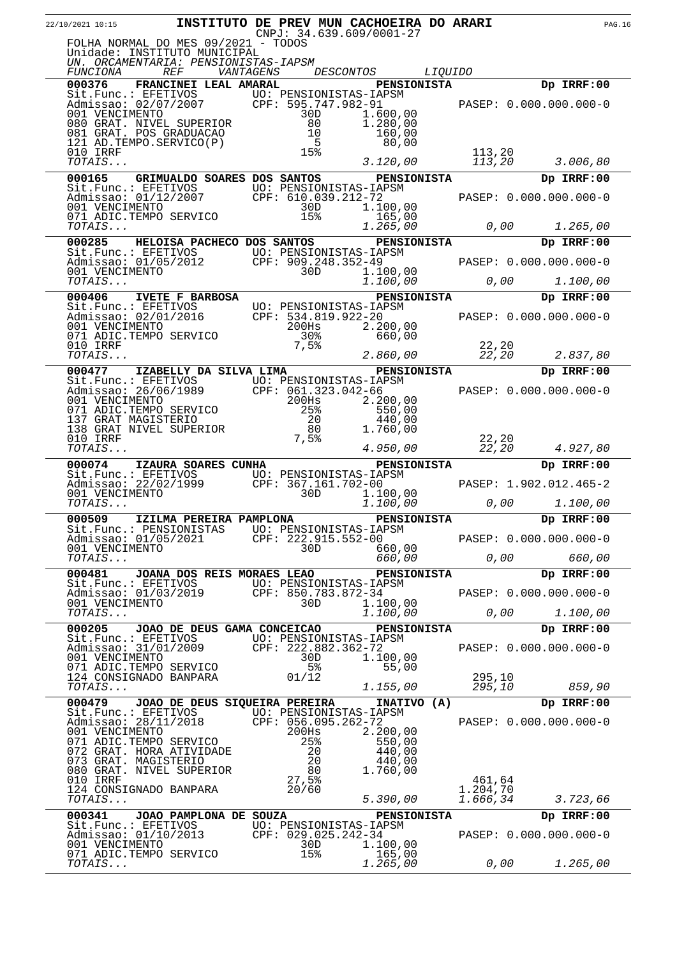| 22/10/2021 10:15                                                                                                                                                                                                 | INSTITUTO DE PREV MUN CACHOEIRA DO ARARI<br>$CNPJ: 34.639.609/0001-27$                               |                                                      |                    | <b>PAG.16</b>                        |  |
|------------------------------------------------------------------------------------------------------------------------------------------------------------------------------------------------------------------|------------------------------------------------------------------------------------------------------|------------------------------------------------------|--------------------|--------------------------------------|--|
| FOLHA NORMAL DO MES 09/2021 - TODOS<br>Unidade: INSTITUTO MUNICIPAL<br>UN. ORCAMENTARIA: PENSIONISTAS-IAPSM                                                                                                      |                                                                                                      |                                                      |                    |                                      |  |
| FUNCIONA<br><b>REF</b>                                                                                                                                                                                           | VANTAGENS<br><i>DESCONTOS</i>                                                                        | <i>LIQUIDO</i>                                       |                    |                                      |  |
| 000376<br>FRANCINEI LEAL AMARAL<br>Sit.Func.: EFETIVOS<br>Admissao: 02/07/2007<br>001 VENCIMENTO<br>080 GRAT. NIVEL SUPERIOR<br>081 GRAT. POS GRADUACAO                                                          | UO: PENSIONISTAS-IAPSM<br>CPF: 595.747.982-91<br>30D<br>80<br>10                                     | <b>PENSIONISTA</b><br>1.600,00<br>1.280,00<br>160,00 |                    | Dp IRRF:00<br>PASEP: 0.000.000.000-0 |  |
| 121 AD. TEMPO. SERVICO(P)<br>010 IRRF<br>TOTAIS                                                                                                                                                                  | 5<br>15%                                                                                             | 80,00<br>3.120,00                                    | 113,20<br>113,20   | 3.006,80                             |  |
| 000165                                                                                                                                                                                                           | GRIMUALDO SOARES DOS SANTOS                                                                          | <b>PENSIONISTA</b>                                   |                    | Dp IRRF:00                           |  |
| Sit.Func.: EFETIVOS<br>Admissao: 01/12/2007<br>001 VENCIMENTO<br>071 ADIC.TEMPO SERVICO<br>TOTAIS                                                                                                                | UO: PENSIONISTAS-IAPSM<br>CPF: 610.039.212-72<br>30D<br>15%                                          | 1.100,00<br>165,00                                   |                    | PASEP: 0.000.000.000-0               |  |
| 000285                                                                                                                                                                                                           | HELOISA PACHECO DOS SANTOS                                                                           | 1.265,00                                             | 0,00               | 1.265,00<br>Dp IRRF:00               |  |
| Sit.Func.: EFETIVOS<br>Admissao: 01/05/2012<br>001 VENCIMENTO 1.100,000<br>001 VENCIMENTO 30D 1.100,000<br>TOTAIS                                                                                                |                                                                                                      | <b>PENSIONISTA</b><br>1.100,00<br>1.100,00           | 0,00               | PASEP: 0.000.000.000-0<br>1.100,00   |  |
| 000406<br><b>IVETE F BARBOSA</b>                                                                                                                                                                                 |                                                                                                      | <b>PENSIONISTA</b>                                   |                    | Dp IRRF:00                           |  |
| Sit.Func.: EFETIVOS<br>Admissao: 02/01/2016<br>001 VENCIMENTO<br>001 VENCIMENTO<br>071 ADIC.TEMPO SERVICO                                                                                                        | UO: PENSIONISTAS-IAPSM<br>CPF: 534.819.922-20<br>$200$ Hs<br>30%                                     | 2.200,00<br>660,00                                   |                    | PASEP: 0.000.000.000-0               |  |
| 010 IRRF<br>TOTAIS                                                                                                                                                                                               | 7,5%                                                                                                 | 2.860,00                                             | 22, 20<br>22,20    | 2.837,80                             |  |
| 000477<br>IZABELLY DA SILVA LIMA<br>Sit.Func.: EFETIVOS UO: PENSIONISTAS-IAPSM<br>Admissao: 26/06/1989 CPF: 061.323.042-66<br>Admissao: 26/06/1989<br>001 VENCIMENTO<br>001 VENCIMENTO<br>071 ADIC.TEMPO SERVICO | 200Hs<br>25%                                                                                         | <b>PENSIONISTA</b><br>2.200,00<br>550,00             |                    | Dp IRRF:00<br>PASEP: 0.000.000.000-0 |  |
| 137 GRAT MAGISTERIO<br>138 GRAT NIVEL SUPERIOR<br>010 IRRF<br>TOTAIS                                                                                                                                             | 20<br>80<br>$7,5$ $%$                                                                                | 440,00<br>1.760,00<br>4.950,00                       | 22,20<br>22,20     | 4.927,80                             |  |
| 000074<br>IZAURA SOARES CUNHA<br>Sit.Func.: EFETIVOS                                                                                                                                                             | UO: PENSIONISTAS-IAPSM                                                                               | PENSIONISTA                                          |                    | Dp IRRF:00                           |  |
| Admissao: 22/02/1999<br>001 VENCIMENTO<br>TOTAIS                                                                                                                                                                 | CPF: 367.161.702-00<br>30D                                                                           | 1.100,00<br>1.100,00                                 | 0,00               | PASEP: 1.902.012.465-2<br>1.100,00   |  |
| 000509<br>IZILMA PEREIRA PAMPLONA                                                                                                                                                                                |                                                                                                      | <b>PENSIONISTA</b>                                   |                    | Dp IRRF:00                           |  |
| Sit.Func.: PENSIONISTAS<br>Admissao: 01/05/2021<br>001 VENCIMENTO                                                                                                                                                | UO: PENSIONISTAS-IAPSM<br>$CPF: 222.915.552-00$<br>30D                                               | 660,00                                               |                    | PASEP: 0.000.000.000-0               |  |
| TOTAIS                                                                                                                                                                                                           |                                                                                                      | 660,00                                               | 0,00               | 660,00                               |  |
| 000481 JOANA DOS REIS MORAES LEAO<br>Sit.Func.: EFETIVOS                                                                                                                                                         | UO: PENSIONISTAS-IAPSM                                                                               | <b>PENSIONISTA</b>                                   |                    | Dp IRRF:00                           |  |
| Admissao: 01/03/2019<br>001 VENCIMENTO                                                                                                                                                                           | CPF: 850.783.872-34<br>30D                                                                           | 1.100,00                                             |                    | PASEP: 0.000.000.000-0               |  |
| TOTAIS                                                                                                                                                                                                           |                                                                                                      | 1.100,00                                             | 0,00               | 1.100,00                             |  |
| 000205<br>Sit.Func.: EFETIVOS                                                                                                                                                                                    | JOAO DE DEUS GAMA CONCEICAO<br>UO: PENSIONISTAS-IAPSM                                                | <b>PENSIONISTA</b>                                   |                    | Dp IRRF:00                           |  |
| Admissao: 31/01/2009<br>001 VENCIMENTO<br>071 ADIC.TEMPO SERVICO                                                                                                                                                 | CPF: 222.882.362-72<br>30D<br>5 <sup>°</sup>                                                         | 1.100,00<br>55,00                                    |                    | PASEP: 0.000.000.000-0               |  |
| 124 CONSIGNADO BANPARA<br>TOTAIS                                                                                                                                                                                 | 01/12                                                                                                | 1.155,00                                             | 295,10<br>295,10   | 859,90                               |  |
| 000479                                                                                                                                                                                                           | JOAO DE DEUS SIQUEIRA PEREIRA                                                                        | INATIVO (A)                                          |                    | Dp IRRF:00                           |  |
| Sit.Func.: EFETIVOS<br>Admissao: 28/11/2018<br>001 VENCIMENTO<br>071 ADIC.TEMPO SERVICO<br>072 GRAT. HORA ATIVIDADE<br>073 GRAT. MAGISTERIO<br>080 GRAT. NIVEL SUPERIOR<br>010 IRRF<br>124 CONSIGNADO BANPARA    | UO: PENSIONISTAS-IAPSM<br>CPF: 056.095.262-72<br>$200$ Hs<br>25%<br>20<br>20<br>80<br>27,5%<br>20/60 | 2.200,00<br>550,00<br>440,00<br>440,00<br>1.760,00   | 461,64<br>1.204,70 | PASEP: 0.000.000.000-0               |  |
| TOTAIS                                                                                                                                                                                                           |                                                                                                      | 5.390,00                                             | 1.666,34           | 3.723,66                             |  |
| 000341<br>JOAO PAMPLONA DE SOUZA<br>Sit.Func.: EFETIVOS<br>Admissao: 01/10/2013<br>001 VENCIMENTO<br>071 ADIC.TEMPO SERVICO                                                                                      | UO: PENSIONISTAS-IAPSM<br>CPF: 029.025.242-34<br>30D<br>15%                                          | <b>PENSIONISTA</b><br>1.100,00<br>165,00             |                    | Dp IRRF:00<br>PASEP: 0.000.000.000-0 |  |
| TOTAIS                                                                                                                                                                                                           |                                                                                                      | 1.265,00                                             | 0,00               | 1.265,00                             |  |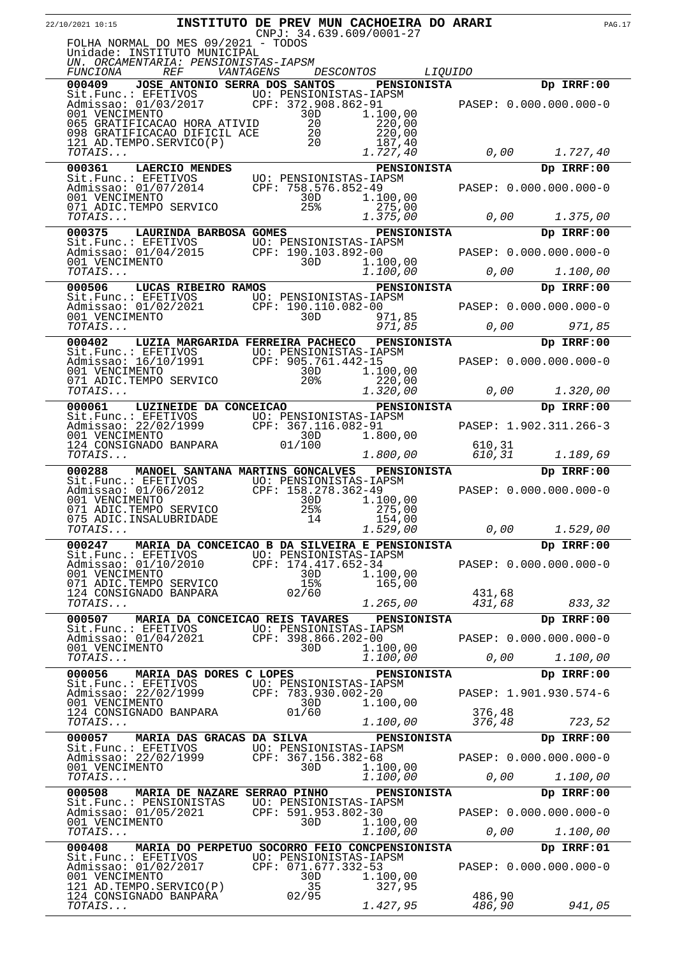| 22/10/2021 10:15         |                                                                                                                                                                              |            | INSTITUTO DE PREV MUN CACHOEIRA DO ARARI<br>$CNPJ: 34.639.609/0001-27$                                                                                     |                  |                        | <b>PAG.17</b> |
|--------------------------|------------------------------------------------------------------------------------------------------------------------------------------------------------------------------|------------|------------------------------------------------------------------------------------------------------------------------------------------------------------|------------------|------------------------|---------------|
|                          | FOLHA NORMAL DO MES 09/2021 - TODOS<br>Unidade: INSTITUTO MUNICIPAL<br>UN. ORCAMENTARIA: PENSIONISTAS-IAPSM                                                                  |            |                                                                                                                                                            |                  |                        |               |
| FUNCIONA                 | <i>REF</i>                                                                                                                                                                   | VANTAGENS  | DESCONTOS<br><i>LIQUIDO</i>                                                                                                                                |                  |                        |               |
|                          |                                                                                                                                                                              |            | 000409 JOSE ANTONIO SERRA DOS SANTOS PENSIONISTA                                                                                                           |                  | Dp IRRF:00             |               |
|                          |                                                                                                                                                                              |            |                                                                                                                                                            |                  |                        |               |
| 001 VENCIMENTO           | 065 GRATIFICACAO HORA ATIVID                                                                                                                                                 | 30D<br>20  | 1.100,00<br>220,00                                                                                                                                         |                  |                        |               |
|                          |                                                                                                                                                                              |            | 220,00                                                                                                                                                     |                  |                        |               |
| TOTAIS                   | 098 GRATIFICACAO DIFICIL ACE 20<br>121 AD TEMPO SERVICO(P) 20                                                                                                                |            | 187,40<br>1.727,40                                                                                                                                         |                  |                        |               |
|                          |                                                                                                                                                                              |            | <b>PENSIONISTA</b>                                                                                                                                         |                  | Dp IRRF:00             |               |
|                          | <b>000361 LAERCIO MENDES<br/> Sit.Func.: EFETIVOS<br/> Admissao: 01/07/2014 CPF: 758.576.852-49<br/> 001 VENCIMENTO 30D 1.100,00<br/> 7071 ADIC.TEMPO SERVICO 25% 275.00</b> |            |                                                                                                                                                            |                  |                        |               |
|                          |                                                                                                                                                                              |            |                                                                                                                                                            |                  | PASEP: 0.000.000.000-0 |               |
|                          |                                                                                                                                                                              |            |                                                                                                                                                            |                  |                        |               |
| TOTAIS                   |                                                                                                                                                                              |            | 1.375,00                                                                                                                                                   | $\sigma$ , 00    | 1.375,00               |               |
| 000375                   | LAURINDA BARBOSA GOMES                                                                                                                                                       |            | <b>PENSIONISTA</b>                                                                                                                                         |                  | Dp IRRF:00             |               |
|                          |                                                                                                                                                                              |            | Sit.Func.: EFETIVOS<br>Admissao: 01/04/2015 CPF: 190.103.892-00 PASEP: 0.000.000.000-0<br>001 VENCIMENTO 30D 1.100,00                                      |                  |                        |               |
| <i>TOTAIS</i>            |                                                                                                                                                                              |            | 1.100,00                                                                                                                                                   | 0,00             | 1.100,00               |               |
|                          | 000506 LUCAS RIBEIRO RAMOS                                                                                                                                                   |            | PENSIONISTA                                                                                                                                                |                  | Dp IRRF:00             |               |
|                          |                                                                                                                                                                              |            |                                                                                                                                                            |                  |                        |               |
|                          |                                                                                                                                                                              |            | 000506 LUCAS RIBEIRO KANOS<br>Sit.Func.: EFETIVOS UO: PENSIONISTAS-IAPSM<br>Admissao: 01/02/2021 CPF: 190.110.082-00 PASEP: 0.000.000.000-0<br>30D 971,85  |                  |                        |               |
| <i>TOTAIS</i>            |                                                                                                                                                                              |            | 971,85                                                                                                                                                     |                  | 0,00<br>971,85         |               |
|                          |                                                                                                                                                                              |            | 000402 LUZIA MARGARIDA FERREIRA PACHECO PENSIONISTA                                                                                                        |                  | Dp IRRF:00             |               |
|                          |                                                                                                                                                                              |            | Sit.Func.: EFETIVOS<br>Admissao: 16/10/1991 CPF: 905.761.442-15<br>001 VENCIMENTO 30D 1.100,00<br>071 ADIC.TEMPO SERVICO 20% 220,00                        |                  | PASEP: 0.000.000.000-0 |               |
|                          |                                                                                                                                                                              |            |                                                                                                                                                            |                  |                        |               |
| TOTAIS                   |                                                                                                                                                                              |            | 1.320,00                                                                                                                                                   | $O$ , $OO$       | 1.320,00               |               |
| 000061                   | LUZINEIDE DA CONCEICAO                                                                                                                                                       |            | <b>PENSIONISTA</b>                                                                                                                                         |                  | Dp IRRF:00             |               |
|                          |                                                                                                                                                                              |            | Sit.Func.: EFETIVOS --- TO: PENSIONISTAS-IAPSM<br>Admissao: 22/02/1999 CPF: 367.116.082-91<br>001 VENCIMENTO 30D 1.800,00<br>124 CONSIGNADO BANPARA 01/100 |                  | PASEP: 1.902.311.266-3 |               |
|                          |                                                                                                                                                                              |            |                                                                                                                                                            | 610,31           |                        |               |
| TOTAIS                   |                                                                                                                                                                              |            | 1.800,00                                                                                                                                                   | 610,31           | 1.189,69               |               |
| 000288                   | MANOEL SANTANA MARTINS GONCALVES<br>Sit.Func.: EFETIVOS UO: PENSIONISTAS-IAPSM                                                                                               |            | <b>PENSIONISTA</b>                                                                                                                                         |                  | Dp IRRF:00             |               |
|                          | Admissao: 01/06/2012 CPF: 158.278.362-49                                                                                                                                     |            |                                                                                                                                                            |                  | PASEP: 0.000.000.000-0 |               |
| 001 VENCIMENTO           | 071 ADIC.TEMPO SERVICO                                                                                                                                                       | 30D<br>25% | 1.100,00<br>275,00                                                                                                                                         |                  |                        |               |
| TOTAIS                   | 075 ADIC. INSALUBRIDADE                                                                                                                                                      | 14         | 154,00<br>1.529,00                                                                                                                                         | 0,00             | 1.529,00               |               |
|                          |                                                                                                                                                                              |            | 000247 MARIA DA CONCEICAO B DA SILVEIRA E PENSIONISTA                                                                                                      |                  | Dp IRRF:00             |               |
|                          | Sit.Func.: EFETIVOS UO: PENSIONISTAS-IAPSM                                                                                                                                   |            |                                                                                                                                                            |                  |                        |               |
| 001 VENCIMENTO           | Admissao: 01/10/2010 CPF: 174.417.652-34                                                                                                                                     | 30D        | 1,100,00                                                                                                                                                   |                  | PASEP: 0.000.000.000-0 |               |
|                          | 071 ADIC.TEMPO SERVICO                                                                                                                                                       | 15%        | 165,00                                                                                                                                                     |                  |                        |               |
| TOTAIS                   | 124 CONSIGNADO BANPARA                                                                                                                                                       | 02/60      | 1.265,00                                                                                                                                                   | 431,68<br>431,68 | 833,32                 |               |
|                          |                                                                                                                                                                              |            | 000507 MARIA DA CONCEICAO REIS TAVARES PENSIONISTA                                                                                                         |                  | Dp IRRF:00             |               |
|                          | Sit.Func.: EFETIVOS UO: PENSIONISTAS-IAPSM<br>Admissao: 01/04/2021 CPF: 398.866.202-00                                                                                       |            |                                                                                                                                                            |                  | PASEP: 0.000.000.000-0 |               |
| 001 VENCIMENTO           |                                                                                                                                                                              | 30D        | 1.100,00                                                                                                                                                   |                  |                        |               |
| TOTAIS                   |                                                                                                                                                                              |            | 1.100,00                                                                                                                                                   |                  |                        |               |
|                          | 000056 MARIA DAS DORES C LOPES                                                                                                                                               |            | PENSIONISTA                                                                                                                                                |                  | Dp IRRF:00             |               |
|                          | Sit.Func.: EFETIVOS<br>Admissao: 22/02/1999 CPF: 783.930.002-20<br>001 VENCIMENTO 30D 1.100,00                                                                               |            | 1.100,00                                                                                                                                                   |                  | PASEP: 1.901.930.574-6 |               |
|                          | 124 CONSIGNADO BANPARA                                                                                                                                                       | 01/60      |                                                                                                                                                            | 376,48           |                        |               |
| TOTAIS                   |                                                                                                                                                                              |            | 1.100,00                                                                                                                                                   | 376,48           | 723,52                 |               |
|                          | 000057 MARIA DAS GRACAS DA SILVA                                                                                                                                             |            | PENSIONISTA                                                                                                                                                |                  | Dp IRRF:00             |               |
|                          | Sit.Func.: EFETIVOS UO: PENSIONISTAS-IAPSM<br>Admissao: 22/02/1999 CPF: 367,156.382-68                                                                                       |            |                                                                                                                                                            |                  | PASEP: 0.000.000.000-0 |               |
| 001 VENCIMENTO<br>TOTAIS |                                                                                                                                                                              | 30D        | 1.100,00<br>1.100,00                                                                                                                                       | 0,00             | 1.100,00               |               |
|                          | 000508 MARIA DE NAZARE SERRAO PINHO                                                                                                                                          |            | <b>PENSIONISTA</b>                                                                                                                                         |                  | Dp IRRF:00             |               |
|                          | Sit.Func.: PENSIONISTAS UO: PENSIONISTAS-IAPSM<br>Admissao: 01/05/2021 CPF: 591,953.802-30                                                                                   |            |                                                                                                                                                            |                  | PASEP: 0.000.000.000-0 |               |
| 001 VENCIMENTO           |                                                                                                                                                                              | 30D        | 1.100,00                                                                                                                                                   |                  |                        |               |
| TOTAIS                   |                                                                                                                                                                              |            | 1.100,00                                                                                                                                                   | 0,00             | 1.100,00               |               |
| 000408                   |                                                                                                                                                                              |            | MARIA DO PERPETUO SOCORRO FEIO CONCPENSIONISTA                                                                                                             |                  | Dp IRRF:01             |               |
| 001 VENCIMENTO           | Sit.Func.: EFETIVOS UO: PENSIONISTAS-IAPSM<br>Admissao: 01/02/2017 CPF: 071.677.332-53                                                                                       | 30D        | 1.100,00                                                                                                                                                   |                  | PASEP: 0.000.000.000-0 |               |
|                          | 001 VENCIPEARLS<br>121 AD.TEMPO.SERVICO(P)                                                                                                                                   | 35         | 327,95                                                                                                                                                     |                  |                        |               |
| TOTAIS                   | 124 CONSIGNADO BANPARA                                                                                                                                                       | 02/95      | 1.427,95                                                                                                                                                   | 486,90<br>486,90 | 941,05                 |               |
|                          |                                                                                                                                                                              |            |                                                                                                                                                            |                  |                        |               |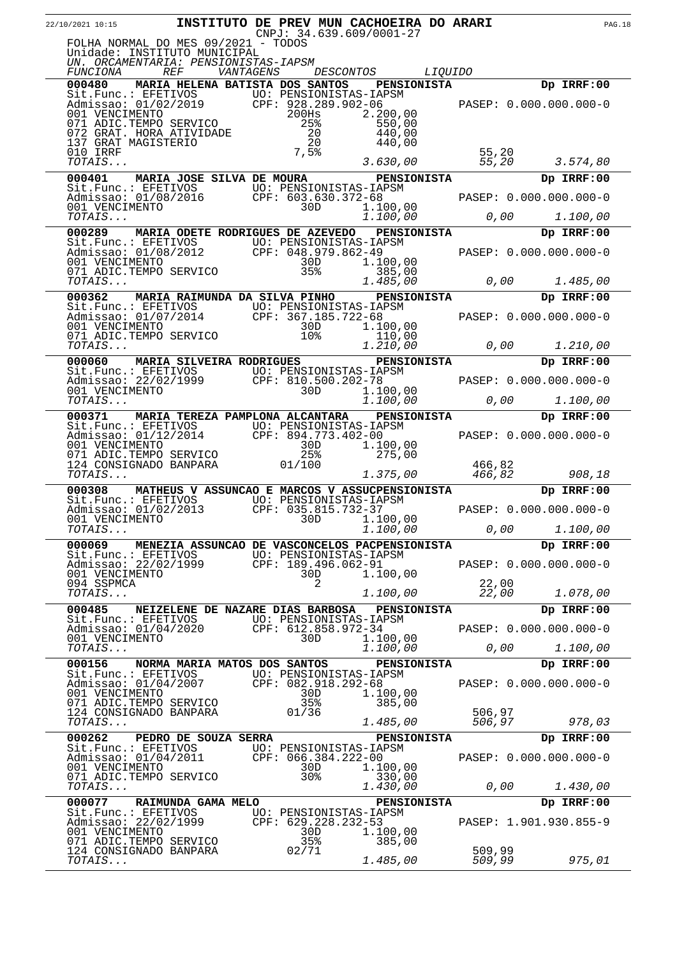| 22/10/2021 10:15 <b>INSTITUTO DE PREV MUN CACHOEIRA DO ARARI</b> PAG.18                                                                                                                                                                      |                                              |                        |                                                                  |                  |      |                        |  |
|----------------------------------------------------------------------------------------------------------------------------------------------------------------------------------------------------------------------------------------------|----------------------------------------------|------------------------|------------------------------------------------------------------|------------------|------|------------------------|--|
| FOLHA NORMAL DO MES 09/2021 - TODOS<br>Unidade: INSTITUTO MUNICIPAL                                                                                                                                                                          |                                              |                        |                                                                  |                  |      |                        |  |
| UN. ORCAMENTARIA: PENSIONISTAS-IAPSM<br>FUNCIONA REF                                                                                                                                                                                         |                                              |                        | VANTAGENS DESCONTOS LIQUIDO                                      |                  |      |                        |  |
| 000480 MARIA HELENA BATISTA DOS SANTOS PENSIONISTA                                                                                                                                                                                           |                                              |                        |                                                                  |                  |      | Dp IRRF:00             |  |
|                                                                                                                                                                                                                                              |                                              |                        |                                                                  |                  |      |                        |  |
|                                                                                                                                                                                                                                              |                                              |                        |                                                                  |                  |      |                        |  |
|                                                                                                                                                                                                                                              |                                              |                        |                                                                  |                  |      |                        |  |
| VERETIVOS<br>Sit.Func.: EFETIVOS<br>Manissao: 01/02/2019 CPF: 928.289.902-06<br>001 VENCIMENTO 200HS 2.200,00<br>071 ADIC.TEMPO SERVICO 25% 550,00<br>072 GRAT. HORA ATIVIDADE 20 440,00<br>137 GRAT MAGISTERIO 20 440,00<br>010 IRRF 7,5% 5 |                                              |                        |                                                                  |                  |      |                        |  |
| 000401 MARIA JOSE SILVA DE MOURA PENSIONISTA                                                                                                                                                                                                 |                                              |                        |                                                                  |                  |      | Dp IRRF:00             |  |
|                                                                                                                                                                                                                                              |                                              |                        |                                                                  |                  |      |                        |  |
| Sit.Func.: EFETIVOS UO: PENSIONISTAS-IAPSM<br>Admissao: 01/08/2016 CPF: 603.630.372-68 PASEP: 0.000.000.000-0<br>001 VENCIMENTO 30D 1.100,00 0,00 1.100,00<br>TOTAIS                                                                         |                                              |                        |                                                                  |                  |      |                        |  |
| 000289 MARIA ODETE RODRIGUES DE AZEVEDO PENSIONISTA                                                                                                                                                                                          |                                              |                        |                                                                  |                  |      | Dp IRRF:00             |  |
|                                                                                                                                                                                                                                              |                                              |                        |                                                                  |                  |      |                        |  |
|                                                                                                                                                                                                                                              |                                              |                        |                                                                  |                  |      |                        |  |
| 000289 MARIA ODETE RODRIGUES DE ALEVEDO FENDICULION DE PRESSION SURFADO DE DE DE DE DE DE DE DE DE DE DE DE DE<br>Admissao: 01/08/2012 CPF: 048.979.862-49 PASEP: 0.000.000.000-0<br>001 VENCIMENTO 30D 1.100,00<br>071 ADIC.TEMPO S         |                                              |                        |                                                                  |                  |      |                        |  |
| 000362 MARIA RAIMUNDA DA SILVA PINHO PENSIONISTA                                                                                                                                                                                             |                                              |                        |                                                                  |                  |      | Dp IRRF:00             |  |
|                                                                                                                                                                                                                                              |                                              |                        |                                                                  |                  |      |                        |  |
| Sit.Func.: EFETIVOS<br>Manissao: 01/07/2014<br>001 VENCIMENTO 30D<br>071 ADIC.TEMPO SERVICO 10%<br>TOTAIS<br>CPF: 367.185.722-68<br>1.100,00<br>10%<br>1.210,00<br>0.000 1.210.00<br>0.000 1.210.00                                          |                                              |                        | $10\frac{1}{8}$ $110,00$ 0,00 1.210,00                           |                  |      |                        |  |
| TOTAIS<br>000060 MARIA SILVEIRA RODRIGUES                                                                                                                                                                                                    |                                              |                        | PENSIONISTA<br>APSM                                              |                  |      | Dp IRRF:00             |  |
|                                                                                                                                                                                                                                              |                                              |                        |                                                                  |                  |      |                        |  |
| 000060 MARIA SILVEIRA RODRIGONISTAS-IAPSM<br>Sit.Func.: EFETIVOS UO: PENSIONISTAS-IAPSM<br>Admissao: 22/02/1999 CPF: 810.500.202-78 PASEP: 0.000.000.000-0<br>001 VENCIMENTO 30D 1.100,00<br>TOTAIS 1.000,00 0,00 1.100,00<br>000371         |                                              |                        |                                                                  |                  |      |                        |  |
|                                                                                                                                                                                                                                              |                                              |                        |                                                                  |                  |      |                        |  |
|                                                                                                                                                                                                                                              |                                              |                        |                                                                  |                  |      |                        |  |
|                                                                                                                                                                                                                                              |                                              |                        |                                                                  |                  |      |                        |  |
| Sit.Func.: EFETIVOS<br>Monissao: 01/12/2014<br>01 VENCIMENTO 25% 1.100,00<br>071 ADIC.TEMPO SERVICO 25% 275,00<br>1.24 CONSIGNADO BANPARA 01/100<br>1.275.00<br>266,82<br>1.24 CONSIGNADO BANPARA 01/100<br>1.275.00<br>266,82               |                                              |                        |                                                                  |                  |      |                        |  |
| TOTAIS<br>000308 MATHEUS V ASSUNCAO E MARCOS V ASSUCPENSIONISTA                                                                                                                                                                              |                                              |                        | $\frac{1.375,00}{\text{11.375,00}}$ $\frac{466,82}{\text{1102}}$ |                  |      | 908,18<br>Dp IRRF:00   |  |
|                                                                                                                                                                                                                                              |                                              |                        |                                                                  |                  |      |                        |  |
|                                                                                                                                                                                                                                              |                                              |                        |                                                                  |                  |      |                        |  |
| $\mathit{TOTAIS} \dots$<br>000069 MENEZIA ASSUNCAO DE VASCONCELOS PACPENSIONISTA                                                                                                                                                             |                                              |                        | 1.100,00                                                         | 0,00             |      | 1.100,00<br>Dp IRRF:00 |  |
| Sit.Func.: EFETIVOS UO: PENSIONISTAS-IAPSM                                                                                                                                                                                                   |                                              |                        |                                                                  |                  |      |                        |  |
| Admissao: 22/02/1999 CPF: 189.496.062-91<br>001 VENCIMENTO                                                                                                                                                                                   |                                              | 30D                    | 1.100,00                                                         |                  |      | PASEP: 0.000.000.000-0 |  |
| 094 SSPMCA<br>$\mathit{TOTAIS} \dots$                                                                                                                                                                                                        |                                              | 2                      | 1.100,00                                                         | 22,00<br>22,00   |      | 1.078,00               |  |
| 000485                                                                                                                                                                                                                                       | NEIZELENE DE NAZARE DIAS BARBOSA PENSIONISTA |                        |                                                                  |                  |      | Dp IRRF:00             |  |
| Sit.Func.: EFETIVOS UO: PENSIONISTAS-IAPSM<br>Admissao: 01/04/2020 CPF: 612.858.972-34                                                                                                                                                       |                                              |                        |                                                                  |                  |      | PASEP: 0.000.000.000-0 |  |
| 001 VENCIMENTO<br>TOTAIS                                                                                                                                                                                                                     |                                              | 30D                    | 1.100,00<br>1.100,00                                             |                  | 0,00 | 1.100,00               |  |
| 000156 NORMA MARIA MATOS DOS SANTOS                                                                                                                                                                                                          |                                              |                        | <b>PENSIONISTA</b>                                               |                  |      | Dp IRRF:00             |  |
| Sit.Func.: EFETIVOS UO: PENSIONISTAS-IAPSM<br>Admissao: 01/04/2007 CPF: 082.918.292-68<br>001 VENCIMENTO 30D 1.100.0<br>001 VENCIMENTO                                                                                                       |                                              | 30D                    |                                                                  |                  |      | PASEP: 0.000.000.000-0 |  |
| 071 ADIC.TEMPO SERVICO                                                                                                                                                                                                                       |                                              | 35%                    | 1.100,00<br>385,00                                               |                  |      |                        |  |
| 124 CONSIGNADO BANPARA<br>TOTAIS                                                                                                                                                                                                             |                                              | 01/36                  | 1.485,00                                                         | 506,97<br>506,97 |      | 978,03                 |  |
| 000262 PEDRO DE SOUZA SERRA                                                                                                                                                                                                                  |                                              |                        | <b>PENSIONISTA</b>                                               |                  |      | Dp IRRF:00             |  |
| Sit.Func.: EFETIVOS UO: PENSIONISTAS-IAPSM<br>Admissao: 01/04/2011 CPF: 066.384.222-00<br>001 VENCIMENTO 30D 1.100.0                                                                                                                         |                                              |                        |                                                                  |                  |      | PASEP: 0.000.000.000-0 |  |
| 001 VENCIMENTO<br>071 ADIC.TEMPO SERVICO                                                                                                                                                                                                     |                                              | 30D<br>30 <sub>8</sub> | 1.100,00<br>330,00                                               |                  |      |                        |  |
| TOTAIS<br>000077                                                                                                                                                                                                                             | RAIMUNDA GAMA MELO                           |                        | 1.430,00                                                         |                  | 0,00 | 1.430,00<br>Dp IRRF:00 |  |
| Sit.Func.: EFETIVOS UO: PENSIONISTAS-IAPSM<br>Admissao: 22/02/1999 CPF: 629.228.232-53<br>001.UENGIMENTO                                                                                                                                     |                                              |                        | <b>PENSIONISTA</b>                                               |                  |      |                        |  |
| 001 VENCIMENTO                                                                                                                                                                                                                               |                                              | 30D                    | 1.100,00                                                         |                  |      | PASEP: 1.901.930.855-9 |  |
| 071 ADIC.TEMPO SERVICO<br>124 CONSIGNADO BANPARA                                                                                                                                                                                             |                                              | 35%<br>02/71           | 385,00                                                           | 509,99           |      |                        |  |
| TOTAIS                                                                                                                                                                                                                                       |                                              |                        | 1.485,00                                                         | 509,99           |      | 975,01                 |  |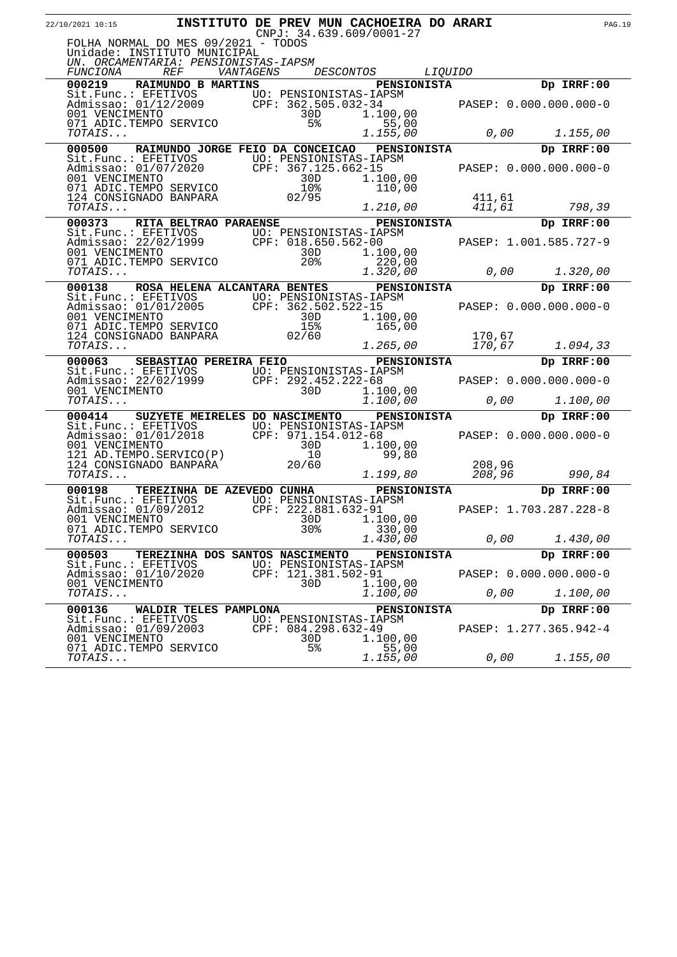| 22/10/2021 10:15                                                                                                                                                                                                                    | INSTITUTO DE PREV MUN CACHOEIRA DO ARARI     |                       |                                                             |                             |                |                  |      |                                         | <b>PAG.19</b> |
|-------------------------------------------------------------------------------------------------------------------------------------------------------------------------------------------------------------------------------------|----------------------------------------------|-----------------------|-------------------------------------------------------------|-----------------------------|----------------|------------------|------|-----------------------------------------|---------------|
| FOLHA NORMAL DO MES 09/2021 - TODOS<br>Unidade: INSTITUTO MUNICIPAL<br>UN. ORCAMENTARIA: PENSIONISTAS-IAPSM                                                                                                                         |                                              |                       | $CNPJ: 34.639.609/0001-27$                                  |                             |                |                  |      |                                         |               |
| FUNCIONA<br>000219 RAIMUNDO B MARTINS                                                                                                                                                                                               | <i>REF</i>                                   |                       | <i>VANTAGENS DESCONTOS</i>                                  | PENSIONISTA                 | <i>LIQUIDO</i> |                  |      | Dp IRRF:00                              |               |
| Sit.Func.: EFETIVOS<br>Admissao: 01/12/2009 CPF: 362.505.032-34<br>001 VENCIMENTO 30D 1.100,00<br>071 ADIC.TEMPO SERVICO 5% 55,00                                                                                                   |                                              |                       |                                                             |                             |                |                  |      |                                         |               |
| TOTAIS                                                                                                                                                                                                                              |                                              |                       | 1.155,00                                                    |                             |                |                  | 0,00 | 1.155,00                                |               |
| 000500                                                                                                                                                                                                                              | RAIMUNDO JORGE FEIO DA CONCEICAO PENSIONISTA |                       |                                                             |                             |                |                  |      | Dp IRRF:00                              |               |
| Sit.Func.: EFETIVOS<br>Monissao: 01/07/2020<br>001 VENCIMENTO<br>001 VENCIMENTO<br>001 VENCIMENTO<br>071 ADIC.TEMPO SERVICO<br>124 CONSIGNADO BANPARA<br>103<br>100,00<br>103<br>100,00<br>100,00<br>100<br>100,00<br>100<br>100,00 |                                              |                       |                                                             |                             |                |                  |      | PASEP: 0.000.000.000-0                  |               |
| TOTAIS                                                                                                                                                                                                                              |                                              |                       |                                                             | 1.210,00                    |                | 411,61<br>411,61 |      | 798,39                                  |               |
| 000373                                                                                                                                                                                                                              | RITA BELTRAO PARAENSE                        |                       |                                                             | PENSIONISTA                 |                |                  |      | Dp IRRF:00                              |               |
| Sit.Func.: EFETIVOS<br>Admissao: 22/02/1999 CPF: 018.650.562-00<br>001 VENCIMENTO 30D 1.100,00<br>071 ADIC.TEMPO SERVICO 20% 20% 22/00                                                                                              |                                              |                       |                                                             |                             |                |                  |      | PASEP: 1.001.585.727-9<br>0,00 1.320,00 |               |
| <i>TOTAIS</i>                                                                                                                                                                                                                       |                                              |                       | 1.320,00                                                    |                             |                |                  |      |                                         |               |
| 000138 ROSA HELENA ALCANTARA BENTES                                                                                                                                                                                                 |                                              |                       |                                                             | PENSIONISTA                 |                |                  |      | Dp IRRF:00                              |               |
| Sit.Func.: EFETIVOS UO: PENSIONISTAS-IAPSM<br>Admissao: 01/01/2005 CPF: 362.502.522-15<br>001 VENCIMENTO 30D 1.100,00<br>071 ADIC.TEMPO SERVICO 15% 165,00<br>7072 IS 1094 33                                                       |                                              |                       |                                                             |                             |                |                  |      |                                         |               |
| TOTAIS                                                                                                                                                                                                                              |                                              |                       |                                                             | 1.265,00                    |                | 170,67           |      | 1.094,33                                |               |
| 000063                                                                                                                                                                                                                              | SEBASTIAO PEREIRA FEIO                       |                       |                                                             | <b>PENSIONISTA</b>          |                |                  |      | Dp IRRF:00                              |               |
| Sit.Func.: EFETIVOS<br>Admissao: 22/02/1999<br>001 VENCIMENTO<br>707AIS 292.452.222-68<br>707AIS 292.452.222-68<br>20D 1.100,00                                                                                                     |                                              |                       |                                                             | <sup>2-68</sup><br>1.100,00 |                |                  |      | PASEP: 0.000.000.000-0                  |               |
|                                                                                                                                                                                                                                     |                                              |                       |                                                             |                             |                |                  | 0,00 | 1.100,00                                |               |
| 000414                                                                                                                                                                                                                              | SUZYETE MEIRELES DO NASCIMENTO               |                       |                                                             | <b>PENSIONISTA</b>          |                |                  |      | Dp IRRF:00                              |               |
| Sit.Func.: EFETIVOS<br>Monissao: 01/01/2018<br>CPF: 971.154.012-68<br>001 VENCIMENTO<br>121 AD.TEMPO.SERVICO(P)<br>124 CONSIGNADO BANPARA<br>20/60<br>124 CONSIGNADO BANPARA<br>20/60                                               |                                              |                       |                                                             | .-68<br>1.100,00            |                |                  |      | PASEP: 0.000.000.000-0                  |               |
| TOTAIS                                                                                                                                                                                                                              |                                              |                       |                                                             | 1.199,80                    |                | 208,96<br>208,96 |      | 990,84                                  |               |
| 000198                                                                                                                                                                                                                              | TEREZINHA DE AZEVEDO CUNHA                   |                       |                                                             | PENSIONISTA                 |                |                  |      | Dp IRRF:00                              |               |
| Sit.Func.: EFETIVOS UO: PENSIONISTAS-IAPSM<br>Admissao: 01/09/2012 CPF: 222.881.632-91<br>001 VENCIMENTO<br>071 ADIC.TEMPO SERVICO                                                                                                  |                                              | 30D<br>30%            | CPF: $222.881.632-91$<br>1.100,00                           | 330,00                      |                |                  |      | PASEP: 1.703.287.228-8                  |               |
| <i>TOTAIS</i>                                                                                                                                                                                                                       |                                              |                       | 1.430,00                                                    |                             |                | 0,00             |      | 1.430,00                                |               |
| 000503                                                                                                                                                                                                                              | TEREZINHA DOS SANTOS NASCIMENTO              |                       |                                                             | <b>PENSIONISTA</b>          |                |                  |      | Dp IRRF:00                              |               |
| Sit. Func.: EFETIVOS<br>Admissao: 01/10/2020<br>001 VENCIMENTO                                                                                                                                                                      |                                              | 30D.                  | UO: PENSIONISTAS-IAPSM<br>CPF: 121.381.502-91<br>1.100,00   |                             |                |                  |      | PASEP: 0.000.000.000-0                  |               |
| TOTAIS                                                                                                                                                                                                                              |                                              |                       | 1.100,00                                                    |                             |                | 0,00             |      | 1.100,00                                |               |
| 000136                                                                                                                                                                                                                              | WALDIR TELES PAMPLONA                        |                       |                                                             | <b>PENSIONISTA</b>          |                |                  |      | Dp IRRF:00                              |               |
| Sit. Func.: EFETIVOS<br>Admissao: 01/09/2003<br>001 VENCIMENTO<br>071 ADIC.TEMPO SERVICO                                                                                                                                            |                                              | 30D<br>5 <sup>8</sup> | UO: PENSIONISTAS-IAPSM<br>$CPF: 084.298.632-49$<br>1.100,00 | 55,00                       |                |                  |      | PASEP: 1.277.365.942-4                  |               |
| TOTAIS                                                                                                                                                                                                                              |                                              |                       | 1.155,00                                                    |                             |                | 0,00             |      | 1.155,00                                |               |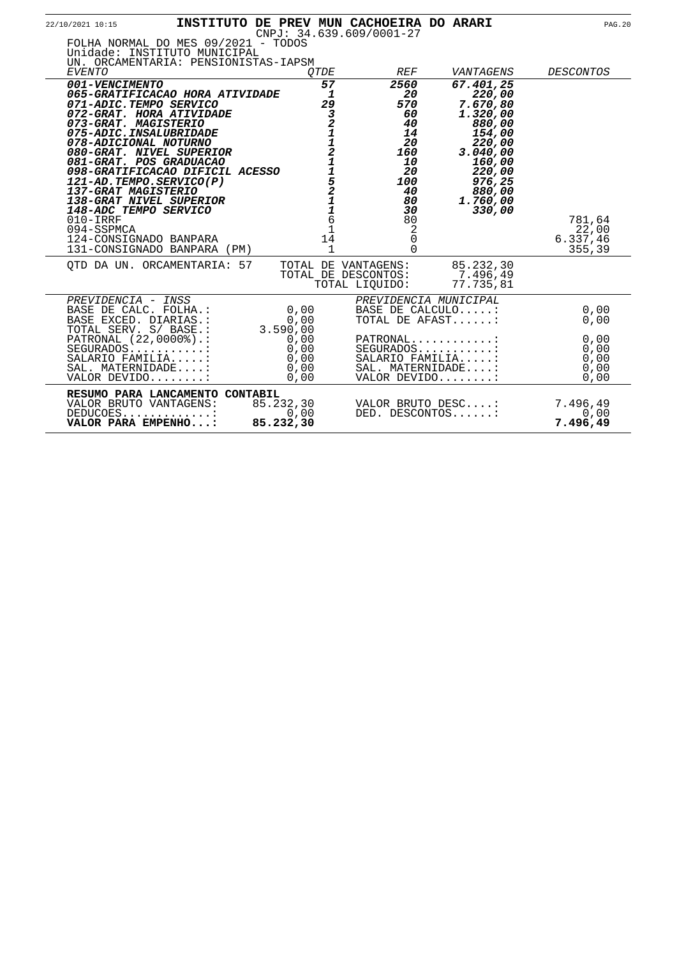| 22/10/2021 10:15                                                                                                                                                                                                                                                                                                                                                                                                                                                          |                                                                                       | INSTITUTO DE PREV MUN CACHOEIRA DO ARARI<br>$CNPJ: 34.639.609/0001-27$                                                   |                                                                                                                                                     | <b>PAG.20</b>                         |
|---------------------------------------------------------------------------------------------------------------------------------------------------------------------------------------------------------------------------------------------------------------------------------------------------------------------------------------------------------------------------------------------------------------------------------------------------------------------------|---------------------------------------------------------------------------------------|--------------------------------------------------------------------------------------------------------------------------|-----------------------------------------------------------------------------------------------------------------------------------------------------|---------------------------------------|
| FOLHA NORMAL DO MES 09/2021 - TODOS<br>Unidade: INSTITUTO MUNICIPAL<br>UN. ORCAMENTARIA: PENSIONISTAS-IAPSM<br>EVENTO                                                                                                                                                                                                                                                                                                                                                     | <i>OTDE</i>                                                                           | <b>REF</b>                                                                                                               | VANTAGENS                                                                                                                                           | <i>DESCONTOS</i>                      |
| 001-VENCIMENTO<br>065-GRATIFICACAO HORA ATIVIDADE<br>071-ADIC.TEMPO SERVICO<br>072-GRAT. HORA ATIVIDADE<br>073-GRAT. MAGISTERIO<br>075-ADIC.INSALUBRIDADE<br>078-ADICIONAL NOTURNO<br>080-GRAT. NIVEL SUPERIOR<br>081-GRAT. POS GRADUACAO<br>098-GRATIFICACAO DIFICIL ACESSO<br>121-AD.TEMPO.SERVICO(P)<br>137-GRAT MAGISTERIO<br>138-GRAT NIVEL SUPERIOR<br>148-ADC TEMPO SERVICO<br>$010 - IRRF$<br>094-SSPMCA<br>124-CONSIGNADO BANPARA<br>131-CONSIGNADO BANPARA (PM) | 57<br>$\mathbf{1}$<br>29<br>32112115211<br>$\overline{6}$<br>$1$<br>14<br>$\mathbf 1$ | 2560<br>20<br>570<br>60<br>40<br>14<br>20<br>160<br>10<br>20<br>100<br>40<br>80<br>30<br>80<br>2<br>$\Omega$<br>$\Omega$ | 67.401,25<br>220,00<br>7.670,80<br>1.320,00<br>880,00<br>154,00<br>220,00<br>3.040,00<br>160,00<br>220,00<br>976,25<br>880,00<br>1.760,00<br>330,00 | 781,64<br>22,00<br>6.337,46<br>355,39 |
| OTD DA UN. ORCAMENTARIA: 57                                                                                                                                                                                                                                                                                                                                                                                                                                               |                                                                                       | TOTAL DE VANTAGENS:<br>TOTAL DE DESCONTOS:<br>TOTAL LIOUIDO:                                                             | 85.232,30<br>7.496,49<br>77.735,81                                                                                                                  |                                       |
| PREVIDENCIA - INSS<br>BASE DE CALC. FOLHA.:<br>BASE EXCED. DIARIAS.:<br>TOTAL SERV. S/ BASE.:                                                                                                                                                                                                                                                                                                                                                                             | 0,00<br>0,00<br>3.590,00                                                              | PREVIDENCIA MUNICIPAL<br>BASE DE CALCULO:<br>TOTAL DE AFAST:                                                             |                                                                                                                                                     | 0,00<br>0,00                          |
| PATRONAL (22,0000%).:<br>SEGURADOS:<br>SALARIO FAMILIA:<br>SAL. MATERNIDADE:<br>VALOR DEVIDO:                                                                                                                                                                                                                                                                                                                                                                             | 0,00<br>0,00<br>0,00<br>0,00<br>0,00                                                  | PATRONAL:<br>$SEGURADOS$<br>SALARIO FAMILIA:<br>SAL. MATERNIDADE:<br>VALOR DEVIDO:                                       |                                                                                                                                                     | 0,00<br>0,00<br>0,00<br>0,00<br>0,00  |
| RESUMO PARA LANCAMENTO CONTABIL<br>VALOR BRUTO VANTAGENS:<br>$DEDUCOES$<br>VALOR PARA EMPENHO:                                                                                                                                                                                                                                                                                                                                                                            | 85.232,30<br>0,00<br>85.232,30                                                        | VALOR BRUTO DESC:<br>DED. DESCONTOS:                                                                                     |                                                                                                                                                     | 7.496,49<br>0,00<br>7.496,49          |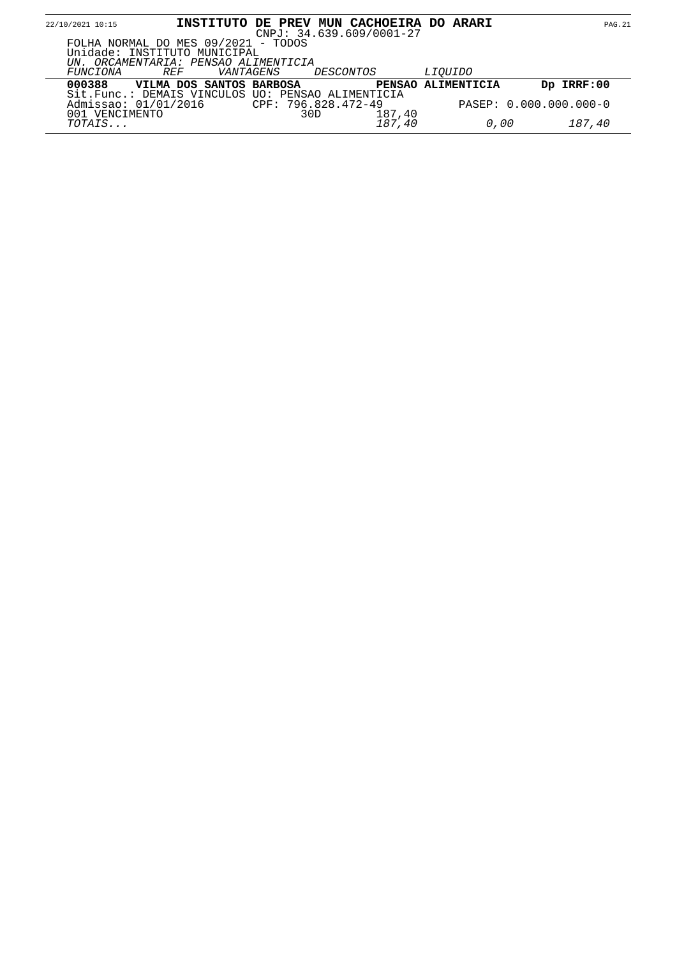| 22/10/2021 10:15 |                                                                                                             |           | INSTITUTO DE PREV MUN CACHOEIRA DO ARARI<br>$CNPJ: 34.639.609/0001-27$ |        |                    |                        | <b>PAG.21</b> |
|------------------|-------------------------------------------------------------------------------------------------------------|-----------|------------------------------------------------------------------------|--------|--------------------|------------------------|---------------|
|                  | FOLHA NORMAL DO MES 09/2021 - TODOS<br>Unidade: INSTITUTO MUNICIPAL<br>UN. ORCAMENTARIA: PENSAO ALIMENTICIA |           |                                                                        |        |                    |                        |               |
| FUNCIONA         | <i>REF</i>                                                                                                  | VANTAGENS | DESCONTOS                                                              |        | <i>LIOUIDO</i>     |                        |               |
| 000388           | VILMA DOS SANTOS BARBOSA                                                                                    |           |                                                                        |        | PENSAO ALIMENTICIA | Dp IRRF:00             |               |
| 001 VENCIMENTO   | Sit. Func.: DEMAIS VINCULOS UO: PENSAO ALIMENTICIA<br>Admissao: 01/01/2016                                  |           | CPF: 796.828.472-49<br>30D                                             | 187,40 |                    | PASEP: 0.000.000.000-0 |               |
| TOTAIS           |                                                                                                             |           |                                                                        | 187,40 | 0,00               | 187,40                 |               |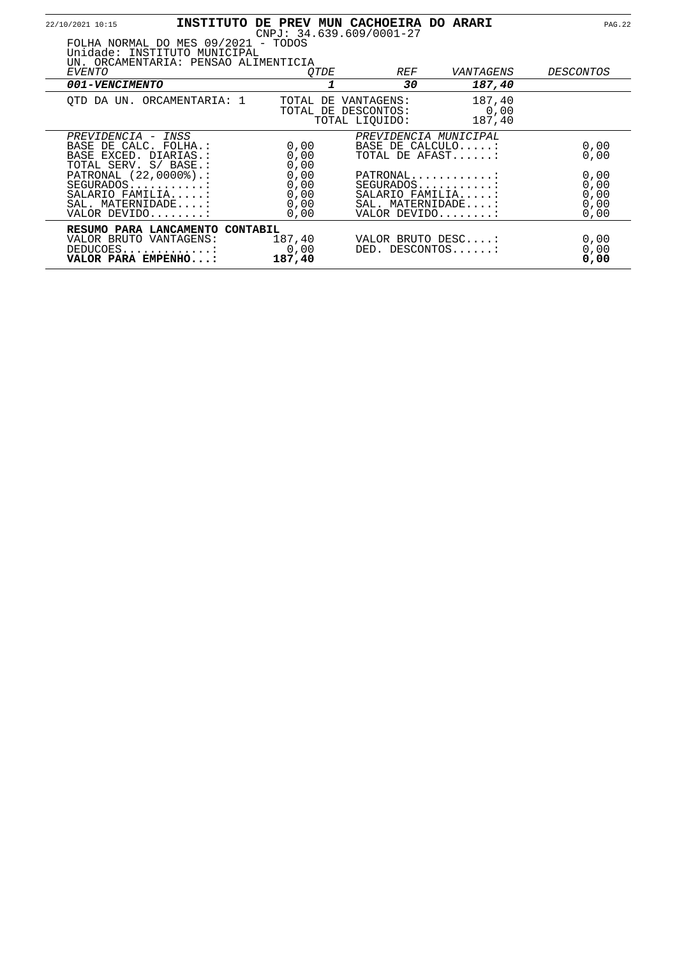| 22/10/2021 10:15                                                                              |                                                                                                             |                                      | INSTITUTO DE PREV MUN CACHOEIRA DO ARARI<br>$CNPJ: 34.639.609/0001-27$            |                          | <b>PAG.22</b>                        |
|-----------------------------------------------------------------------------------------------|-------------------------------------------------------------------------------------------------------------|--------------------------------------|-----------------------------------------------------------------------------------|--------------------------|--------------------------------------|
|                                                                                               | FOLHA NORMAL DO MES 09/2021 - TODOS<br>Unidade: INSTITUTO MUNICIPAL<br>UN. ORCAMENTARIA: PENSAO ALIMENTICIA |                                      |                                                                                   |                          |                                      |
| <i>EVENTO</i>                                                                                 |                                                                                                             | <i>OTDE</i>                          | <i>REF</i>                                                                        | VANTAGENS                | <i>DESCONTOS</i>                     |
| 001-VENCIMENTO                                                                                |                                                                                                             |                                      | 30                                                                                | 187,40                   |                                      |
|                                                                                               | OTD DA UN. ORCAMENTARIA: 1                                                                                  |                                      | TOTAL DE VANTAGENS:<br>TOTAL DE DESCONTOS:<br>TOTAL LIOUIDO:                      | 187,40<br>0,00<br>187,40 |                                      |
| PREVIDENCIA - INSS<br>BASE DE CALC. FOLHA.:<br>BASE EXCED. DIARIAS.:<br>TOTAL SERV. S/ BASE.: |                                                                                                             | 0,00<br>0,00<br>0,00                 | PREVIDENCIA MUNICIPAL<br>BASE DE CALCULO:<br>TOTAL DE AFAST:                      |                          | 0,00<br>0,00                         |
| PATRONAL (22,0000%).:<br>SEGURADOS:<br>SALARIO FAMILIA:<br>SAL. MATERNIDADE:<br>VALOR DEVIDO: |                                                                                                             | 0,00<br>0,00<br>0,00<br>0,00<br>0,00 | PATRONAL<br>$SEGURADOS$<br>SALARIO FAMILIA:<br>SAL. MATERNIDADE:<br>VALOR DEVIDO: |                          | 0,00<br>0,00<br>0,00<br>0,00<br>0,00 |
| VALOR BRUTO VANTAGENS:<br>DEDUCOES<br>VALOR PARA EMPENHO:                                     | RESUMO PARA LANCAMENTO CONTABIL                                                                             | 187,40<br>0,00<br>187,40             | VALOR BRUTO DESC:<br>DED. DESCONTOS:                                              |                          | 0,00<br>0,00<br>0,00                 |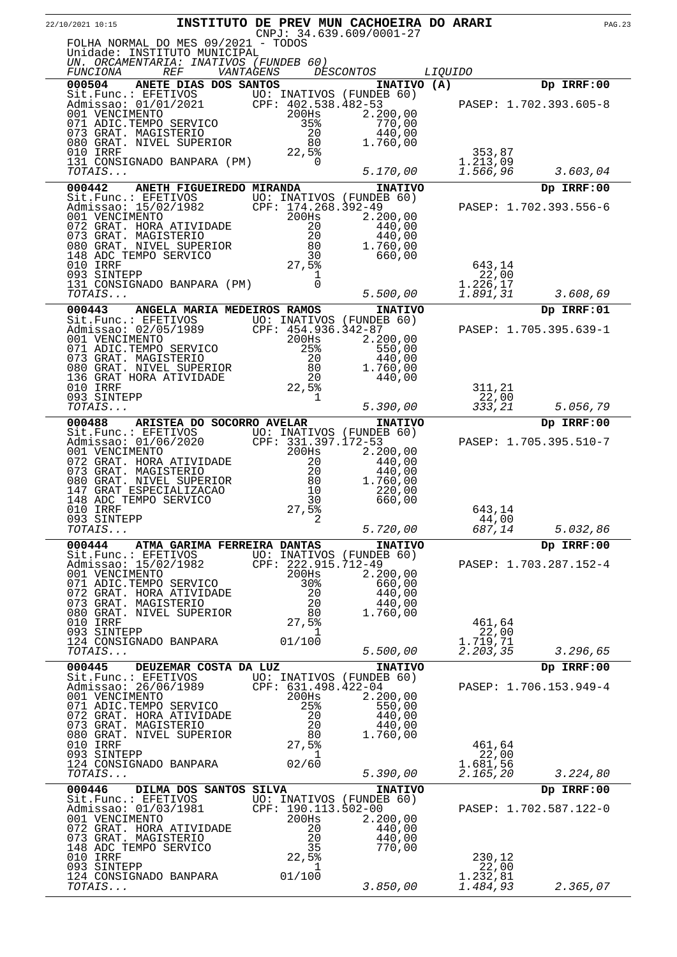| 22/10/2021 10:15                                                                                                                                                                                                                                                                                                                                                               |                             |                                                                                                                                                                  | INSTITUTO DE PREV MUN CACHOEIRA DO ARARI<br>CNPJ: 34.639.609/0001-27           |                                  | <b>PAG.23</b>                        |  |
|--------------------------------------------------------------------------------------------------------------------------------------------------------------------------------------------------------------------------------------------------------------------------------------------------------------------------------------------------------------------------------|-----------------------------|------------------------------------------------------------------------------------------------------------------------------------------------------------------|--------------------------------------------------------------------------------|----------------------------------|--------------------------------------|--|
| FOLHA NORMAL DO MES 09/2021 - TODOS<br>Unidade: INSTITUTO MUNICIPAL<br>UN. ORCAMENTARIA: INATIVOS (FUNDEB 60)                                                                                                                                                                                                                                                                  |                             |                                                                                                                                                                  |                                                                                |                                  |                                      |  |
| <i>REF</i><br><i>FUNCIONA</i><br>000504 ANETE DIAS DOS SANTOS                                                                                                                                                                                                                                                                                                                  | VANTAGENS                   |                                                                                                                                                                  | <i>DESCONTOS</i>                                                               | <i>LIQUIDO</i>                   | Dp IRRF:00                           |  |
| Sit.Func.: EFETIVOS UO: INATIVOS (FUNDEB 60)<br>Admissao: 01/01/2021 CPF: 402.538.482-53<br>001 VENCIMENTO 200Hs 2.200,00<br>071 ADIC.TEMPO SERVICO<br>073 GRAT. MAGISTERIO                                                                                                                                                                                                    |                             |                                                                                                                                                                  | INATIVO (A)<br>770,00<br>440,00                                                | PASEP: 1.702.393.605-8           |                                      |  |
| 080 GRAT. NIVEL SUPERIOR<br>010 IRRF<br>131 CONSIGNADO BANPARA (PM)<br>TOTAIS                                                                                                                                                                                                                                                                                                  |                             | $\begin{array}{r} 358 \\ 20 \\ 20 \\ 8 \end{array}$<br>0                                                                                                         | 1.760,00                                                                       | 353,87<br>1.213,09<br>1.566,96   |                                      |  |
|                                                                                                                                                                                                                                                                                                                                                                                |                             |                                                                                                                                                                  | 5.170,00                                                                       |                                  | 3.603,04                             |  |
| 000442                                                                                                                                                                                                                                                                                                                                                                         | ANETH FIGUEIREDO MIRANDA    |                                                                                                                                                                  | <b>INATIVO</b>                                                                 |                                  | Dp IRRF:00                           |  |
| 01 VENCIMENTO AMAILLY<br>Sit. Func.: EFETIVOS UO: INATIVOS (FUNDEB 60)<br>Admissao: 15/02/1982 CPF: 174.268.392-49<br>001 VENCIMENTO 200Hs 2.200,00<br>072 GRAT. HORA ATIVIDADE 20<br>073 GRAT. MAGISTERIO 20 440,00<br>080 GRAT. NIVEL SU                                                                                                                                     |                             |                                                                                                                                                                  |                                                                                | 643,14                           | PASEP: 1.702.393.556-6               |  |
| 093 SINTEPP<br>131 CONSIGNADO BANPARA (PM)                                                                                                                                                                                                                                                                                                                                     |                             | 1<br>$\Omega$                                                                                                                                                    |                                                                                | 22,00<br>1.226,17                |                                      |  |
| TOTAIS                                                                                                                                                                                                                                                                                                                                                                         |                             |                                                                                                                                                                  | 5.500,00                                                                       | 1.891,31                         | 3.608,69                             |  |
| 000443                                                                                                                                                                                                                                                                                                                                                                         | ANGELA MARIA MEDEIROS RAMOS |                                                                                                                                                                  | <b>INATIVO</b>                                                                 |                                  | Dp IRRF:01                           |  |
| Sit.Func.: EFETIVOS<br>Admissao: 02/05/1989 CPF: 454.936.342-87<br>001 VENCIMENTO 200Hs 2.200,00<br>071 ADIC.TEMPO SERVICO<br>073 GRAT. MAGISTERIO<br>080 GRAT. NIVEL SUPERIOR<br>136 GRAT HORA ATIVIDADE<br>010 IRRF                                                                                                                                                          |                             | 25%<br>$\frac{20}{80}$<br>20<br>22,5%                                                                                                                            | 550,00<br>440,00<br>1.760,00<br>440,00                                         | 311,21                           | PASEP: 1.705.395.639-1               |  |
| 093 SINTEPP<br>TOTAIS                                                                                                                                                                                                                                                                                                                                                          |                             | 1                                                                                                                                                                | 5.390,00                                                                       | 22,00<br>333,21                  | 5.056,79                             |  |
| 000488                                                                                                                                                                                                                                                                                                                                                                         | ARISTEA DO SOCORRO AVELAR   |                                                                                                                                                                  | <b>INATIVO</b>                                                                 |                                  | Dp IRRF:00                           |  |
| Sit.Func.: EFETIVOS UO: INATIVOS (FUNDEB 60)<br>Admissao: 01/06/2020<br>001 VENCIMENTO<br>072 GRAT. HORA ATIVIDADE<br>073 GRAT. MAGISTERIO<br>080 GRAT. NIVEL SUPERIOR<br>147 GRAT ESPECIALIZACAO<br>148 ADC TEMPO SERVICO<br>010 IRRF                                                                                                                                         |                             | CPF: 331.397.172-53<br>$CPF: \begin{array}{c} . & . & . \\ . & . & . \\ 20 & . & . \\ 20 & . & . \\ 80 & . & . \\ 10 & . & . \\ 27 & . & . \end{array}$<br>27,5% | 2.200,00<br>440,00<br>440,00<br>1.760,00<br>220,00<br>660,00                   | 643,14                           | PASEP: 1.705.395.510-7               |  |
| 093 SINTEPP<br>TOTAIS                                                                                                                                                                                                                                                                                                                                                          |                             | $\overline{c}$                                                                                                                                                   | 5.720,00                                                                       | 44,00<br>687,14                  | 5.032,86                             |  |
| 000444 ATMA GARIMA FERREIRA DANTAS                                                                                                                                                                                                                                                                                                                                             |                             |                                                                                                                                                                  |                                                                                |                                  | Dp IRRF:00                           |  |
| Sit.Func.: EFETIVOS UO: INATIVOS (FUNDEB 60)<br>Admissao: 15/02/1982 CPF: 222.915.712-49<br>001 VENCIMENTO<br>071 ADIC.TEMPO SERVICO 30%<br>072 GRAT. HORA ATIVIDADE 20<br>073 GRAT. MAGISTERIO 20<br>080 GRAT. NIVEL SUPERIOR 80<br>001 IRRF<br>010 IRRF DD 27,5%                                                                                                             |                             | 200Hs                                                                                                                                                            | <b>INATIVO</b><br>2.200,00<br>660,00<br>660,00<br>440,00<br>440,00<br>1.760,00 | PASEP: 1.703.287.152-4<br>461,64 |                                      |  |
| 093 SINTEPP                                                                                                                                                                                                                                                                                                                                                                    |                             | $\perp$                                                                                                                                                          |                                                                                | 22,00                            |                                      |  |
| 124 CONSIGNADO BANPARA 01/100<br>TOTAIS                                                                                                                                                                                                                                                                                                                                        |                             |                                                                                                                                                                  | 5.500,00                                                                       | 1.719,71<br>2.203,35             | 3.296,65                             |  |
|                                                                                                                                                                                                                                                                                                                                                                                |                             |                                                                                                                                                                  | <b>INATIVO</b>                                                                 |                                  | Dp IRRF:00                           |  |
| Sit.Func.: EFETIVOS UO: INATIVOS (FUNDEB 60)<br>Admissao: 26/06/1989 CPF: 631.498.422-04<br>001 VENCIMENTO 200Hs 2.20<br><b>00445 DEUAL</b><br>Sit.Func.: EFETIVOS<br>Admissao: 26/06/1989 CPr.<br>001 VENCIMENTO 200Hs<br>071 ADIC.TEMPO SERVICO 25%<br>072 GRAT. HORA ATIVIDADE 20<br>073 GRAT. MAGISTERIO 20<br>073 GRAT. MAGISTERIO 20<br>773 GRAT. MAGISTERIO 20<br>773 G |                             |                                                                                                                                                                  | 2.200,00<br>550,00<br>$\frac{440}{440}$ , 00                                   |                                  | PASEP: 1.706.153.949-4               |  |
|                                                                                                                                                                                                                                                                                                                                                                                |                             |                                                                                                                                                                  | 1.760,00                                                                       |                                  |                                      |  |
|                                                                                                                                                                                                                                                                                                                                                                                |                             |                                                                                                                                                                  |                                                                                | 461,64<br>22,00                  |                                      |  |
| $124$ CONSIGNADO BANPARA $02/60$<br>TOTAIS                                                                                                                                                                                                                                                                                                                                     |                             |                                                                                                                                                                  | 5.390,00                                                                       | 1.681,56<br>2.165,20             | 3.224,80                             |  |
|                                                                                                                                                                                                                                                                                                                                                                                |                             |                                                                                                                                                                  |                                                                                |                                  |                                      |  |
| 000446 DILMA DOS SANTOS SILVA<br>Sit.Func.: EFETIVOS UO: INATIVOS (FUNDEB 60)<br>Admissao: 01/03/1981 CPF: 190.113.502-00<br>001.VENGIMENTO<br>001 VENCIMENTO<br>072 GRAT. HORA ATIVIDADE<br>073 GRAT. MAGISTERIO<br>148 ADC TEMPO SEDVICO<br>148 ADC TEMPO SERVICO<br>010 IRRF                                                                                                |                             | $200$ Hs<br>$\begin{array}{r} 20 \\ 20 \\ 20 \\ 35 \\ 22, 5\frac{2}{3} \\ 1 \end{array}$                                                                         | <b>INATIVO</b><br>2.200,00<br>440,00<br>440,00<br>770,00                       | 230,12                           | Dp IRRF:00<br>PASEP: 1.702.587.122-0 |  |
| 093 SINTEPP<br>124 CONSIGNADO BANPARA 01/100                                                                                                                                                                                                                                                                                                                                   |                             | $\sim$ 1                                                                                                                                                         |                                                                                | 22,00<br>1.232,81                |                                      |  |
| TOTAIS                                                                                                                                                                                                                                                                                                                                                                         |                             |                                                                                                                                                                  | 3.850,00                                                                       | 1.484,93                         | 2.365,07                             |  |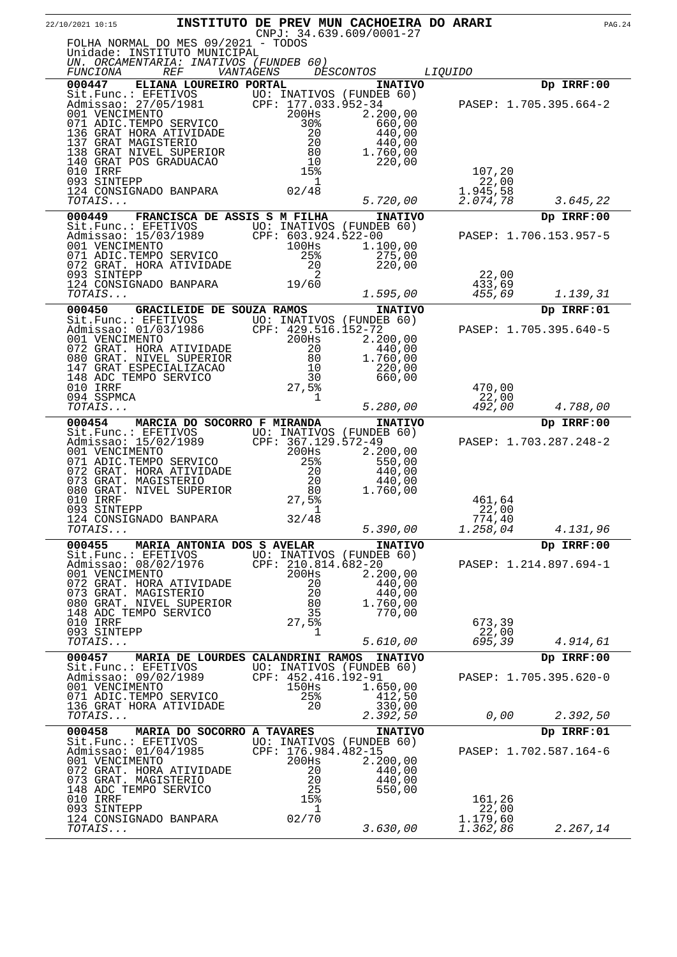| 22/10/2021 10:15                                                                                                                                                                                                               | INSTITUTO DE PREV MUN CACHOEIRA DO ARARI |                                   | CNPJ: 34.639.609/0001-27                   |                      | <b>PAG.24</b>          |
|--------------------------------------------------------------------------------------------------------------------------------------------------------------------------------------------------------------------------------|------------------------------------------|-----------------------------------|--------------------------------------------|----------------------|------------------------|
| FOLHA NORMAL DO MES 09/2021 - TODOS                                                                                                                                                                                            |                                          |                                   |                                            |                      |                        |
| Unidade: INSTITUTO MUNICIPAL<br>UN. ORCAMENTARIA: INATIVOS (FUNDEB 60)                                                                                                                                                         |                                          |                                   |                                            |                      |                        |
| <i>REF</i><br><i>FUNCIONA</i>                                                                                                                                                                                                  | <i>VANTAGENS</i>                         |                                   | <i>DESCONTOS</i>                           | <i>LIQUIDO</i>       |                        |
| 000447                                                                                                                                                                                                                         | ELIANA LOUREIRO PORTAL                   |                                   | <b>INATIVO</b>                             |                      | Dp IRRF:00             |
| Sit.Func.: EFETIVOS<br>Admissao: 27/05/1981 CPF: 177.033.952-34<br>001 VENCIMENTO 200Hs 2.200,00<br>071 ADIC.TEMPO SERVICO 30% 660,00                                                                                          |                                          |                                   |                                            |                      | PASEP: 1.705.395.664-2 |
|                                                                                                                                                                                                                                |                                          |                                   |                                            |                      |                        |
| 136 GRAT HORA ATIVIDADE<br>137 GRAT MAGISTERIO                                                                                                                                                                                 |                                          | 20<br>$\frac{20}{20}$<br>80<br>10 | 440,00<br>440,00                           |                      |                        |
| 138 GRAT NIVEL SUPERIOR<br>140 GRAT POS GRADUACAO                                                                                                                                                                              |                                          | 10                                | 1.760,00<br>220,00                         |                      |                        |
| 010 IRRF<br>093 SINTEPP                                                                                                                                                                                                        |                                          | 15%                               |                                            | 107,20               |                        |
| 124 CONSIGNADO BANPARA                                                                                                                                                                                                         |                                          | 1<br>02/48                        |                                            | 22,00<br>1.945,58    |                        |
| TOTAIS                                                                                                                                                                                                                         |                                          |                                   | 5.720,00                                   | 2.074,78             | 3.645,22               |
| 000449<br>Sit. Func.: EFETIVOS UO: INATIVOS (FUNDEB 60)                                                                                                                                                                        | FRANCISCA DE ASSIS S M FILHA             |                                   | <b>INATIVO</b>                             |                      | Dp IRRF:00             |
| Admissao: 15/03/1989<br>001 VENCIMENTO 100Hs 100Hs 1 1                                                                                                                                                                         |                                          |                                   |                                            |                      | PASEP: 1.706.153.957-5 |
| 071 ADIC.TEMPO SERVICO<br>072 GRAT. HORA ATIVIDADE                                                                                                                                                                             |                                          | 25%                               | 1.100,00<br>275,00                         |                      |                        |
| 093 SINTEPP                                                                                                                                                                                                                    |                                          | 20<br>2                           | 220,00                                     | 22,00                |                        |
| 124 CONSIGNADO BANPARA 19/60<br>TOTAIS                                                                                                                                                                                         |                                          |                                   | 1.595,00                                   | 433,69<br>455,69     | 1.139,31               |
| 000450                                                                                                                                                                                                                         | GRACILEIDE DE SOUZA RAMOS                |                                   | <b>INATIVO</b>                             |                      | Dp IRRF:01             |
| Sit.Func.: EFETIVOS UO: INATIVOS (FUNDEB 60)                                                                                                                                                                                   |                                          |                                   |                                            |                      |                        |
| NOTE: THE CONTROLL OF CONTROLL ON A SERVICE CONTROLL ON A SAME SERVICE CONTROLL ON SACTO 2001 VENTION CONTROLL OF 2001 CONTROLL OF 2001 CONTROLL OF 2001 CONTROLL OF 2001 CONTROLL OF 2001 CONTROLL OF 2001 CONTROLL OF 2001 C |                                          |                                   | 2.200,00                                   |                      | PASEP: 1.705.395.640-5 |
|                                                                                                                                                                                                                                |                                          |                                   | 440,00<br>1.760,00                         |                      |                        |
|                                                                                                                                                                                                                                |                                          |                                   | 220,00                                     |                      |                        |
| 148 ADC TEMPO SERVICO<br>010 IRRF                                                                                                                                                                                              |                                          | 30<br>27,5%                       | 660,00                                     | 470,00               |                        |
| 094 SSPMCA<br>TOTAIS                                                                                                                                                                                                           |                                          | 1                                 | 5.280,00                                   | 22,00<br>492,00      | 4.788,00               |
| 000454                                                                                                                                                                                                                         | MARCIA DO SOCORRO F MIRANDA              |                                   | <b>INATIVO</b>                             |                      | Dp IRRF:00             |
| Sit.Func.: EFETIVOS UO: INATIVOS (FUNDEB 60)                                                                                                                                                                                   |                                          | CPF: 367.129.572-49               |                                            |                      | PASEP: 1.703.287.248-2 |
| Admissao: 15/02/1989<br>001 VENCIMENTO                                                                                                                                                                                         |                                          | $200$ Hs                          | 2.200,00                                   |                      |                        |
| 071 ADIC.TEMPO SERVICO<br>072 GRAT. HORA ATIVIDADE<br>073 GRAT. MAGISTERIO                                                                                                                                                     |                                          | 25%<br>20                         | 550,00<br>440,00                           |                      |                        |
|                                                                                                                                                                                                                                |                                          | 20                                | 440,00                                     |                      |                        |
| 080 GRAT. NIVEL SUPERIOR<br>010 IRRF                                                                                                                                                                                           |                                          | 80<br>27,5%                       | 1.760,00                                   | 461,64               |                        |
| 093 SINTEPP<br>124 CONSIGNADO BANPARA                                                                                                                                                                                          |                                          | 1<br>32/48                        |                                            | 22,00<br>774,40      |                        |
| <i>TOTAIS</i>                                                                                                                                                                                                                  |                                          |                                   | 5.390,00                                   | 1.258,04             | 4.131,96               |
| 000455<br>Sit.Func.: EFETIVOS                                                                                                                                                                                                  | MARIA ANTONIA DOS S AVELAR               |                                   | <b>INATIVO</b><br>UO: INATIVOS (FUNDEB 60) |                      | Dp IRRF:00             |
| Admissao: 08/02/1976                                                                                                                                                                                                           |                                          | CPF: 210.814.682-20               |                                            |                      | PASEP: 1.214.897.694-1 |
| 001 VENCIMENTO<br>072 GRAT. HORA ATIVIDADE                                                                                                                                                                                     |                                          | 200Hs<br>20                       | 2.200,00<br>440,00                         |                      |                        |
| 073 GRAT. MAGISTERIO<br>080 GRAT. NIVEL SUPERIOR                                                                                                                                                                               |                                          | 20<br>80                          | 440,00<br>1.760,00                         |                      |                        |
| 148 ADC TEMPO SERVICO                                                                                                                                                                                                          |                                          | 35                                | 770,00                                     |                      |                        |
| 010 IRRF<br>093 SINTEPP                                                                                                                                                                                                        |                                          | 27,5%<br>ı                        |                                            | 673,39<br>22,00      |                        |
| TOTAIS                                                                                                                                                                                                                         |                                          |                                   | 5.610,00                                   | 695,39               | 4.914,61               |
| 000457<br>Sit. Func.: EFETIVOS                                                                                                                                                                                                 | MARIA DE LOURDES CALANDRINI RAMOS        |                                   | <b>INATIVO</b><br>UO: INATIVOS (FUNDEB 60) |                      | Dp IRRF:00             |
| Admissao: 09/02/1989<br>001 VENCIMENTO                                                                                                                                                                                         |                                          | CPF: 452.416.192-91<br>$150$ Hs   | 1.650,00                                   |                      | PASEP: 1.705.395.620-0 |
| 071 ADIC.TEMPO SERVICO                                                                                                                                                                                                         |                                          | 25%                               | 412,50                                     |                      |                        |
| 136 GRAT HORA ATIVIDADE<br>TOTAIS                                                                                                                                                                                              |                                          | 20                                | 330,00<br>2.392,50                         | 0,00                 | 2.392,50               |
| 000458                                                                                                                                                                                                                         | MARIA DO SOCORRO A TAVARES               |                                   | <b>INATIVO</b>                             |                      | Dp IRRF:01             |
| Sit.Func.: EFETIVOS<br>Admissao: 01/04/1985                                                                                                                                                                                    |                                          | CPF: 176.984.482-15               | UO: INATIVOS (FUNDEB 60)                   |                      | PASEP: 1.702.587.164-6 |
| 001 VENCIMENTO                                                                                                                                                                                                                 |                                          | 200Hs                             | 2.200,00                                   |                      |                        |
| 072 GRAT. HORA ATIVIDADE<br>073 GRAT. MAGISTERIO                                                                                                                                                                               |                                          | 20<br>20                          | 440,00<br>440,00                           |                      |                        |
| 148 ADC TEMPO SERVICO<br>010 IRRF                                                                                                                                                                                              |                                          | 25<br>15%                         | 550,00                                     | 161,26               |                        |
| 093 SINTEPP                                                                                                                                                                                                                    |                                          | ı                                 |                                            | 22,00                |                        |
| 124 CONSIGNADO BANPARA<br>TOTAIS                                                                                                                                                                                               |                                          | 02/70                             | 3.630,00                                   | 1.179,60<br>1.362,86 | 2.267,14               |
|                                                                                                                                                                                                                                |                                          |                                   |                                            |                      |                        |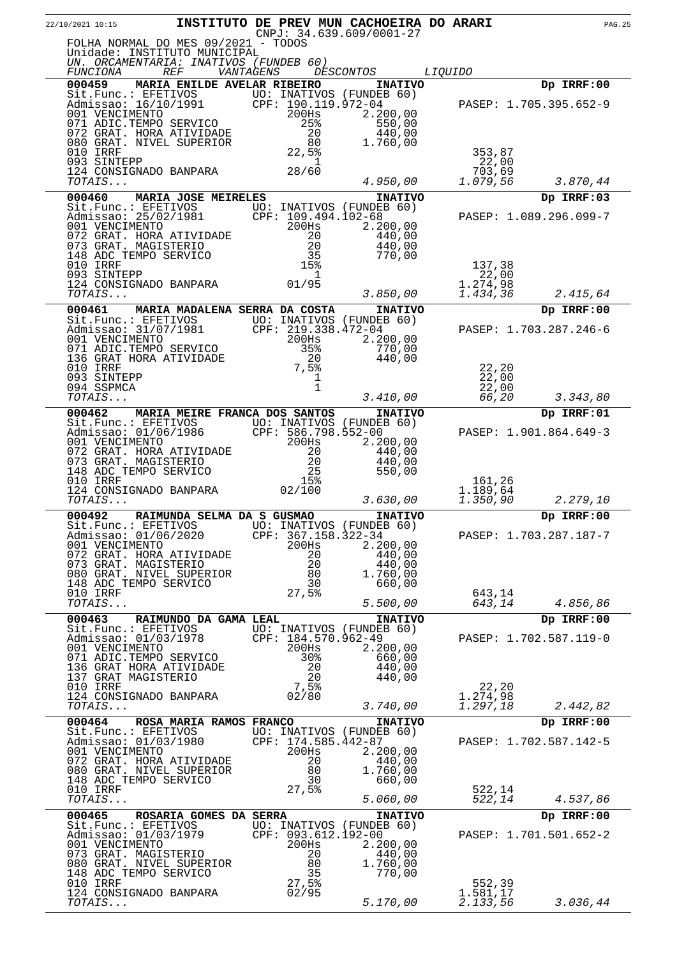| 22/10/2021 10:15                                                                                                                                                                                                                           | INSTITUTO DE PREV MUN CACHOEIRA DO ARARI<br>$CNPJ: 34.639.609/0001-27$ |                                    |                      | <b>PAG.25</b>          |
|--------------------------------------------------------------------------------------------------------------------------------------------------------------------------------------------------------------------------------------------|------------------------------------------------------------------------|------------------------------------|----------------------|------------------------|
| FOLHA NORMAL DO MES 09/2021 - TODOS<br>Unidade: INSTITUTO MUNICIPAL<br>UN. ORCAMENTARIA: INATIVOS (FUNDEB 60)                                                                                                                              |                                                                        |                                    |                      |                        |
| <i>FUNCIONA</i> REF<br>000459 MARIA ENILDE AVELAR RIBEIRO                                                                                                                                                                                  | VANTAGENS                                                              | <i>DESCONTOS</i><br><b>INATIVO</b> | <i>LIQUIDO</i>       | Dp IRRF:00             |
| Sit.Func.: EFETIVOS UO: INATIVOS (FUNDEB 60)<br>Admissao: 16/10/1991 UO: INATIVOS (FUNDEB 60)<br>001 VENCIMENTO 200Hs 2.200,00<br>071 ADIC.TEMPO SERVICO 25% 550,00<br>072 GRAT. HORA ATIVIDADE 200Hs 550,00<br>080 GRAT. NIVEL SUPERIOR   |                                                                        |                                    |                      |                        |
|                                                                                                                                                                                                                                            |                                                                        |                                    |                      | PASEP: 1.705.395.652-9 |
|                                                                                                                                                                                                                                            |                                                                        |                                    |                      |                        |
|                                                                                                                                                                                                                                            |                                                                        |                                    |                      |                        |
| 010 IRRF                                                                                                                                                                                                                                   | $\begin{array}{r} 20 \\ 20 \\ 80 \\ 22,5\frac{3}{2} \end{array}$       |                                    | 353,87               |                        |
| 093 SINTEPP<br>$124$ CONSIGNADO BANPARA $28/60$                                                                                                                                                                                            | -1                                                                     |                                    | 22,00<br>703,69      |                        |
| TOTAIS                                                                                                                                                                                                                                     |                                                                        | 4.950,00                           | 1.079,56             | 3.870,44               |
| MARIA JOSE MEIRELES<br>000460                                                                                                                                                                                                              |                                                                        | <b>INATIVO</b>                     |                      | Dp IRRF:03             |
| Sit.Func.: EFETIVOS 100: INATIVOS (FUNDEB 60)<br>Admissao: 25/02/1981 CPF: 109.494.102-68<br>001 VENCIMENTO 200Hs 2.200,00<br>072 GRAT. HORA ATIVIDADE 20 440,00<br>073 GRAT. MAGISTERIO 20 440,00<br>073 GRAT. MAGISTERIO 20 440,00<br>07 |                                                                        |                                    |                      | PASEP: 1.089.296.099-7 |
|                                                                                                                                                                                                                                            |                                                                        |                                    |                      |                        |
|                                                                                                                                                                                                                                            | $\begin{array}{c} 20 \\ 20 \\ 35 \end{array}$                          |                                    |                      |                        |
| 148 ADC TEMPO SERVICO                                                                                                                                                                                                                      |                                                                        | 770,00                             |                      |                        |
| 010 IRRF<br>093 SINTEPP                                                                                                                                                                                                                    | 15%<br>- 1                                                             |                                    | 137,38<br>22,00      |                        |
| 124 CONSIGNADO BANPARA $01/95$                                                                                                                                                                                                             |                                                                        |                                    | 1.274,98             |                        |
| TOTAIS                                                                                                                                                                                                                                     |                                                                        | 3.850,00                           | 1.434,36             | 2.415,64               |
| 000461                                                                                                                                                                                                                                     | MARIA MADALENA SERRA DA COSTA                                          | <b>INATIVO</b>                     |                      | Dp IRRF:00             |
|                                                                                                                                                                                                                                            |                                                                        |                                    |                      | PASEP: 1.703.287.246-6 |
| Sit.Func.: EFETIVOS UO: INATIVOS (FUNDEB 60)<br>Admissao: 31/07/1981 CPF: 219.338.472-04<br>001 VENCIMENTO 200Hs 2.200,00<br>071 ADIC.TEMPO SERVICO 35% 770,00<br>136 GRAT HORA ATIVIDADE 20                                               |                                                                        |                                    |                      |                        |
| 010 IRRF                                                                                                                                                                                                                                   | $7,5\frac{20}{1}$                                                      |                                    |                      |                        |
| 093 SINTEPP                                                                                                                                                                                                                                | 1                                                                      |                                    | 22,20<br>22,00       |                        |
| 094 SSPMCA<br>TOTAIS                                                                                                                                                                                                                       | $\mathbf{1}$                                                           | 3.410,00                           | 22,00<br>66,20       | 3.343,80               |
| 000462                                                                                                                                                                                                                                     | MARIA MEIRE FRANCA DOS SANTOS                                          | <b>INATIVO</b>                     |                      | Dp IRRF:01             |
|                                                                                                                                                                                                                                            |                                                                        |                                    |                      |                        |
| Sit.Func.: EFETIVOS UO: INATIVOS (FUNDEB 60)<br>Admissao: 01/06/1986 CPF: 586.798.552-00<br>001 VENCIMENTO 200Hs 2.200,00                                                                                                                  |                                                                        | 2.200,00                           |                      | PASEP: 1.901.864.649-3 |
| 072 GRAT. HORA ATIVIDADE                                                                                                                                                                                                                   |                                                                        | 440,00                             |                      |                        |
| 073 GRAT. MAGISTERIO<br>148 ADC TEMPO SERVICO                                                                                                                                                                                              | $\frac{20}{25}$                                                        | 440,00<br>550,00                   |                      |                        |
| 010 IRRF                                                                                                                                                                                                                                   | 15%                                                                    |                                    | 161,26               |                        |
| 124 CONSIGNADO BANPARA 02/100<br>TOTAIS                                                                                                                                                                                                    |                                                                        | 3.630,00                           | 1.189,64<br>1.350,90 | 2.279,10               |
| 000492<br>RAIMUNDA SELMA DA S GUSMAO                                                                                                                                                                                                       |                                                                        | <b>INATIVO</b>                     |                      | Dp IRRF:00             |
| Sit.Func.: EFETIVOS UO: INATIVOS (FUNDEB 60)<br>Admissao: 01/06/2020                                                                                                                                                                       | CPF: 367.158.322-34                                                    |                                    |                      | PASEP: 1.703.287.187-7 |
| 001 VENCIMENTO                                                                                                                                                                                                                             | 200Hs                                                                  | 2.200,00                           |                      |                        |
| 072 GRAT. HORA ATIVIDADE<br>073 GRAT. MAGISTERIO                                                                                                                                                                                           | 20<br>-20                                                              | 440,00<br>440,00                   |                      |                        |
| 080 GRAT. NIVEL SUPERIOR                                                                                                                                                                                                                   | 80                                                                     | 1.760,00                           |                      |                        |
| 148 ADC TEMPO SERVICO<br>010 IRRF                                                                                                                                                                                                          | 30<br>27,5%                                                            | 660,00                             | 643,14               |                        |
| TOTAIS                                                                                                                                                                                                                                     |                                                                        | 5.500,00                           | 643,14               | 4.856,86               |
| 000463<br>RAIMUNDO DA GAMA LEAL                                                                                                                                                                                                            |                                                                        | <b>INATIVO</b>                     |                      | Dp IRRF:00             |
| Sit. Func.: EFETIVOS UO: INATIVOS (FUNDEB 60)<br>Admissao: 01/03/1978                                                                                                                                                                      | CPF: 184.570.962-49                                                    |                                    |                      | PASEP: 1.702.587.119-0 |
| 001 VENCIMENTO<br>071 ADIC.TEMPO SERVICO                                                                                                                                                                                                   | 200Hs<br>30%                                                           | 2.200,00<br>660,00                 |                      |                        |
| 136 GRAT HORA ATIVIDADE                                                                                                                                                                                                                    | 20                                                                     | 440,00                             |                      |                        |
| 137 GRAT MAGISTERIO<br>010 IRRF                                                                                                                                                                                                            | 20<br>7,5%                                                             | 440,00                             | 22,20                |                        |
| 124 CONSIGNADO BANPARA                                                                                                                                                                                                                     | 02/80                                                                  |                                    | 1.274,98             |                        |
| TOTAIS                                                                                                                                                                                                                                     |                                                                        | 3.740,00                           | 1.297,18             | 2.442,82               |
| 000464<br>ROSA MARIA RAMOS FRANCO<br>Sit.Func.: EFETIVOS UO: INATIVOS (FUNDEB 60)                                                                                                                                                          |                                                                        | <b>INATIVO</b>                     |                      | Dp IRRF:00             |
| Admissao: 01/03/1980 CPF: 174.585.442-87                                                                                                                                                                                                   |                                                                        |                                    |                      | PASEP: 1.702.587.142-5 |
| 001 VENCIMENTO<br>072 GRAT. HORA ATIVIDADE                                                                                                                                                                                                 | 200Hs<br>20                                                            | 2.200,00<br>440,00                 |                      |                        |
| 080 GRAT. NIVEL SUPERIOR                                                                                                                                                                                                                   | 80                                                                     | 1.760,00                           |                      |                        |
| 148 ADC TEMPO SERVICO<br>010 IRRF                                                                                                                                                                                                          | 30<br>27,5%                                                            | 660,00                             | 522,14               |                        |
| TOTAIS                                                                                                                                                                                                                                     |                                                                        | 5.060,00                           | 522,14               | 4.537,86               |
| 000465<br>ROSARIA GOMES DA SERRA                                                                                                                                                                                                           |                                                                        | <b>INATIVO</b>                     |                      | Dp IRRF:00             |
| Sit.Func.: EFETIVOS<br>Admissao: 01/03/1979                                                                                                                                                                                                | UO: INATIVOS (FUNDEB 60)<br>CPF: 093.612.192-00                        |                                    |                      | PASEP: 1.701.501.652-2 |
| 001 VENCIMENTO<br>073 GRAT. MAGISTERIO                                                                                                                                                                                                     | 200Hs<br>20                                                            | 2.200,00                           |                      |                        |
| 080 GRAT. NIVEL SUPERIOR                                                                                                                                                                                                                   | 80                                                                     | 440,00<br>1.760,00                 |                      |                        |
| 148 ADC TEMPO SERVICO<br>010 IRRF                                                                                                                                                                                                          | 35<br>27,5%                                                            | 770,00                             | 552,39               |                        |
| 124 CONSIGNADO BANPARA                                                                                                                                                                                                                     | 02/95                                                                  |                                    | 1.581,17             |                        |
| TOTAIS                                                                                                                                                                                                                                     |                                                                        | 5.170,00                           | 2.133,56             | 3.036,44               |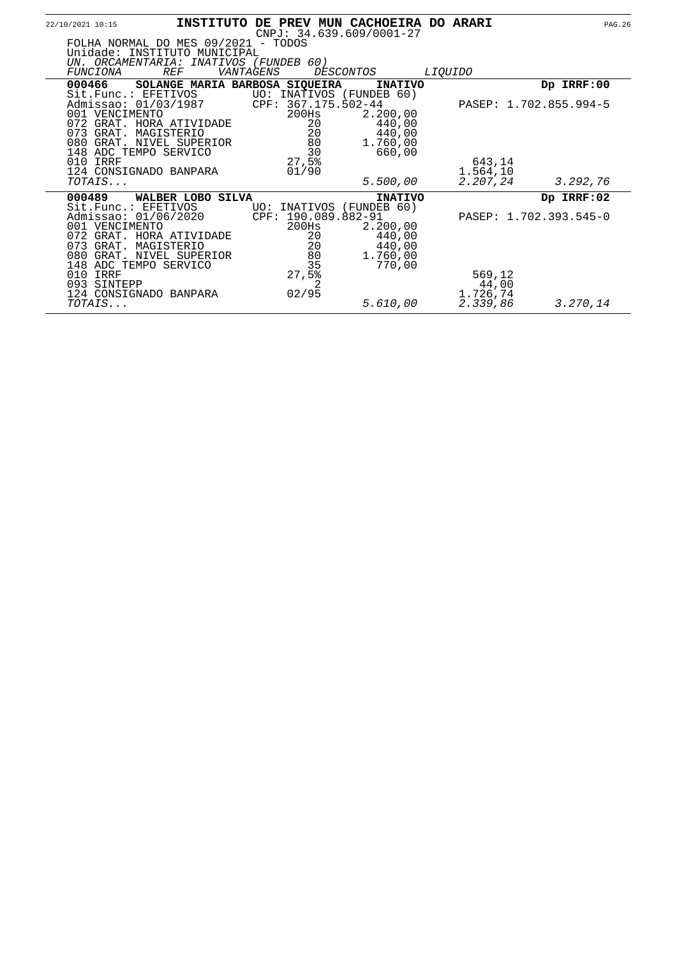| 22/10/2021 10:15                       |                                                                                                                               |           |                                                                      | INSTITUTO DE PREV MUN CACHOEIRA DO ARARI<br>$CNPJ: 34.639.609/0001-27$ |                                         |                        | <b>PAG.26</b> |
|----------------------------------------|-------------------------------------------------------------------------------------------------------------------------------|-----------|----------------------------------------------------------------------|------------------------------------------------------------------------|-----------------------------------------|------------------------|---------------|
|                                        | FOLHA NORMAL DO MES 09/2021 - TODOS<br>Unidade: INSTITUTO MUNICIPAL                                                           |           |                                                                      |                                                                        |                                         |                        |               |
| FUNCIONA                               | UN. ORCAMENTARIA: INATIVOS (FUNDEB 60)<br><b>REF</b>                                                                          | VANTAGENS |                                                                      | <i>DESCONTOS</i>                                                       | <i>LIOUIDO</i>                          |                        |               |
| 000466                                 | SOLANGE MARIA BARBOSA SIQUEIRA                                                                                                |           |                                                                      | <b>INATIVO</b>                                                         |                                         | Dp IRRF:00             |               |
| Sit. Func.: EFETIVOS<br>001 VENCIMENTO | Admissao: 01/03/1987                                                                                                          |           | CPF: 367.175.502-44<br>200Hs                                         | UO: INATIVOS (FUNDEB 60)<br>2.200,00                                   |                                         | PASEP: 1.702.855.994-5 |               |
|                                        | 072 GRAT. HORA ATIVIDADE<br>073 GRAT. MAGISTERIO<br>080 GRAT. NIVEL SUPERIOR                                                  |           | 20<br>20<br>80                                                       | 440,00<br>440,00<br>1.760,00                                           |                                         |                        |               |
| 010 IRRF                               | 148 ADC TEMPO SERVICO<br>124 CONSIGNADO BANPARA                                                                               |           | 30<br>27,5%<br>01/90                                                 | 660,00                                                                 | 643,14<br>1.564,10                      |                        |               |
| TOTAIS                                 |                                                                                                                               |           |                                                                      | 5.500,00                                                               | 2.207,24                                | 3.292,76               |               |
| 000489                                 | WALBER LOBO SILVA                                                                                                             |           |                                                                      | <b>INATIVO</b>                                                         |                                         | Dp IRRF:02             |               |
| Sit. Func.: EFETIVOS<br>001 VENCIMENTO | Admissao: 01/06/2020<br>072 GRAT. HORA ATIVIDADE<br>073 GRAT. MAGISTERIO<br>080 GRAT. NIVEL SUPERIOR<br>148 ADC TEMPO SERVICO |           | UO: INATIVOS<br>CPF: 190.089.882-91<br>200Hs<br>20<br>20<br>80<br>35 | (FUNDEB 60)<br>2.200,00<br>440,00<br>440,00<br>1.760,00<br>770,00      |                                         | PASEP: 1.702.393.545-0 |               |
| 010 IRRF<br>093 SINTEPP<br>TOTAIS      | 124 CONSIGNADO BANPARA                                                                                                        |           | 27,5%<br>2<br>02/95                                                  | 5.610,00                                                               | 569,12<br>44,00<br>1.726,74<br>2.339,86 | 3.270,14               |               |
|                                        |                                                                                                                               |           |                                                                      |                                                                        |                                         |                        |               |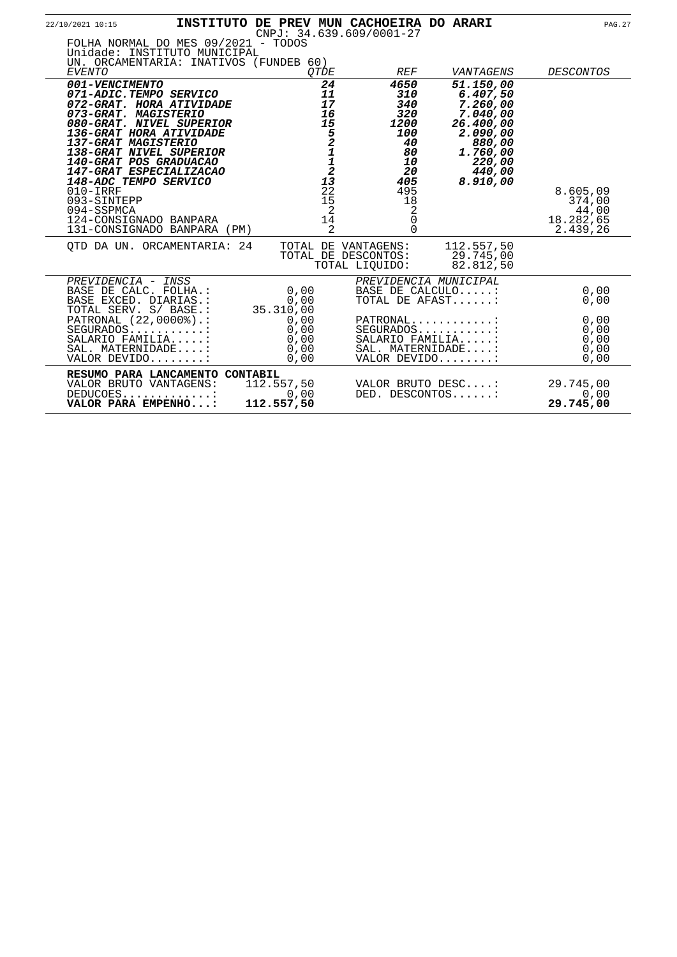| 22/10/2021 10:15                                                                                                                                                                                                                                                                                                                                                                          |                                                                                                                     | INSTITUTO DE PREV MUN CACHOEIRA DO ARARI<br>$CNPJ: 34.639.609/0001-27$                                            |                                                                                                                              | <b>PAG.27</b>                                        |
|-------------------------------------------------------------------------------------------------------------------------------------------------------------------------------------------------------------------------------------------------------------------------------------------------------------------------------------------------------------------------------------------|---------------------------------------------------------------------------------------------------------------------|-------------------------------------------------------------------------------------------------------------------|------------------------------------------------------------------------------------------------------------------------------|------------------------------------------------------|
| FOLHA NORMAL DO MES 09/2021 - TODOS<br>Unidade: INSTITUTO MUNICIPAL<br>UN. ORCAMENTARIA: INATIVOS (FUNDEB 60)<br><b>EVENTO</b>                                                                                                                                                                                                                                                            | <b>OTDE</b>                                                                                                         | <b>REF</b>                                                                                                        | VANTAGENS                                                                                                                    | <b>DESCONTOS</b>                                     |
| 001-VENCIMENTO<br>071-ADIC.TEMPO SERVICO<br>072-GRAT. HORA ATIVIDADE<br>073-GRAT. MAGISTERIO<br>080-GRAT. NIVEL SUPERIOR<br>136-GRAT HORA ATIVIDADE<br>137-GRAT MAGISTERIO<br>138-GRAT NIVEL SUPERIOR<br>140-GRAT POS GRADUACAO<br>147-GRAT ESPECIALIZACAO<br>148-ADC TEMPO SERVICO<br>$010 - IRRF$<br>093-SINTEPP<br>094-SSPMCA<br>124-CONSIGNADO BANPARA<br>131-CONSIGNADO BANPARA (PM) | 24<br>11<br>17<br>16<br>15<br>$5211$<br>$12$<br>13<br>$\overline{2}\overline{2}$<br>15<br>$\overline{2}$<br>14<br>2 | 4650<br>310<br>340<br>320<br>1200<br><i>100</i><br>40<br>80<br>10<br>20<br>405<br>495<br>18<br>2<br>0<br>$\Omega$ | 51.150,00<br>6.407,50<br>7.260,00<br>7.040,00<br>26.400,00<br>2.090,00<br>880,00<br>1.760,00<br>220,00<br>440,00<br>8.910,00 | 8.605,09<br>374,00<br>44,00<br>18.282,65<br>2.439,26 |
| OTD DA UN. ORCAMENTARIA: 24                                                                                                                                                                                                                                                                                                                                                               |                                                                                                                     | TOTAL DE VANTAGENS:<br>TOTAL DE DESCONTOS:<br>TOTAL LIOUIDO:                                                      | 112.557,50<br>29.745,00<br>82.812,50                                                                                         |                                                      |
| PREVIDENCIA - INSS<br>BASE DE CALC. FOLHA.:<br>BASE EXCED. DIARIAS.:<br>TOTAL SERV. S/ BASE.:                                                                                                                                                                                                                                                                                             | 0,00<br>0,00<br>35.310,00                                                                                           | BASE DE CALCULO:<br>TOTAL DE AFAST:                                                                               | PREVIDENCIA MUNICIPAL                                                                                                        | 0,00<br>0,00                                         |
| PATRONAL (22,0000%).:<br>$SEGURADOS$<br>SALARIO FAMILIA:<br>SAL. MATERNIDADE:<br>VALOR DEVIDO:                                                                                                                                                                                                                                                                                            | 0,00<br>0,00<br>0,00<br>0,00<br>0,00                                                                                | $PATHONAL$<br>$SEGURADOS$<br>SALARIO FAMILIA:<br>SAL. MATERNIDADE:<br>VALOR DEVIDO:                               |                                                                                                                              | 0,00<br>0,00<br>0,00<br>0,00<br>0,00                 |
| RESUMO PARA LANCAMENTO CONTABIL<br>VALOR BRUTO VANTAGENS:<br>DEDUCOES<br>VALOR PARA EMPENHO:                                                                                                                                                                                                                                                                                              | 112.557,50<br>0,00<br>112.557,50                                                                                    | VALOR BRUTO DESC:<br>DED. DESCONTOS:                                                                              |                                                                                                                              | 29.745,00<br>0,00<br>29.745,00                       |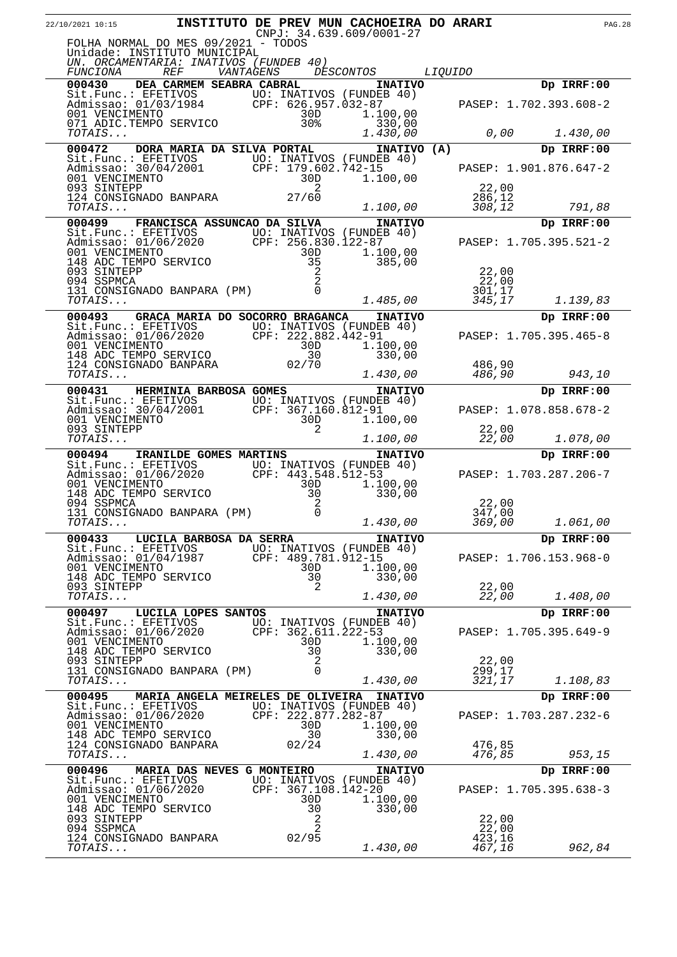| 22/10/2021 10:15                                |                                                                                                                                          |           |                     | INSTITUTO DE PREV MUN CACHOEIRA DO ARARI<br>$CNPJ: 34.639.609/0001-27$ |                  | <b>PAG.28</b>          |  |
|-------------------------------------------------|------------------------------------------------------------------------------------------------------------------------------------------|-----------|---------------------|------------------------------------------------------------------------|------------------|------------------------|--|
|                                                 | FOLHA NORMAL DO MES 09/2021 - TODOS<br>Unidade: INSTITUTO MUNICIPAL<br>UN. ORCAMENTARIA: INATIVOS (FUNDEB 40)                            |           |                     |                                                                        |                  |                        |  |
| <i>FUNCIONA</i>                                 | <i>REF</i>                                                                                                                               | VANTAGENS |                     | <i>DESCONTOS</i>                                                       | <i>LIQUIDO</i>   |                        |  |
| 000430                                          | DEA CARMEM SEABRA CABRAL                                                                                                                 |           |                     | <b>INATIVO</b>                                                         |                  | Dp IRRF:00             |  |
|                                                 | Sit.Func.: EFETIVOS UO: INATIVOS (FUNDEB 40)<br>Admissao: 01/03/1984 CPF: 626.957.032-87<br>001 VENCIMENTO 30D 1.100,00                  |           |                     |                                                                        |                  | PASEP: 1.702.393.608-2 |  |
| TOTAIS                                          | 071 ADIC.TEMPO SERVICO<br>TOTATS                                                                                                         |           | 30%                 | 330,00<br>1.430,00                                                     | 0,00             | 1.430,00               |  |
| 000472                                          | DORA MARIA DA SILVA PORTAL                                                                                                               |           |                     | INATIVO (A)                                                            |                  | Dp IRRF:00             |  |
|                                                 | Sit. Func.: EFETIVOS UO: INATIVOS (FUNDEB 40)                                                                                            |           |                     |                                                                        |                  |                        |  |
| 001 VENCIMENTO<br>093 SINTEPP                   | Admissao: 30/04/2001 CPF: 179.602.742-15                                                                                                 |           | 30D<br>2            | 1.100,00                                                               | 22,00            | PASEP: 1.901.876.647-2 |  |
| TOTAIS                                          | 124 CONSIGNADO BANPARA                                                                                                                   |           | 27/60               | 1.100,00                                                               | 286,12<br>308,12 | 791,88                 |  |
| 000499                                          | FRANCISCA ASSUNCAO DA SILVA                                                                                                              |           |                     | <b>INATIVO</b>                                                         |                  | Dp IRRF:00             |  |
|                                                 | Sit.Func.: EFETIVOS UO: INATIVOS (FUNDEB 40)<br>Admissao: 01/06/2020 CPF: 256.830.122-87<br>001 VENCIMENTO 30D 1.100.00                  |           |                     |                                                                        |                  | PASEP: 1.705.395.521-2 |  |
| 001 VENCIMENTO                                  | 148 ADC TEMPO SERVICO                                                                                                                    |           | 30D<br>35           | 1.100,00<br>385,00                                                     |                  |                        |  |
| 093 SINTEPP                                     |                                                                                                                                          |           | $\overline{2}$      |                                                                        | 22,00            |                        |  |
| 094 SSPMCA                                      | 131 CONSIGNADO BANPARA (PM)                                                                                                              |           | 2<br>$\Omega$       |                                                                        | 22,00<br>301,17  |                        |  |
| TOTAIS                                          |                                                                                                                                          |           |                     | 1.485,00                                                               | 345,17           | 1.139,83               |  |
| 000493                                          | GRACA MARIA DO SOCORRO BRAGANCA                                                                                                          |           |                     | <b>INATIVO</b>                                                         |                  | Dp IRRF:00             |  |
|                                                 | Sit.Func.: EFETIVOS<br>Admissao: 01/06/2020 CPF: 222.882.442-91<br>001 VENCIMENTO 30D 1.100,00<br>148 ADC TEMPO SERVICO 30 330,00        |           |                     |                                                                        |                  | PASEP: 1.705.395.465-8 |  |
|                                                 |                                                                                                                                          |           |                     |                                                                        |                  |                        |  |
|                                                 |                                                                                                                                          |           |                     |                                                                        |                  |                        |  |
| TOTAIS                                          | 124 CONSIGNADO BANPARA                                                                                                                   |           | 02/70               | 1.430,00                                                               | 486,90<br>486,90 | 943,10                 |  |
| 000431                                          | HERMINIA BARBOSA GOMES                                                                                                                   |           |                     | <b>INATIVO</b>                                                         |                  | Dp IRRF:00             |  |
|                                                 |                                                                                                                                          |           |                     |                                                                        |                  |                        |  |
|                                                 | Sit.Func.: EFETIVOS UO: INATIVOS (FUNDEB 40)<br>Admissao: 30/04/2001 CPF: 367.160.812-91<br>001 VENCIMENTO 30D 1.100,00<br>093 SINTEPP 2 |           |                     |                                                                        |                  | PASEP: 1.078.858.678-2 |  |
| 093 SINTEPP<br>TOTAIS                           |                                                                                                                                          |           | 2                   | 1.100,00                                                               | 22,00<br>22,00   | 1.078,00               |  |
| 000494                                          | <b>IRANILDE GOMES MARTINS</b>                                                                                                            |           |                     | <b>INATIVO</b>                                                         |                  | Dp IRRF:00             |  |
|                                                 | Sit.Func.: EFETIVOS UO: INATIVOS (FUNDEB 40)<br>Admissao: 01/06/2020 CPF: 443.548.512-53                                                 |           |                     |                                                                        |                  | PASEP: 1.703.287.206-7 |  |
| 001 VENCIMENTO                                  |                                                                                                                                          |           | 30D                 | 1.100,00                                                               |                  |                        |  |
|                                                 | 148 ADC TEMPO SERVICO                                                                                                                    |           | 30                  | 330,00                                                                 |                  |                        |  |
| 094 SSPMCA                                      | 131 CONSIGNADO BANPARA (PM)                                                                                                              |           | 2<br>$\Omega$       |                                                                        | 22,00<br>347,00  |                        |  |
| TOTAIS                                          |                                                                                                                                          |           |                     | 1.430,00                                                               | 369,00           | 1.061,00               |  |
|                                                 | 000433 LUCILA BARBOSA DA SERRA                                                                                                           |           |                     | <b>INATIVO</b>                                                         |                  | Dp IRRF:00             |  |
| Admissao: 01/04/1987                            | Sit.Func.: EFETIVOS UO: INATIVOS (FUNDEB 40)                                                                                             |           | CPF: 489.781.912-15 |                                                                        |                  | PASEP: 1.706.153.968-0 |  |
| 001 VENCIMENTO                                  |                                                                                                                                          |           | 30D                 | 1.100,00                                                               |                  |                        |  |
| 148 ADC TEMPO SERVICO<br>093 SINTEPP            |                                                                                                                                          |           | 30<br>2             | 330,00                                                                 | 22,00            |                        |  |
| TOTAIS                                          |                                                                                                                                          |           |                     | 1.430,00                                                               | 22,00            | 1.408,00               |  |
| 000497                                          | LUCILA LOPES SANTOS                                                                                                                      |           |                     | <b>INATIVO</b>                                                         |                  | Dp IRRF:00             |  |
| Sit.Func.: EFETIVOS<br>Admissao: 01/06/2020     |                                                                                                                                          |           | CPF: 362.611.222-53 | UO: INATIVOS (FUNDEB 40)                                               |                  | PASEP: 1.705.395.649-9 |  |
| 001 VENCIMENTO                                  |                                                                                                                                          |           | 30D                 | 1.100,00                                                               |                  |                        |  |
| 148 ADC TEMPO SERVICO<br>093 SINTEPP            |                                                                                                                                          |           | 30<br>2             | 330,00                                                                 | 22,00            |                        |  |
|                                                 | 131 CONSIGNADO BANPARA (PM)                                                                                                              |           | $\Omega$            |                                                                        | 299,17           |                        |  |
| TOTAIS                                          |                                                                                                                                          |           |                     | 1.430,00                                                               | 321,17           | 1.108,83               |  |
| 000495<br>Sit.Func.: EFETIVOS                   | <b>MARIA ANGELA MEIRELES DE OLIVEIRA</b>                                                                                                 |           |                     | <b>INATIVO</b><br>UO: INATIVOS (FUNDEB 40)                             |                  | Dp IRRF:00             |  |
| Admissao: 01/06/2020                            |                                                                                                                                          |           | CPF: 222.877.282-87 |                                                                        |                  | PASEP: 1.703.287.232-6 |  |
| 001 VENCIMENTO                                  |                                                                                                                                          |           | 30D                 | 1.100,00                                                               |                  |                        |  |
| 148 ADC TEMPO SERVICO<br>124 CONSIGNADO BANPARA |                                                                                                                                          |           | 30<br>02/24         | 330,00                                                                 | 476,85           |                        |  |
| TOTAIS                                          |                                                                                                                                          |           |                     | 1.430,00                                                               | 476,85           | 953,15                 |  |
| 000496                                          | MARIA DAS NEVES G MONTEIRO                                                                                                               |           |                     | <b>INATIVO</b>                                                         |                  | Dp IRRF:00             |  |
| Sit.Func.: EFETIVOS<br>Admissao: 01/06/2020     |                                                                                                                                          |           | CPF: 367.108.142-20 | UO: INATIVOS (FUNDEB 40)                                               |                  | PASEP: 1.705.395.638-3 |  |
| 001 VENCIMENTO                                  |                                                                                                                                          |           | 30D                 | 1.100,00                                                               |                  |                        |  |
| 148 ADC TEMPO SERVICO<br>093 SINTEPP            |                                                                                                                                          |           | 30<br>2             | 330,00                                                                 | 22,00            |                        |  |
| 094 SSPMCA                                      |                                                                                                                                          |           | $\overline{a}$      |                                                                        | 22,00            |                        |  |
| 124 CONSIGNADO BANPARA                          |                                                                                                                                          |           | 02/95               |                                                                        | 423,16           |                        |  |
| TOTAIS                                          |                                                                                                                                          |           |                     | 1.430,00                                                               | 467,16           | 962,84                 |  |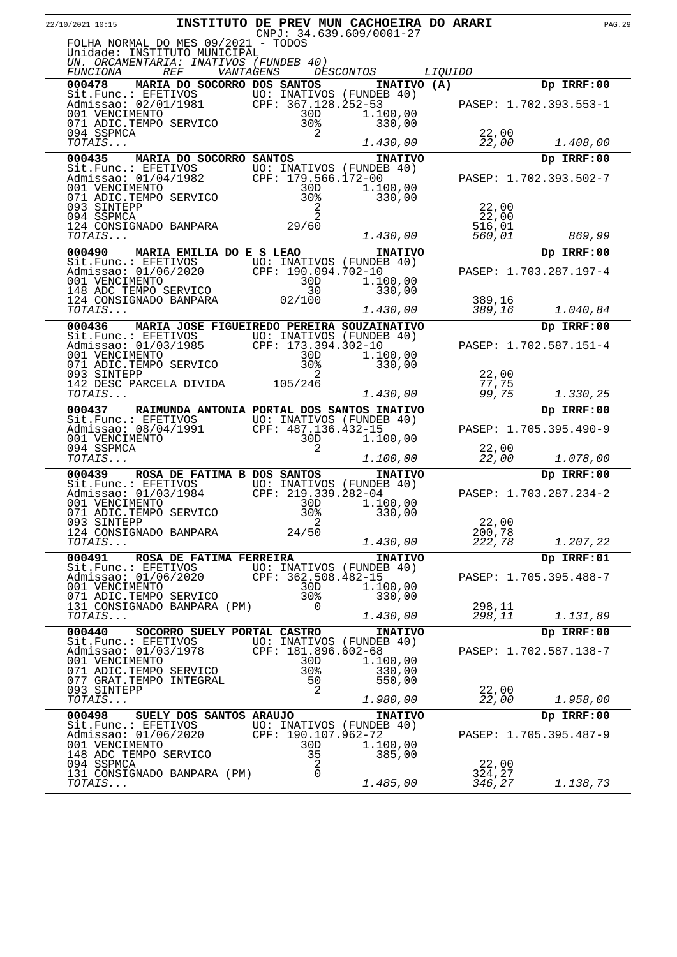| 22/10/2021 10:15                            |                                                                                                                         |            |        | INSTITUTO DE PREV MUN CACHOEIRA DO ARARI<br>$CNPJ: 34.639.609/0001-27$ |                |                  |                        |            | <b>PAG.29</b> |
|---------------------------------------------|-------------------------------------------------------------------------------------------------------------------------|------------|--------|------------------------------------------------------------------------|----------------|------------------|------------------------|------------|---------------|
|                                             | FOLHA NORMAL DO MES 09/2021 - TODOS                                                                                     |            |        |                                                                        |                |                  |                        |            |               |
|                                             | Unidade: INSTITUTO MUNICIPAL<br>UN. ORCAMENTARIA: INATIVOS (FUNDEB 40)                                                  |            |        |                                                                        |                |                  |                        |            |               |
| <i>FUNCIONA</i><br>000478                   | <i>REF</i><br>VANTAGENS<br>MARIA DO SOCORRO DOS SANTOS                                                                  |            |        | <i>DESCONTOS</i><br>INATIVO (A)                                        | <i>LIQUIDO</i> |                  |                        | Dp IRRF:00 |               |
|                                             |                                                                                                                         |            |        |                                                                        |                |                  |                        |            |               |
|                                             | Sit.Func.: EFETIVOS UO: INATIVOS (FUNDEB 40)<br>Admissao: 02/01/1981 CPF: 367.128.252-53<br>001 VENCIMENTO 30D 1.100,00 |            |        | 1.100,00                                                               |                |                  | PASEP: 1.702.393.553-1 |            |               |
| 094 SSPMCA                                  | 071 ADIC.TEMPO SERVICO                                                                                                  | 30%        | 2      | 330,00                                                                 |                | 22,00            |                        |            |               |
| TOTAIS                                      |                                                                                                                         |            |        | 1.430,00                                                               |                | 22,00            |                        | 1.408,00   |               |
| 000435                                      | MARIA DO SOCORRO SANTOS                                                                                                 |            |        | <b>INATIVO</b>                                                         |                |                  |                        | Dp IRRF:00 |               |
|                                             | Sit.Func.: EFETIVOS UO: INATIVOS (FUNDEB 40)<br>Admissao: 01/04/1982 CPF: 179.566.172-00<br>001 VENCIMENTO 30D 1.100,00 |            |        |                                                                        |                |                  | PASEP: 1.702.393.502-7 |            |               |
|                                             | 071 ADIC.TEMPO SERVICO                                                                                                  | 30%        |        | 1.100,00<br>330,00                                                     |                |                  |                        |            |               |
| 093 SINTEPP                                 |                                                                                                                         |            | 2<br>2 |                                                                        |                | 22,00            |                        |            |               |
| 094 SSPMCA                                  | 124 CONSIGNADO BANPARA $29/60$                                                                                          |            |        |                                                                        |                | 22,00<br>516,01  |                        |            |               |
| TOTAIS                                      |                                                                                                                         |            |        | 1.430,00                                                               |                | 560,01           |                        | 869,99     |               |
| 000490                                      | MARIA EMILIA DO E S LEAO<br>Sit.Func.: EFETIVOS UO: INATIVOS (FUNDEB 40)                                                |            |        | <b>INATIVO</b>                                                         |                |                  |                        | Dp IRRF:00 |               |
| 001 VENCIMENTO                              | Admissao: 01/06/2020 CPF: 190.094.702-10                                                                                | 30D        |        | 1.100,00                                                               |                |                  | PASEP: 1.703.287.197-4 |            |               |
|                                             | 148 ADC TEMPO SERVICO<br>140 ADC TEMPO SERVICO<br>124 CONSIGNADO BANPARA                                                | 30         |        | 330,00                                                                 |                |                  |                        |            |               |
| TOTAIS                                      |                                                                                                                         | 02/100     |        | 1.430,00                                                               |                | 389,16<br>389,16 |                        | 1.040,84   |               |
| 000436                                      | MARIA JOSE FIGUEIREDO PEREIRA SOUZAINATIVO                                                                              |            |        |                                                                        |                |                  |                        | Dp IRRF:00 |               |
|                                             | Sit.Func.: EFETIVOS<br>Admissao: 01/03/1985<br>001 VENCIMENTO<br>001 VENCIMENTO<br>200 1.100,00                         |            |        |                                                                        |                |                  | PASEP: 1.702.587.151-4 |            |               |
| 001 VENCIMENTO                              |                                                                                                                         | 30D        |        | 1.100,00                                                               |                |                  |                        |            |               |
| 093 SINTEPP                                 | 071 ADIC.TEMPO SERVICO                                                                                                  | 30%        | 2      | 330,00                                                                 |                | 22,00            |                        |            |               |
| TOTAIS                                      | 142 DESC PARCELA DIVIDA 105/246                                                                                         |            |        | 1.430,00                                                               |                | 77,75<br>99,75   |                        | 1.330,25   |               |
| 000437                                      | RAIMUNDA ANTONIA PORTAL DOS SANTOS INATIVO                                                                              |            |        |                                                                        |                |                  |                        | Dp IRRF:00 |               |
|                                             | Sit. Func.: EFETIVOS UO: INATIVOS (FUNDEB 40)<br>Admissao: $08/04/1991$                                                 |            |        | CPF: 487.136.432-15                                                    |                |                  | PASEP: 1.705.395.490-9 |            |               |
| 001 VENCIMENTO                              |                                                                                                                         | 30D        |        | 1.100,00                                                               |                |                  |                        |            |               |
| 094 SSPMCA<br>TOTAIS                        |                                                                                                                         |            | 2      | 1.100,00                                                               |                | 22,00<br>22,00   |                        | 1.078,00   |               |
| 000439                                      | ROSA DE FATIMA B DOS SANTOS                                                                                             |            |        | <b>INATIVO</b>                                                         |                |                  |                        | Dp IRRF:00 |               |
|                                             | Sit.Func.: EFETIVOS UO: INATIVOS (FUNDEB 40)<br>Admissao: 01/03/1984 CPF: 219.339.282-04.                               |            |        |                                                                        |                |                  | PASEP: 1.703.287.234-2 |            |               |
| 001 VENCIMENTO<br>071 ADIC.TEMPO SERVICO    |                                                                                                                         | 30D<br>30% |        | 1.100,00<br>330,00                                                     |                |                  |                        |            |               |
| 093 SINTEPP                                 |                                                                                                                         |            | 2      |                                                                        |                | 22,00            |                        |            |               |
| 124 CONSIGNADO BANPARA<br>TOTAIS            |                                                                                                                         | 24/50      |        | 1.430,00                                                               |                | 200,78<br>222,78 |                        | 1.207,22   |               |
| 000491                                      | ROSA DE FATIMA FERREIRA                                                                                                 |            |        | <b>INATIVO</b>                                                         |                |                  |                        | Dp IRRF:01 |               |
| Sit.Func.: EFETIVOS<br>Admissao: 01/06/2020 |                                                                                                                         |            |        | UO: INATIVOS (FUNDEB 40)<br>CPF: 362.508.482-15                        |                |                  | PASEP: 1.705.395.488-7 |            |               |
| 001 VENCIMENTO<br>071 ADIC. TEMPO SERVICO   |                                                                                                                         | 30D<br>30% |        | 1.100,00                                                               |                |                  |                        |            |               |
|                                             | 131 CONSIGNADO BANPARA (PM)                                                                                             |            | 0      | 330,00                                                                 |                | 298,11           |                        |            |               |
| TOTAIS                                      |                                                                                                                         |            |        | 1.430,00                                                               |                | 298,11           |                        | 1.131,89   |               |
| 000440<br>Sit.Func.: EFETIVOS               | SOCORRO SUELY PORTAL CASTRO                                                                                             |            |        | <b>INATIVO</b><br>UO: INATIVOS (FUNDEB 40)                             |                |                  |                        | Dp IRRF:00 |               |
| Admissao: 01/03/1978<br>001 VENCIMENTO      |                                                                                                                         | 30D        |        | CPF: 181.896.602-68<br>1.100,00                                        |                |                  | PASEP: 1.702.587.138-7 |            |               |
| 071 ADIC.TEMPO SERVICO                      |                                                                                                                         | 30%        |        | 330,00                                                                 |                |                  |                        |            |               |
| 077 GRAT. TEMPO INTEGRAL<br>093 SINTEPP     |                                                                                                                         | 50         | 2      | 550,00                                                                 |                | 22,00            |                        |            |               |
| TOTAIS                                      |                                                                                                                         |            |        | 1.980,00                                                               |                | 22,00            |                        | 1.958,00   |               |
| 000498<br>Sit.Func.: EFETIVOS               | SUELY DOS SANTOS ARAUJO                                                                                                 |            |        | <b>INATIVO</b><br>UO: INATIVOS (FUNDEB 40)                             |                |                  |                        | Dp IRRF:00 |               |
| Admissao: 01/06/2020                        |                                                                                                                         |            |        | CPF: 190.107.962-72                                                    |                |                  | PASEP: 1.705.395.487-9 |            |               |
| 001 VENCIMENTO<br>148 ADC TEMPO SERVICO     |                                                                                                                         | 30D<br>35  |        | 1.100,00<br>385,00                                                     |                |                  |                        |            |               |
| 094 SSPMCA                                  | 131 CONSIGNADO BANPARA (PM)                                                                                             |            | 2<br>0 |                                                                        |                | 22,00<br>324,27  |                        |            |               |
| TOTAIS                                      |                                                                                                                         |            |        | 1.485,00                                                               |                | 346,27           |                        | 1.138,73   |               |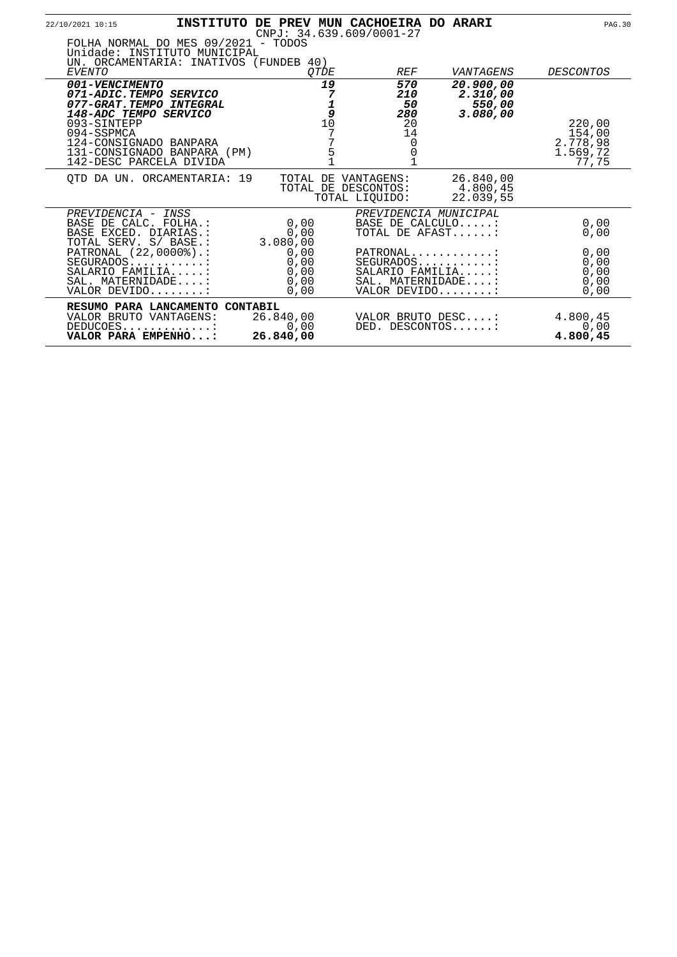| 22/10/2021 10:15                                                                                                                                                                                              |                                      | INSTITUTO DE PREV MUN CACHOEIRA DO ARARI<br>$CNPJ: 34.639.609/0001-27$ |                                                                      | <b>PAG.30</b>                                     |
|---------------------------------------------------------------------------------------------------------------------------------------------------------------------------------------------------------------|--------------------------------------|------------------------------------------------------------------------|----------------------------------------------------------------------|---------------------------------------------------|
| FOLHA NORMAL DO MES 09/2021 - TODOS<br>Unidade: INSTITUTO MUNICIPAL<br>UN. ORCAMENTARIA: INATIVOS (FUNDEB 40)                                                                                                 |                                      |                                                                        |                                                                      |                                                   |
| EVENTO                                                                                                                                                                                                        | <i>OTDE</i>                          | <i>REF</i>                                                             | VANTAGENS                                                            | <i>DESCONTOS</i>                                  |
| 001-VENCIMENTO<br>071-ADIC.TEMPO SERVICO<br>077-GRAT.TEMPO INTEGRAL<br>148-ADC TEMPO SERVICO<br>093-SINTEPP<br>094-SSPMCA<br>124-CONSIGNADO BANPARA<br>131-CONSIGNADO BANPARA (PM)<br>142-DESC PARCELA DIVIDA | 19<br>7<br>9<br>10<br>5              | 570<br><i>210</i><br>50<br>280<br>20<br>14<br>0                        | 20.900,00<br>2.310,00<br>550,00<br>3.080,00                          | 220,00<br>154,00<br>2.778,98<br>1.569,72<br>77,75 |
| OTD DA UN. ORCAMENTARIA: 19                                                                                                                                                                                   | TOTAL DE                             | VANTAGENS:<br>TOTAL DE DESCONTOS:<br>TOTAL LIQUIDO:                    | 26.840,00<br>4.800,45<br>22.039.55                                   |                                                   |
| PREVIDENCIA - INSS<br>BASE DE CALC. FOLHA.:<br>BASE EXCED. DIARIAS.:<br>TOTAL SERV. S/ BASE.:                                                                                                                 | 0,00<br>0,00<br>3.080,00             |                                                                        | PREVIDENCIA MUNICIPAL<br>BASE DE CALCULO:<br>TOTAL DE AFAST:         | 0,00<br>0,00                                      |
| PATRONAL (22,0000%).:<br>$SEGURADOS$<br>SALARIO FAMILIA:<br>SAL. MATERNIDADE:<br>VALOR DEVIDO:                                                                                                                | 0,00<br>0,00<br>0,00<br>0,00<br>0,00 | $PATHONAL$                                                             | SEGURADOS:<br>SALARIO FAMILIA:<br>SAL. MATERNIDADE:<br>VALOR DEVIDO: | 0,00<br>0,00<br>0,00<br>0,00<br>0,00              |
| RESUMO PARA LANCAMENTO CONTABIL<br>VALOR BRUTO VANTAGENS:<br>DEDUCOES:<br>VALOR PARA EMPENHO:                                                                                                                 | 26.840,00<br>0,00<br>26.840,00       | DED. DESCONTOS:                                                        | VALOR BRUTO DESC:                                                    | 4.800,45<br>0,00<br>4.800,45                      |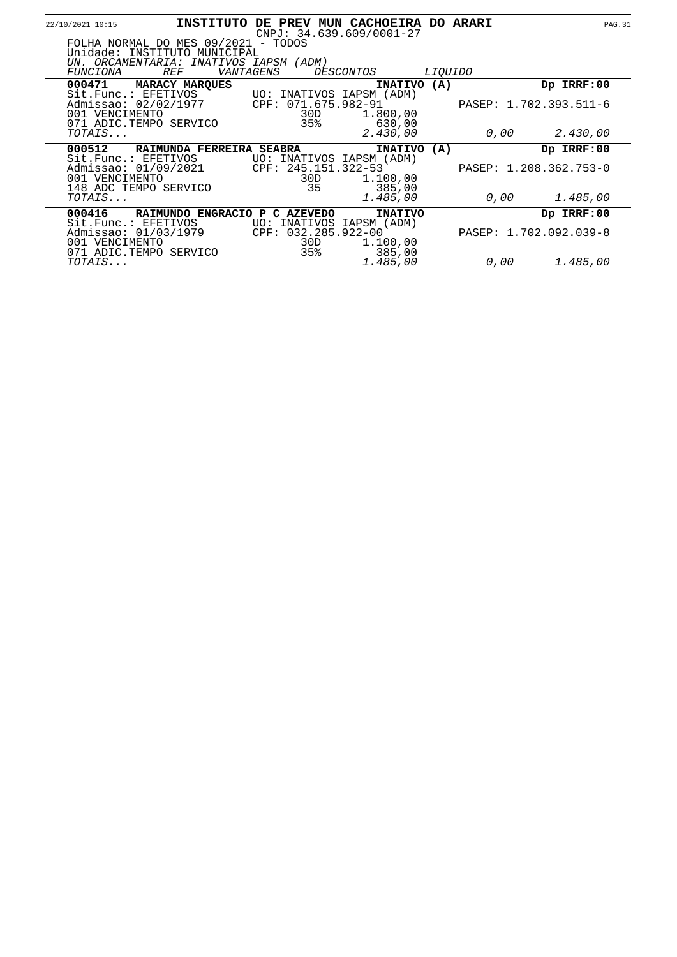| 22/10/2021 10:15                                                                                                                               |                               |                                   | INSTITUTO DE PREV MUN CACHOEIRA DO ARARI<br>$CNPJ: 34.639.609/0001-27$ |                |      | <b>PAG.31</b>          |  |
|------------------------------------------------------------------------------------------------------------------------------------------------|-------------------------------|-----------------------------------|------------------------------------------------------------------------|----------------|------|------------------------|--|
| FOLHA NORMAL DO MES 09/2021 - TODOS<br>Unidade: INSTITUTO MUNICIPAL<br>UN. ORCAMENTARIA: INATIVOS IAPSM (ADM)<br><i>REF</i><br><i>FUNCIONA</i> | VANTAGENS                     |                                   | <i>DESCONTOS</i>                                                       | <i>LIOUIDO</i> |      |                        |  |
| 000471<br><b>MARACY MARQUES</b><br>Sit. Func.: EFETIVOS UO: INATIVOS IAPSM (ADM)                                                               |                               |                                   | INATIVO (A)                                                            |                |      | Dp IRRF:00             |  |
| Admissao: 02/02/1977<br>001 VENCIMENTO<br>071 ADIC.TEMPO SERVICO                                                                               |                               | CPF: 071.675.982-91<br>30D<br>35% | 1.800,00<br>630,00                                                     |                |      | PASEP: 1.702.393.511-6 |  |
| TOTAIS                                                                                                                                         |                               |                                   | 2.430,00                                                               |                | 0,00 | 2.430,00               |  |
| 000512<br>Sit. Func.: EFETIVOS                                                                                                                 | RAIMUNDA FERREIRA SEABRA      |                                   | INATIVO (A)<br>UO: INATIVOS IAPSM (ADM)                                |                |      | Dp IRRF:00             |  |
| Admissao: 01/09/2021<br>001 VENCIMENTO<br>148 ADC TEMPO SERVICO                                                                                |                               | CPF: 245.151.322-53<br>30D<br>35  | 1.100,00<br>385,00                                                     |                |      | PASEP: 1.208.362.753-0 |  |
| TOTAIS                                                                                                                                         |                               |                                   | 1.485,00                                                               |                | 0,00 | 1.485,00               |  |
| 000416                                                                                                                                         | RAIMUNDO ENGRACIO P C AZEVEDO |                                   | <b>INATIVO</b>                                                         |                |      | Dp IRRF:00             |  |
| Sit.Func.: EFETIVOS<br>Admissao: 01/03/1979<br>001 VENCIMENTO<br>071 ADIC.TEMPO SERVICO                                                        |                               | CPF: 032.285.922-00<br>30D<br>35% | UO: INATIVOS IAPSM (ADM)<br>1.100,00<br>385,00                         |                |      | PASEP: 1.702.092.039-8 |  |
| TOTAIS                                                                                                                                         |                               |                                   | 1.485,00                                                               |                | 0,00 | 1.485,00               |  |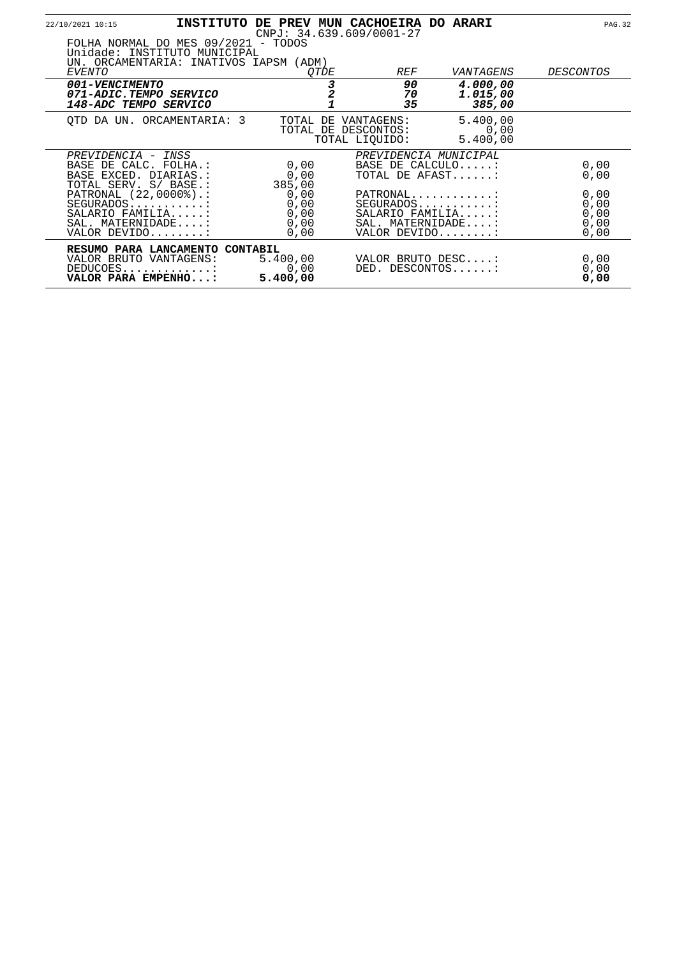| 22/10/2021 10:15                                                                               |                                                                                                               |                                      |             | INSTITUTO DE PREV MUN CACHOEIRA DO ARARI<br>$CNPJ: 34.639.609/0001-27$ |                                                               | <b>PAG.32</b>                        |
|------------------------------------------------------------------------------------------------|---------------------------------------------------------------------------------------------------------------|--------------------------------------|-------------|------------------------------------------------------------------------|---------------------------------------------------------------|--------------------------------------|
| EVENTO                                                                                         | FOLHA NORMAL DO MES 09/2021 - TODOS<br>Unidade: INSTITUTO MUNICIPAL<br>UN. ORCAMENTARIA: INATIVOS IAPSM (ADM) |                                      | <i>OTDE</i> | <i>REF</i>                                                             | VANTAGENS                                                     | <i>DESCONTOS</i>                     |
| 001-VENCIMENTO<br>071-ADIC.TEMPO SERVICO<br><i>148-ADC TEMPO SERVICO</i>                       |                                                                                                               |                                      |             | 90<br>70<br>35                                                         | 4.000,00<br>1.015,00<br>385,00                                |                                      |
|                                                                                                | OTD DA UN. ORCAMENTARIA: 3                                                                                    | TOTAL DE                             |             | VANTAGENS:<br>TOTAL DE DESCONTOS:<br>TOTAL LIQUIDO:                    | 5.400,00<br>0,00<br>5.400,00                                  |                                      |
| PREVIDENCIA - INSS<br>BASE DE CALC. FOLHA.:<br>BASE EXCED. DIARIAS.:<br>TOTAL SERV. S/ BASE.:  |                                                                                                               | 0,00<br>0,00<br>385,00               |             |                                                                        | PREVIDENCIA MUNICIPAL<br>BASE DE CALCULO:<br>TOTAL DE AFAST   | 0,00<br>0,00                         |
| PATRONAL (22,0000%).:<br>$SEGURADOS$<br>SALARIO FAMILIA:<br>SAL. MATERNIDADE:<br>VALOR DEVIDO: |                                                                                                               | 0,00<br>0,00<br>0,00<br>0,00<br>0,00 |             | SALARIO FAMILIA:                                                       | PATRONAL<br>$SEGURADOS$<br>SAL. MATERNIDADE:<br>VALOR DEVIDO: | 0,00<br>0,00<br>0,00<br>0,00<br>0,00 |
| VALOR BRUTO VANTAGENS:<br>DEDUCOES:<br>VALOR PARA EMPENHO:                                     | RESUMO PARA LANCAMENTO CONTABIL                                                                               | 5.400,00<br>0,00<br>5.400,00         |             |                                                                        | VALOR BRUTO DESC:<br>DED. DESCONTOS:                          | 0,00<br>0,00<br>0,00                 |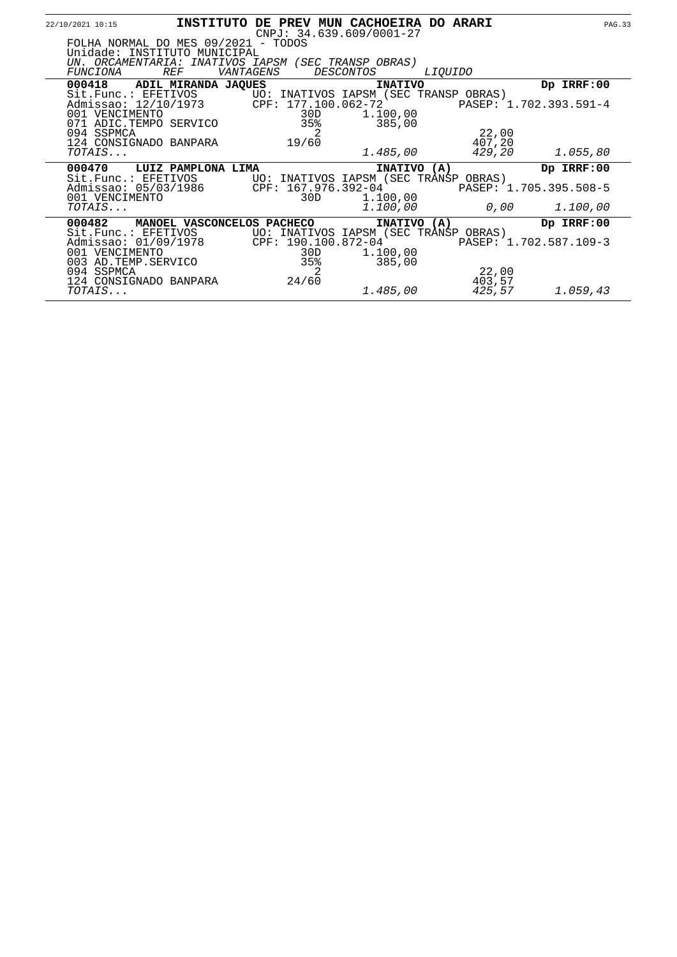| 22/10/2021 10:15                                 |                                                                                                                                          | INSTITUTO DE PREV MUN CACHOEIRA DO ARARI   | $CNPJ: 34.639.609/0001-27$                                                             |                                           | <b>PAG.33</b>                                    |
|--------------------------------------------------|------------------------------------------------------------------------------------------------------------------------------------------|--------------------------------------------|----------------------------------------------------------------------------------------|-------------------------------------------|--------------------------------------------------|
| <i>FUNCIONA</i>                                  | FOLHA NORMAL DO MES 09/2021 - TODOS<br>Unidade: INSTITUTO MUNICIPAL<br>UN. ORCAMENTARIA: INATIVOS IAPSM (SEC TRANSP OBRAS)<br><i>REF</i> | VANTAGENS                                  | <i>DESCONTOS</i>                                                                       | <i>LIOUIDO</i>                            |                                                  |
| 000418                                           | ADIL MIRANDA JAQUES                                                                                                                      |                                            | <b>INATIVO</b>                                                                         |                                           | Dp IRRF:00                                       |
| 001 VENCIMENTO<br>094 SSPMCA                     | 071 ADIC.TEMPO SERVICO<br>124 CONSIGNADO BANPARA                                                                                         | 30D<br>35%<br>19/60                        | 1,100,00<br>385,00                                                                     | PASEP: 1.702.393.591-4<br>22,00<br>407,20 |                                                  |
| TOTAIS                                           |                                                                                                                                          |                                            | 1.485,00                                                                               | 429,20                                    | 1.055,80                                         |
| 000470<br>001 VENCIMENTO<br><i>TOTAIS</i>        | LUIZ PAMPLONA LIMA<br>Sit. Func.: EFETIVOS UO: INATIVOS IAPSM (SEC TRANSP OBRAS)<br>Admissao: 05/03/1986 CPF: 167.976.392-04             | 30D                                        | INATIVO (A)<br>1.100,00<br>1.100,00                                                    | 0,00 $\,$                                 | Dp IRRF:00<br>PASEP: 1.705.395.508-5<br>1.100,00 |
| 000482<br>001 VENCIMENTO<br>094 SSPMCA<br>TOTAIS | MANOEL VASCONCELOS PACHECO<br>Sit.Func.: EFETIVOS<br>Admissao: 01/09/1978<br>003 AD. TEMP. SERVICO<br>124 CONSIGNADO BANPARA             | CPF: 190.100.872-04<br>30D<br>35%<br>24/60 | INATIVO (A)<br>UO: INATIVOS IAPSM (SEC TRANSP OBRAS)<br>1.100,00<br>385,00<br>1.485,00 | 22,00<br>403,57<br>425,57                 | Dp IRRF:00<br>PASEP: 1.702.587.109-3<br>1.059,43 |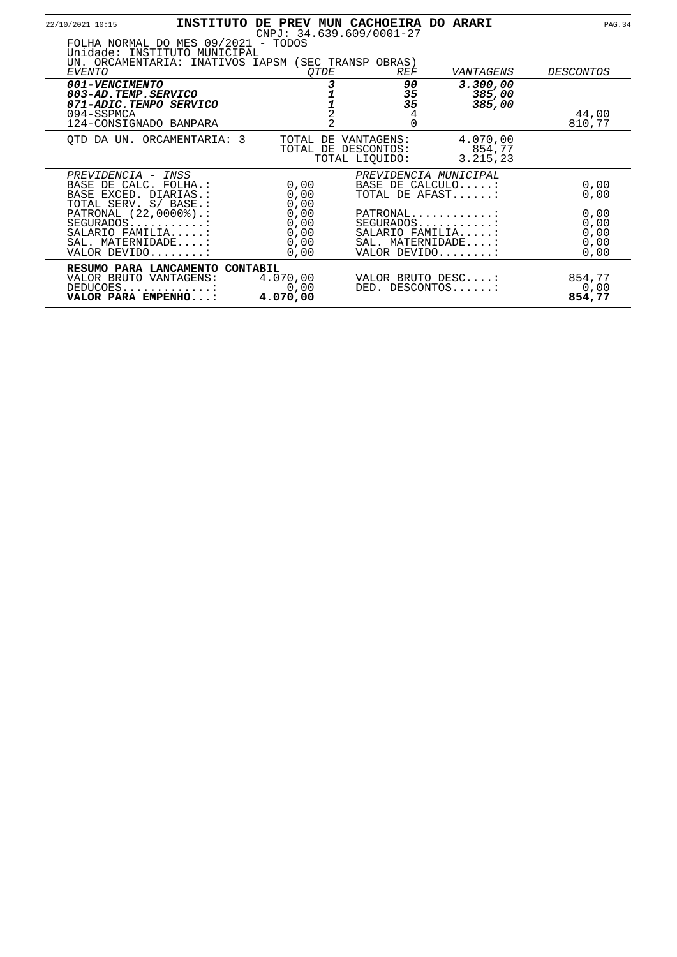| 22/10/2021 10:15                                                                              |                                                                                                                            |                                      |                | INSTITUTO DE PREV MUN CACHOEIRA DO ARARI<br>$CNPJ: 34.639.609/0001-27$ |                                                                                   | <b>PAG.34</b>                        |
|-----------------------------------------------------------------------------------------------|----------------------------------------------------------------------------------------------------------------------------|--------------------------------------|----------------|------------------------------------------------------------------------|-----------------------------------------------------------------------------------|--------------------------------------|
|                                                                                               | FOLHA NORMAL DO MES 09/2021 - TODOS<br>Unidade: INSTITUTO MUNICIPAL<br>UN. ORCAMENTARIA: INATIVOS IAPSM (SEC TRANSP OBRAS) |                                      |                |                                                                        |                                                                                   |                                      |
| EVENTO                                                                                        |                                                                                                                            | <i>OTDE</i>                          |                | <b>REF</b>                                                             | VANTAGENS                                                                         | <i>DESCONTOS</i>                     |
| <i>001-VENCIMENTO</i><br>003-AD.TEMP.SERVICO<br>071-ADIC.TEMPO SERVICO                        |                                                                                                                            |                                      |                | 90<br>35<br>35                                                         | 3.300,00<br>385,00<br>385,00                                                      |                                      |
| 094-SSPMCA<br>124-CONSIGNADO BANPARA                                                          |                                                                                                                            |                                      | $\overline{2}$ | 4<br>$\Omega$                                                          |                                                                                   | 44,00<br>810,77                      |
|                                                                                               | OTD DA UN. ORCAMENTARIA: 3                                                                                                 | TOTAL DE                             |                | VANTAGENS:<br>TOTAL DE DESCONTOS:<br>TOTAL LIOUIDO:                    | 4.070,00<br>854,77<br>3.215,23                                                    |                                      |
| PREVIDENCIA - INSS<br>BASE DE CALC. FOLHA.:<br>BASE EXCED. DIARIAS.:<br>TOTAL SERV. S/ BASE.: |                                                                                                                            | 0,00<br>0,00<br>0,00                 |                |                                                                        | PREVIDENCIA MUNICIPAL<br>BASE DE CALCULO:<br>TOTAL DE AFAST:                      | 0,00<br>0,00                         |
| PATRONAL (22,0000%).:<br>SEGURADOS:<br>SALARIO FAMILIA:<br>SAL. MATERNIDADE:<br>VALOR DEVIDO: |                                                                                                                            | 0,00<br>0,00<br>0,00<br>0,00<br>0,00 |                |                                                                        | PATRONAL<br>$SEGURADOS$<br>SALARIO FAMILIA:<br>SAL. MATERNIDADE:<br>VALOR DEVIDO: | 0,00<br>0,00<br>0,00<br>0,00<br>0,00 |
| VALOR BRUTO VANTAGENS:<br>DEDUCOES<br>VALOR PARA EMPENHO:                                     | RESUMO PARA LANCAMENTO CONTABIL                                                                                            | 4.070,00<br>0,00<br>4.070,00         |                |                                                                        | VALOR BRUTO DESC:<br>DED. DESCONTOS:                                              | 854,77<br>0,00<br>854,77             |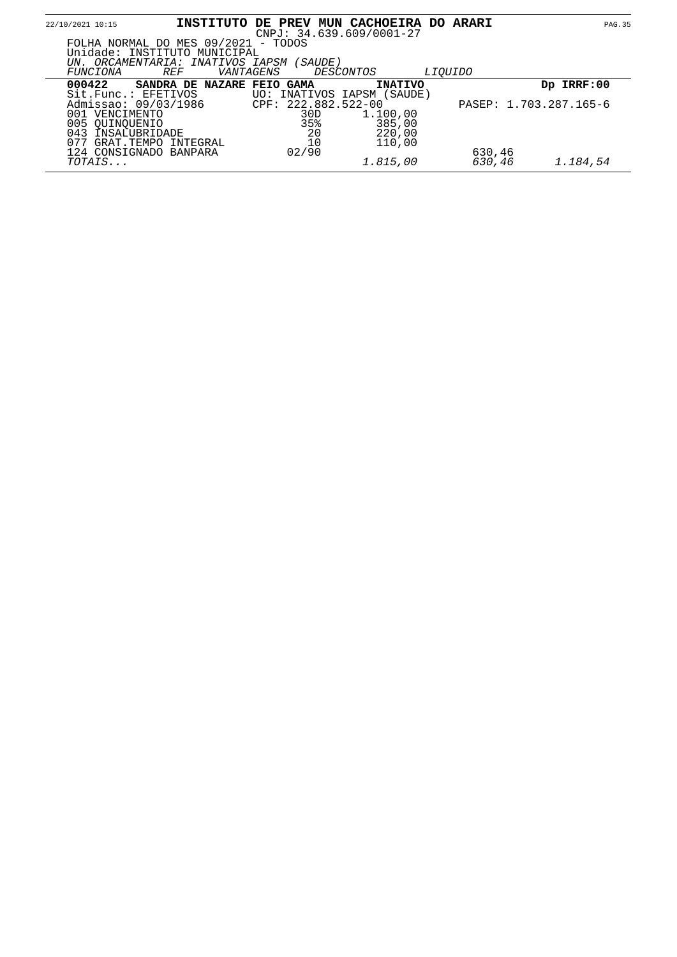| 22/10/2021 10:15                                                                                                    | INSTITUTO                  | <b>DE PREV</b> | <b>MUN</b>                 | <b>CACHOEIRA</b><br>$CNPJ: 34.639.609/0001-27$ |                | DO ARARI | <b>PAG.35</b>          |  |
|---------------------------------------------------------------------------------------------------------------------|----------------------------|----------------|----------------------------|------------------------------------------------|----------------|----------|------------------------|--|
| FOLHA NORMAL DO MES 09/2021 - TODOS<br>Unidade: INSTITUTO MUNICIPAL<br>UN. ORCAMENTARIA: INATIVOS IAPSM<br>FUNCIONA | <i>REF</i><br>VANTAGENS    |                | ( SAUDE )                  | <i>DESCONTOS</i>                               | <i>LIOUIDO</i> |          |                        |  |
| 000422                                                                                                              | SANDRA DE NAZARE FEIO GAMA |                |                            | <b>INATIVO</b>                                 |                |          | Dp IRRF:00             |  |
| Sit.Func.: EFFTIVOS<br>Admissao: 09/03/1986<br>001 VENCIMENTO                                                       |                            |                | CPF: 222.882.522-00<br>30D | UO: INATIVOS IAPSM (SAUDE)<br>1.100,00         |                |          | PASEP: 1.703.287.165-6 |  |
| 005 OUINOUENIO<br>043<br>INSALUBRIDADE                                                                              |                            |                | 35%<br>20                  | 385,00<br>220,00                               |                |          |                        |  |
| 077<br>GRAT.TEMPO INTEGRAL<br>124 CONSIGNADO BANPARA                                                                |                            |                | 10<br>02/90                | 110,00                                         |                | 630,46   |                        |  |
| TOTAIS                                                                                                              |                            |                |                            | 1.815,00                                       |                | 630,46   | 1.184,54               |  |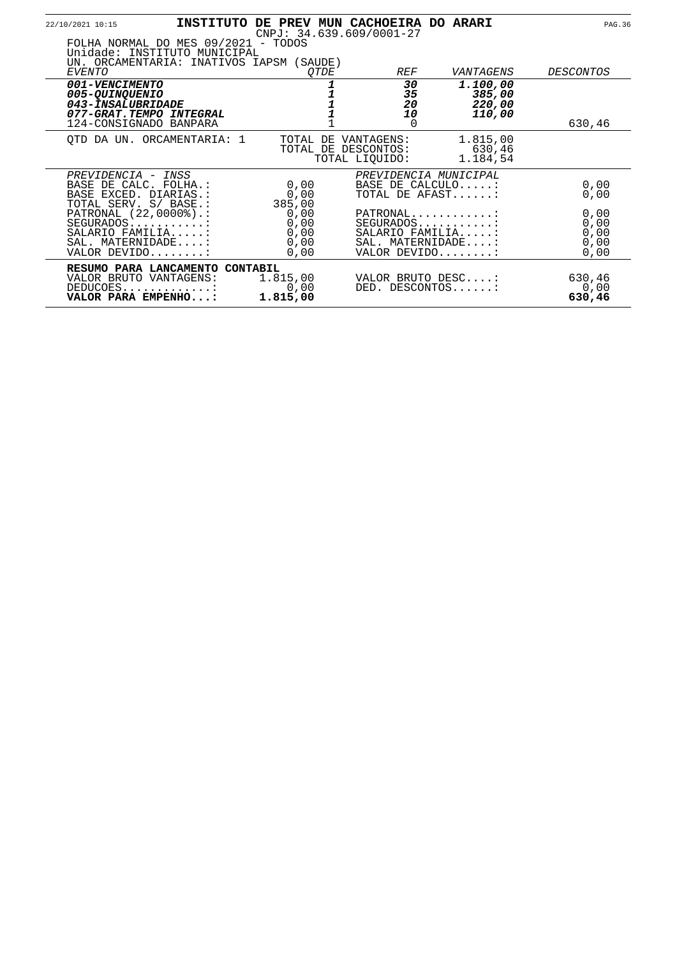| 22/10/2021 10:15                                                                                                       |                                                                                                                 |                                                | INSTITUTO DE PREV MUN CACHOEIRA DO ARARI<br>$CNPJ: 34.639.609/0001-27$ |                                               | PAG. 36                              |
|------------------------------------------------------------------------------------------------------------------------|-----------------------------------------------------------------------------------------------------------------|------------------------------------------------|------------------------------------------------------------------------|-----------------------------------------------|--------------------------------------|
|                                                                                                                        | FOLHA NORMAL DO MES 09/2021 - TODOS<br>Unidade: INSTITUTO MUNICIPAL<br>UN. ORCAMENTARIA: INATIVOS IAPSM (SAUDE) |                                                |                                                                        |                                               |                                      |
| <i>EVENTO</i>                                                                                                          |                                                                                                                 | OTDE                                           | <b>REF</b>                                                             | VANTAGENS                                     | <i>DESCONTOS</i>                     |
| <i>001-VENCIMENTO</i><br>005-QUINQUENIO<br>043-INSALUBRIDADE<br>077-GRAT.TEMPO INTEGRAL                                |                                                                                                                 |                                                | 30<br>35<br>20<br>10                                                   | 1.100,00<br>385,00<br>220,00<br><i>110,00</i> |                                      |
| 124-CONSIGNADO BANPARA                                                                                                 |                                                                                                                 |                                                | 0                                                                      |                                               | 630,46                               |
|                                                                                                                        | OTD DA UN. ORCAMENTARIA: 1                                                                                      |                                                | TOTAL DE VANTAGENS:<br>TOTAL DE DESCONTOS:<br>TOTAL LIOUIDO:           | 1.815,00<br>630,46<br>1.184,54                |                                      |
| PREVIDENCIA - INSS<br>BASE DE CALC. FOLHA.:<br>BASE EXCED. DIARIAS.:                                                   |                                                                                                                 | 0,00<br>0,00                                   | BASE DE CALCULO:                                                       | PREVIDENCIA MUNICIPAL<br>TOTAL DE AFAST:      | 0,00<br>0,00                         |
| TOTAL SERV. S/ BASE.:<br>PATRONAL (22,0000%).:<br>SEGURADOS:<br>SALARIO FAMILIA:<br>SAL. MATERNIDADE:<br>VALOR DEVIDO: |                                                                                                                 | 385,00<br>0,00<br>0,00<br>0,00<br>0,00<br>0,00 | PATRONAL<br>SEGURADOS:<br>VALOR DEVIDO:                                | SALARIO FAMILIA:<br>SAL. MATERNIDADE:         | 0,00<br>0,00<br>0,00<br>0,00<br>0,00 |
| VALOR BRUTO VANTAGENS:<br>DEDUCOES<br>VALOR PARA EMPENHO:                                                              | RESUMO PARA LANCAMENTO CONTABIL                                                                                 | 1.815,00<br>0,00<br>1.815,00                   | DED. DESCONTOS:                                                        | VALOR BRUTO DESC:                             | 630,46<br>0,00<br>630,46             |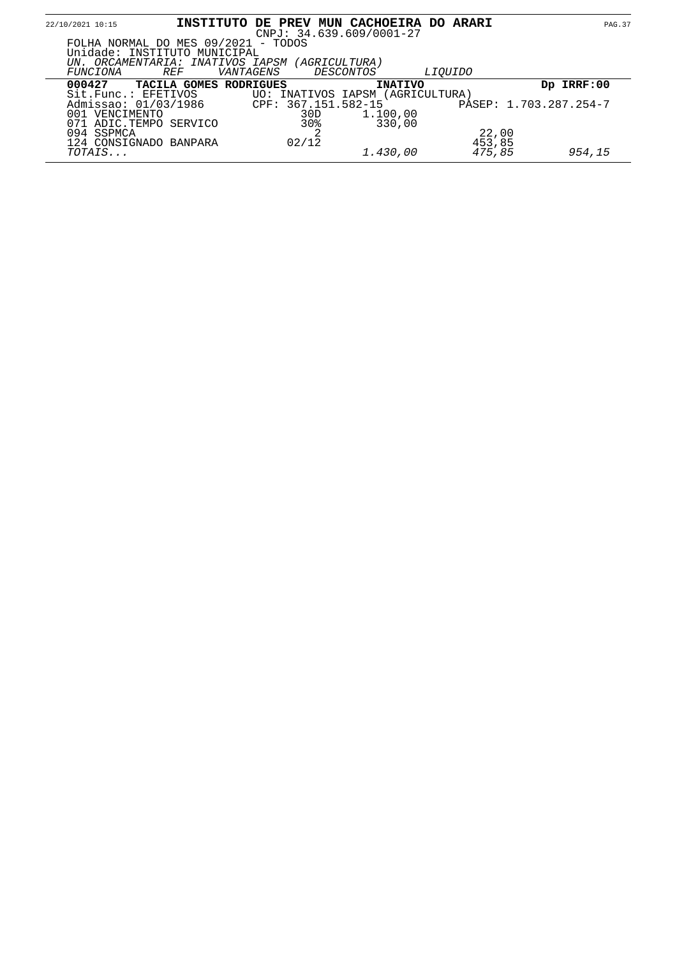| 22/10/2021 10:15                                                         | INSTITUTO DE PREV MUN CACHOEIRA DO ARARI |                     | $CNPJ: 34.639.609/0001-27$       |                 | <b>PAG.37</b>          |
|--------------------------------------------------------------------------|------------------------------------------|---------------------|----------------------------------|-----------------|------------------------|
| FOLHA NORMAL DO MES 09/2021 - TODOS<br>Unidade: INSTITUTO MUNICIPAL      |                                          |                     |                                  |                 |                        |
| UN. ORCAMENTARIA: INATIVOS IAPSM (AGRICULTURA)<br><i>REF</i><br>FUNCIONA | <i>VANTAGENS</i>                         |                     | <i>DESCONTOS</i>                 | <i>LIOUIDO</i>  |                        |
| 000427                                                                   | TACILA GOMES RODRIGUES                   |                     | <b>INATIVO</b>                   |                 | Dp IRRF:00             |
| Sit.Func.: EFETIVOS<br>Admissao: 01/03/1986                              |                                          | CPF: 367.151.582-15 | UO: INATIVOS IAPSM (AGRICULTURA) |                 | PASEP: 1.703.287.254-7 |
| 001 VENCIMENTO<br>ADIC.TEMPO SERVICO                                     |                                          | 30D<br>30%          | 1.100,00<br>330,00               |                 |                        |
| 094 SSPMCA<br>124 CONSIGNADO BANPARA                                     |                                          | 02/12               |                                  | 22,00<br>453,85 |                        |
| TOTAIS                                                                   |                                          |                     | 1.430,00                         | 475,85          | 954,15                 |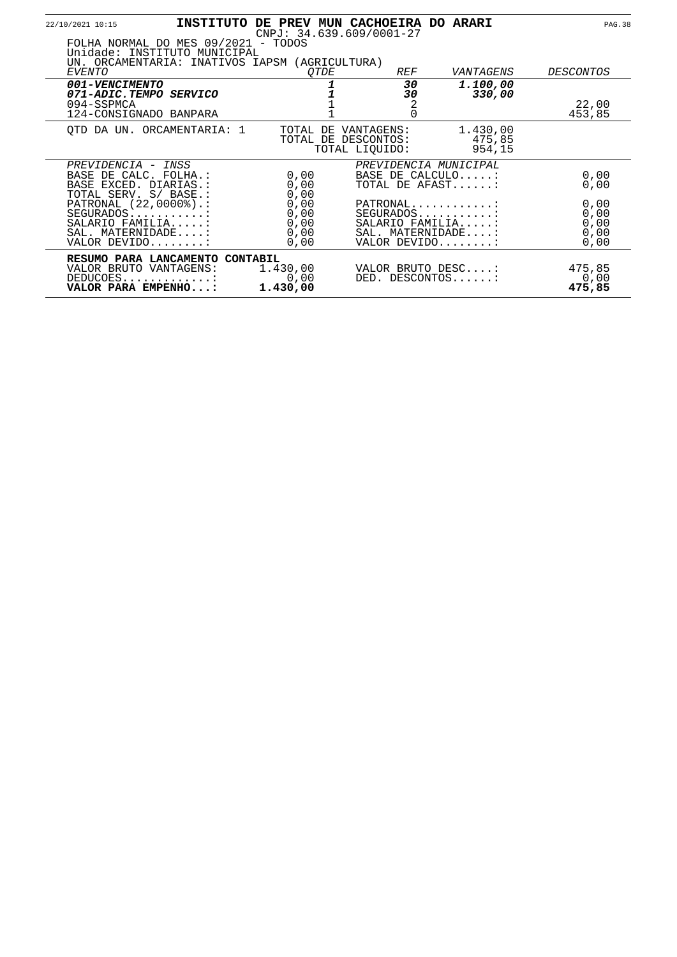|                    | 22/10/2021 10:15                                                                                                      |                      | INSTITUTO DE PREV MUN CACHOEIRA DO ARARI<br>$CNPJ: 34.639.609/0001-27$ |                                       | <b>PAG.38</b>    |
|--------------------|-----------------------------------------------------------------------------------------------------------------------|----------------------|------------------------------------------------------------------------|---------------------------------------|------------------|
|                    | FOLHA NORMAL DO MES 09/2021 - TODOS<br>Unidade: INSTITUTO MUNICIPAL<br>UN. ORCAMENTARIA: INATIVOS IAPSM (AGRICULTURA) |                      |                                                                        |                                       |                  |
|                    | EVENTO<br>001-VENCIMENTO                                                                                              | <i>OTDE</i>          | <i>REF</i><br>30                                                       | VANTAGENS<br>1.100,00                 | <i>DESCONTOS</i> |
|                    | 071-ADIC.TEMPO SERVICO<br>094-SSPMCA<br>124-CONSIGNADO BANPARA                                                        |                      | 30<br>2<br>$\Omega$                                                    | 330,00                                | 22,00<br>453,85  |
|                    | OTD DA UN. ORCAMENTARIA: 1                                                                                            | TOTAL DE             | VANTAGENS:<br>TOTAL DE DESCONTOS:<br>TOTAL LIOUIDO:                    | 1.430,00<br>475,85<br>954,15          |                  |
| PREVIDENCIA - INSS |                                                                                                                       |                      |                                                                        | PREVIDENCIA MUNICIPAL                 |                  |
|                    | BASE DE CALC. FOLHA.:<br>BASE EXCED. DIARIAS.:<br>TOTAL SERV. S/ BASE.:                                               | 0,00<br>0,00<br>0,00 |                                                                        | BASE DE CALCULO:<br>TOTAL DE AFAST    | 0,00<br>0,00     |
|                    | PATRONAL (22,0000%).:                                                                                                 | 0,00                 |                                                                        | PATRONAL                              | 0,00             |
|                    | $SEGURADOS$                                                                                                           | 0,00                 |                                                                        | SEGURADOS:                            | 0,00             |
|                    | SALARIO FAMILIA:<br>SAL. MATERNIDADE:                                                                                 | 0,00<br>0,00         |                                                                        | SALARIO FAMILIA:<br>SAL. MATERNIDADE: | 0,00<br>0,00     |
|                    | VALOR DEVIDO:                                                                                                         | 0,00                 |                                                                        | VALOR DEVIDO:                         | 0,00             |
|                    | RESUMO PARA LANCAMENTO CONTABIL                                                                                       |                      |                                                                        |                                       |                  |
|                    | VALOR BRUTO VANTAGENS:                                                                                                | 1.430,00             |                                                                        | VALOR BRUTO DESC:                     | 475,85           |
|                    | DEDUCOES<br>VALOR PARA EMPENHO:                                                                                       | 0,00<br>1.430,00     |                                                                        | DED. DESCONTOS:                       | 0,00<br>475,85   |